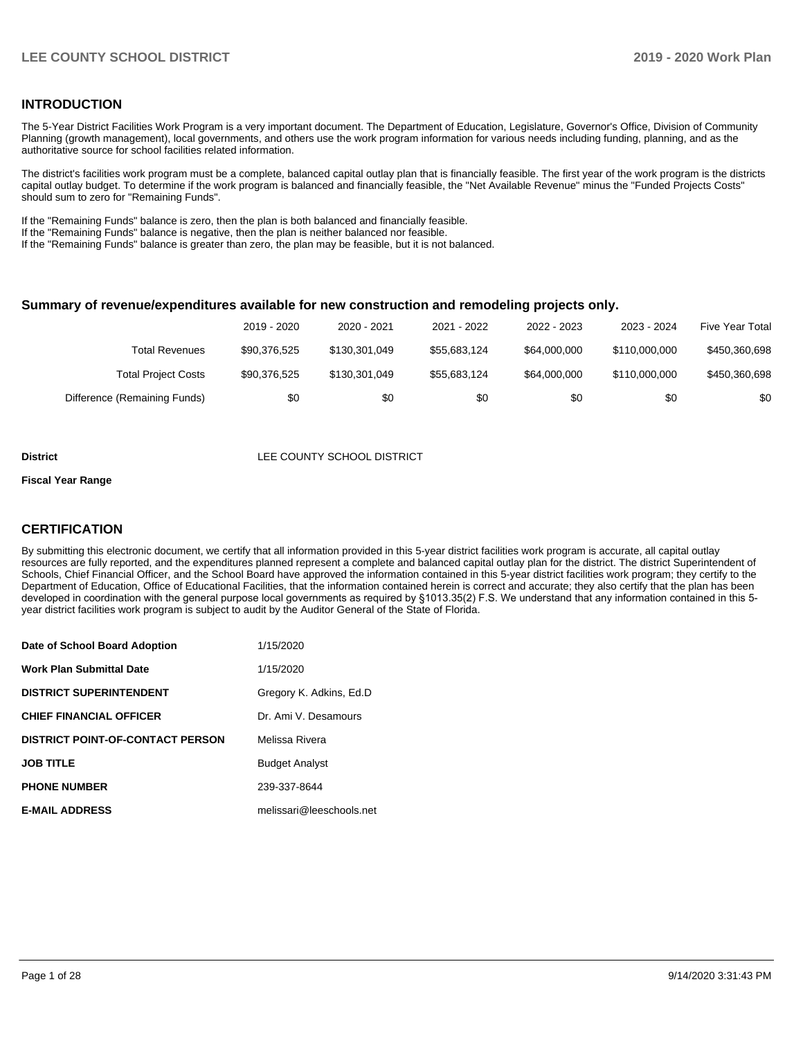## **INTRODUCTION**

The 5-Year District Facilities Work Program is a very important document. The Department of Education, Legislature, Governor's Office, Division of Community Planning (growth management), local governments, and others use the work program information for various needs including funding, planning, and as the authoritative source for school facilities related information.

The district's facilities work program must be a complete, balanced capital outlay plan that is financially feasible. The first year of the work program is the districts capital outlay budget. To determine if the work program is balanced and financially feasible, the "Net Available Revenue" minus the "Funded Projects Costs" should sum to zero for "Remaining Funds".

If the "Remaining Funds" balance is zero, then the plan is both balanced and financially feasible.

If the "Remaining Funds" balance is negative, then the plan is neither balanced nor feasible.

If the "Remaining Funds" balance is greater than zero, the plan may be feasible, but it is not balanced.

#### **Summary of revenue/expenditures available for new construction and remodeling projects only.**

| <b>Five Year Total</b> | 2023 - 2024   | 2022 - 2023  | 2021 - 2022  | 2020 - 2021   | 2019 - 2020  |                              |
|------------------------|---------------|--------------|--------------|---------------|--------------|------------------------------|
| \$450,360,698          | \$110,000,000 | \$64,000,000 | \$55.683.124 | \$130,301,049 | \$90.376.525 | Total Revenues               |
| \$450,360,698          | \$110,000,000 | \$64,000,000 | \$55.683.124 | \$130.301.049 | \$90.376.525 | <b>Total Project Costs</b>   |
| \$0                    | \$0           | \$0          | \$0          | \$0           | \$0          | Difference (Remaining Funds) |

#### **District LEE COUNTY SCHOOL DISTRICT**

#### **Fiscal Year Range**

## **CERTIFICATION**

By submitting this electronic document, we certify that all information provided in this 5-year district facilities work program is accurate, all capital outlay resources are fully reported, and the expenditures planned represent a complete and balanced capital outlay plan for the district. The district Superintendent of Schools, Chief Financial Officer, and the School Board have approved the information contained in this 5-year district facilities work program; they certify to the Department of Education, Office of Educational Facilities, that the information contained herein is correct and accurate; they also certify that the plan has been developed in coordination with the general purpose local governments as required by §1013.35(2) F.S. We understand that any information contained in this 5 year district facilities work program is subject to audit by the Auditor General of the State of Florida.

| Date of School Board Adoption           | 1/15/2020                |
|-----------------------------------------|--------------------------|
| Work Plan Submittal Date                | 1/15/2020                |
| <b>DISTRICT SUPERINTENDENT</b>          | Gregory K. Adkins, Ed.D. |
| <b>CHIEF FINANCIAL OFFICER</b>          | Dr. Ami V. Desamours     |
| <b>DISTRICT POINT-OF-CONTACT PERSON</b> | Melissa Rivera           |
| <b>JOB TITLE</b>                        | <b>Budget Analyst</b>    |
| <b>PHONE NUMBER</b>                     | 239-337-8644             |
| <b>E-MAIL ADDRESS</b>                   | melissari@leeschools.net |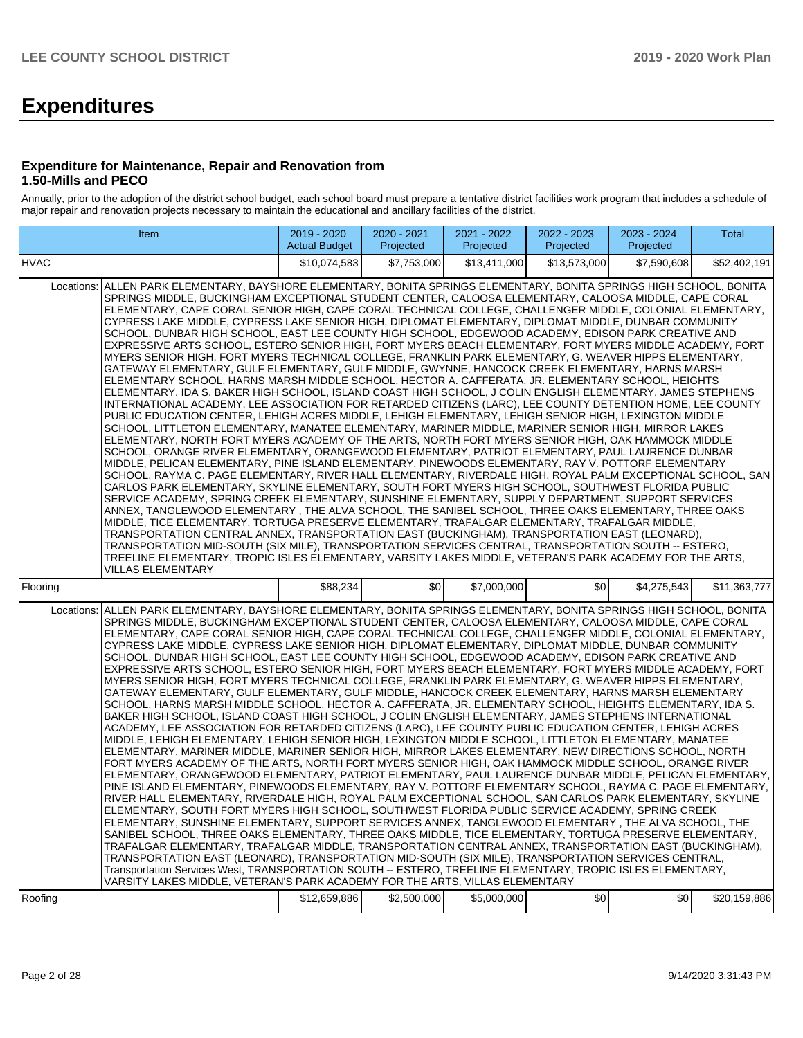# **Expenditures**

### **Expenditure for Maintenance, Repair and Renovation from 1.50-Mills and PECO**

Annually, prior to the adoption of the district school budget, each school board must prepare a tentative district facilities work program that includes a schedule of major repair and renovation projects necessary to maintain the educational and ancillary facilities of the district.

| Item                                                                                                                                                                                                                                                                                                                                                                                                                                                                                                                                                                                                                                                                                                                                                                                                                                                                                                                                                                                                                                                                                                                                                                                                                                                                                                                                                                                                                                                                                                                                                                                                                                                                                                                                                                                                                                                                                                                                                                                                                                                                                                                                                                                                                                                                                                                                                                                                                                                                                                                                                                                                                                      | 2019 - 2020<br><b>Actual Budget</b> | 2020 - 2021<br>Projected | 2021 - 2022<br>Projected | 2022 - 2023<br>Projected | 2023 - 2024<br>Projected | Total        |
|-------------------------------------------------------------------------------------------------------------------------------------------------------------------------------------------------------------------------------------------------------------------------------------------------------------------------------------------------------------------------------------------------------------------------------------------------------------------------------------------------------------------------------------------------------------------------------------------------------------------------------------------------------------------------------------------------------------------------------------------------------------------------------------------------------------------------------------------------------------------------------------------------------------------------------------------------------------------------------------------------------------------------------------------------------------------------------------------------------------------------------------------------------------------------------------------------------------------------------------------------------------------------------------------------------------------------------------------------------------------------------------------------------------------------------------------------------------------------------------------------------------------------------------------------------------------------------------------------------------------------------------------------------------------------------------------------------------------------------------------------------------------------------------------------------------------------------------------------------------------------------------------------------------------------------------------------------------------------------------------------------------------------------------------------------------------------------------------------------------------------------------------------------------------------------------------------------------------------------------------------------------------------------------------------------------------------------------------------------------------------------------------------------------------------------------------------------------------------------------------------------------------------------------------------------------------------------------------------------------------------------------------|-------------------------------------|--------------------------|--------------------------|--------------------------|--------------------------|--------------|
| <b>HVAC</b>                                                                                                                                                                                                                                                                                                                                                                                                                                                                                                                                                                                                                                                                                                                                                                                                                                                                                                                                                                                                                                                                                                                                                                                                                                                                                                                                                                                                                                                                                                                                                                                                                                                                                                                                                                                                                                                                                                                                                                                                                                                                                                                                                                                                                                                                                                                                                                                                                                                                                                                                                                                                                               | \$10,074,583                        | \$7.753.000              | \$13.411.000             | \$13,573,000             | \$7.590.608              | \$52,402,191 |
| ALLEN PARK ELEMENTARY, BAYSHORE ELEMENTARY, BONITA SPRINGS ELEMENTARY, BONITA SPRINGS HIGH SCHOOL, BONITA<br>Locations:<br>SPRINGS MIDDLE, BUCKINGHAM EXCEPTIONAL STUDENT CENTER, CALOOSA ELEMENTARY, CALOOSA MIDDLE, CAPE CORAL<br>ELEMENTARY, CAPE CORAL SENIOR HIGH, CAPE CORAL TECHNICAL COLLEGE, CHALLENGER MIDDLE, COLONIAL ELEMENTARY,<br>CYPRESS LAKE MIDDLE, CYPRESS LAKE SENIOR HIGH, DIPLOMAT ELEMENTARY, DIPLOMAT MIDDLE, DUNBAR COMMUNITY<br>SCHOOL, DUNBAR HIGH SCHOOL, EAST LEE COUNTY HIGH SCHOOL, EDGEWOOD ACADEMY, EDISON PARK CREATIVE AND<br>EXPRESSIVE ARTS SCHOOL, ESTERO SENIOR HIGH, FORT MYERS BEACH ELEMENTARY, FORT MYERS MIDDLE ACADEMY, FORT<br>MYERS SENIOR HIGH, FORT MYERS TECHNICAL COLLEGE, FRANKLIN PARK ELEMENTARY, G. WEAVER HIPPS ELEMENTARY,<br>GATEWAY ELEMENTARY, GULF ELEMENTARY, GULF MIDDLE, GWYNNE, HANCOCK CREEK ELEMENTARY, HARNS MARSH<br>ELEMENTARY SCHOOL, HARNS MARSH MIDDLE SCHOOL, HECTOR A. CAFFERATA, JR. ELEMENTARY SCHOOL, HEIGHTS<br>ELEMENTARY, IDA S. BAKER HIGH SCHOOL, ISLAND COAST HIGH SCHOOL, J COLIN ENGLISH ELEMENTARY, JAMES STEPHENS<br>INTERNATIONAL ACADEMY, LEE ASSOCIATION FOR RETARDED CITIZENS (LARC), LEE COUNTY DETENTION HOME, LEE COUNTY<br>PUBLIC EDUCATION CENTER, LEHIGH ACRES MIDDLE, LEHIGH ELEMENTARY, LEHIGH SENIOR HIGH, LEXINGTON MIDDLE<br>SCHOOL, LITTLETON ELEMENTARY, MANATEE ELEMENTARY, MARINER MIDDLE, MARINER SENIOR HIGH, MIRROR LAKES<br>ELEMENTARY, NORTH FORT MYERS ACADEMY OF THE ARTS, NORTH FORT MYERS SENIOR HIGH, OAK HAMMOCK MIDDLE<br>SCHOOL, ORANGE RIVER ELEMENTARY, ORANGEWOOD ELEMENTARY, PATRIOT ELEMENTARY, PAUL LAURENCE DUNBAR<br>MIDDLE, PELICAN ELEMENTARY, PINE ISLAND ELEMENTARY, PINEWOODS ELEMENTARY, RAY V. POTTORF ELEMENTARY<br>SCHOOL, RAYMA C. PAGE ELEMENTARY, RIVER HALL ELEMENTARY, RIVERDALE HIGH, ROYAL PALM EXCEPTIONAL SCHOOL, SAN<br>CARLOS PARK ELEMENTARY, SKYLINE ELEMENTARY, SOUTH FORT MYERS HIGH SCHOOL, SOUTHWEST FLORIDA PUBLIC<br>SERVICE ACADEMY, SPRING CREEK ELEMENTARY, SUNSHINE ELEMENTARY, SUPPLY DEPARTMENT, SUPPORT SERVICES<br>ANNEX, TANGLEWOOD ELEMENTARY , THE ALVA SCHOOL, THE SANIBEL SCHOOL, THREE OAKS ELEMENTARY, THREE OAKS<br>MIDDLE. TICE ELEMENTARY. TORTUGA PRESERVE ELEMENTARY. TRAFALGAR ELEMENTARY. TRAFALGAR MIDDLE.<br>TRANSPORTATION CENTRAL ANNEX, TRANSPORTATION EAST (BUCKINGHAM), TRANSPORTATION EAST (LEONARD),<br>TRANSPORTATION MID-SOUTH (SIX MILE), TRANSPORTATION SERVICES CENTRAL, TRANSPORTATION SOUTH -- ESTERO,<br>TREELINE ELEMENTARY, TROPIC ISLES ELEMENTARY, VARSITY LAKES MIDDLE, VETERAN'S PARK ACADEMY FOR THE ARTS,<br>VILLAS ELEMENTARY |                                     |                          |                          |                          |                          |              |
| Flooring                                                                                                                                                                                                                                                                                                                                                                                                                                                                                                                                                                                                                                                                                                                                                                                                                                                                                                                                                                                                                                                                                                                                                                                                                                                                                                                                                                                                                                                                                                                                                                                                                                                                                                                                                                                                                                                                                                                                                                                                                                                                                                                                                                                                                                                                                                                                                                                                                                                                                                                                                                                                                                  | \$88,234                            | \$0 <sub>1</sub>         | \$7,000,000              | \$0 <sub>1</sub>         | \$4,275,543              | \$11,363,777 |
| ALLEN PARK ELEMENTARY, BAYSHORE ELEMENTARY, BONITA SPRINGS ELEMENTARY, BONITA SPRINGS HIGH SCHOOL, BONITA<br>Locations:<br>SPRINGS MIDDLE, BUCKINGHAM EXCEPTIONAL STUDENT CENTER, CALOOSA ELEMENTARY, CALOOSA MIDDLE, CAPE CORAL<br>ELEMENTARY, CAPE CORAL SENIOR HIGH, CAPE CORAL TECHNICAL COLLEGE, CHALLENGER MIDDLE, COLONIAL ELEMENTARY,<br>CYPRESS LAKE MIDDLE, CYPRESS LAKE SENIOR HIGH, DIPLOMAT ELEMENTARY, DIPLOMAT MIDDLE, DUNBAR COMMUNITY<br>SCHOOL, DUNBAR HIGH SCHOOL, EAST LEE COUNTY HIGH SCHOOL, EDGEWOOD ACADEMY, EDISON PARK CREATIVE AND<br>EXPRESSIVE ARTS SCHOOL, ESTERO SENIOR HIGH, FORT MYERS BEACH ELEMENTARY, FORT MYERS MIDDLE ACADEMY, FORT<br>MYERS SENIOR HIGH, FORT MYERS TECHNICAL COLLEGE, FRANKLIN PARK ELEMENTARY, G. WEAVER HIPPS ELEMENTARY,<br>GATEWAY ELEMENTARY, GULF ELEMENTARY, GULF MIDDLE, HANCOCK CREEK ELEMENTARY, HARNS MARSH ELEMENTARY<br>SCHOOL, HARNS MARSH MIDDLE SCHOOL, HECTOR A. CAFFERATA, JR. ELEMENTARY SCHOOL, HEIGHTS ELEMENTARY, IDA S.<br>BAKER HIGH SCHOOL, ISLAND COAST HIGH SCHOOL, J COLIN ENGLISH ELEMENTARY, JAMES STEPHENS INTERNATIONAL<br>ACADEMY, LEE ASSOCIATION FOR RETARDED CITIZENS (LARC), LEE COUNTY PUBLIC EDUCATION CENTER, LEHIGH ACRES<br>MIDDLE, LEHIGH ELEMENTARY, LEHIGH SENIOR HIGH, LEXINGTON MIDDLE SCHOOL, LITTLETON ELEMENTARY, MANATEE<br>ELEMENTARY, MARINER MIDDLE, MARINER SENIOR HIGH, MIRROR LAKES ELEMENTARY, NEW DIRECTIONS SCHOOL, NORTH<br>FORT MYERS ACADEMY OF THE ARTS, NORTH FORT MYERS SENIOR HIGH, OAK HAMMOCK MIDDLE SCHOOL, ORANGE RIVER<br>ELEMENTARY, ORANGEWOOD ELEMENTARY, PATRIOT ELEMENTARY, PAUL LAURENCE DUNBAR MIDDLE, PELICAN ELEMENTARY,<br>PINE ISLAND ELEMENTARY, PINEWOODS ELEMENTARY, RAY V. POTTORF ELEMENTARY SCHOOL, RAYMA C. PAGE ELEMENTARY,<br>RIVER HALL ELEMENTARY, RIVERDALE HIGH, ROYAL PALM EXCEPTIONAL SCHOOL, SAN CARLOS PARK ELEMENTARY, SKYLINE<br>ELEMENTARY, SOUTH FORT MYERS HIGH SCHOOL, SOUTHWEST FLORIDA PUBLIC SERVICE ACADEMY, SPRING CREEK<br>ELEMENTARY, SUNSHINE ELEMENTARY, SUPPORT SERVICES ANNEX, TANGLEWOOD ELEMENTARY, THE ALVA SCHOOL, THE<br>SANIBEL SCHOOL, THREE OAKS ELEMENTARY, THREE OAKS MIDDLE, TICE ELEMENTARY, TORTUGA PRESERVE ELEMENTARY,<br>TRAFALGAR ELEMENTARY, TRAFALGAR MIDDLE, TRANSPORTATION CENTRAL ANNEX, TRANSPORTATION EAST (BUCKINGHAM),<br>TRANSPORTATION EAST (LEONARD), TRANSPORTATION MID-SOUTH (SIX MILE), TRANSPORTATION SERVICES CENTRAL,<br>Transportation Services West, TRANSPORTATION SOUTH -- ESTERO, TREELINE ELEMENTARY, TROPIC ISLES ELEMENTARY,<br>VARSITY LAKES MIDDLE, VETERAN'S PARK ACADEMY FOR THE ARTS, VILLAS ELEMENTARY      |                                     |                          |                          |                          |                          |              |
| Roofing                                                                                                                                                                                                                                                                                                                                                                                                                                                                                                                                                                                                                                                                                                                                                                                                                                                                                                                                                                                                                                                                                                                                                                                                                                                                                                                                                                                                                                                                                                                                                                                                                                                                                                                                                                                                                                                                                                                                                                                                                                                                                                                                                                                                                                                                                                                                                                                                                                                                                                                                                                                                                                   | \$12,659,886                        | \$2,500,000              | \$5,000,000              | \$0                      | \$0                      | \$20,159,886 |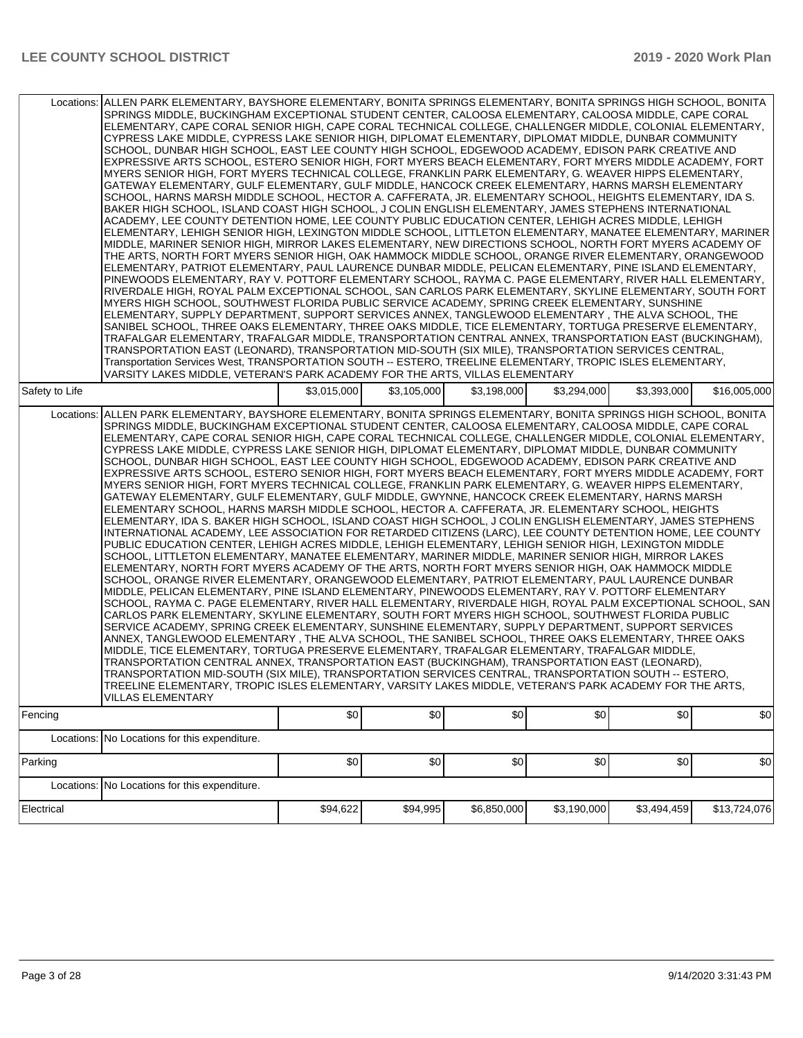| Locations: ALLEN PARK ELEMENTARY, BAYSHORE ELEMENTARY, BONITA SPRINGS ELEMENTARY, BONITA SPRINGS HIGH SCHOOL, BONITA | SPRINGS MIDDLE, BUCKINGHAM EXCEPTIONAL STUDENT CENTER, CALOOSA ELEMENTARY, CALOOSA MIDDLE, CAPE CORAL<br>ELEMENTARY, CAPE CORAL SENIOR HIGH, CAPE CORAL TECHNICAL COLLEGE, CHALLENGER MIDDLE, COLONIAL ELEMENTARY,<br>CYPRESS LAKE MIDDLE, CYPRESS LAKE SENIOR HIGH, DIPLOMAT ELEMENTARY, DIPLOMAT MIDDLE, DUNBAR COMMUNITY<br>SCHOOL, DUNBAR HIGH SCHOOL, EAST LEE COUNTY HIGH SCHOOL, EDGEWOOD ACADEMY, EDISON PARK CREATIVE AND<br>EXPRESSIVE ARTS SCHOOL, ESTERO SENIOR HIGH, FORT MYERS BEACH ELEMENTARY, FORT MYERS MIDDLE ACADEMY, FORT<br>MYERS SENIOR HIGH, FORT MYERS TECHNICAL COLLEGE, FRANKLIN PARK ELEMENTARY, G. WEAVER HIPPS ELEMENTARY,<br>GATEWAY ELEMENTARY, GULF ELEMENTARY, GULF MIDDLE, HANCOCK CREEK ELEMENTARY, HARNS MARSH ELEMENTARY<br>SCHOOL, HARNS MARSH MIDDLE SCHOOL, HECTOR A. CAFFERATA, JR. ELEMENTARY SCHOOL, HEIGHTS ELEMENTARY, IDA S.<br>BAKER HIGH SCHOOL, ISLAND COAST HIGH SCHOOL, J COLIN ENGLISH ELEMENTARY, JAMES STEPHENS INTERNATIONAL<br>ACADEMY, LEE COUNTY DETENTION HOME, LEE COUNTY PUBLIC EDUCATION CENTER, LEHIGH ACRES MIDDLE, LEHIGH<br>ELEMENTARY, LEHIGH SENIOR HIGH, LEXINGTON MIDDLE SCHOOL, LITTLETON ELEMENTARY, MANATEE ELEMENTARY, MARINER<br>MIDDLE, MARINER SENIOR HIGH, MIRROR LAKES ELEMENTARY, NEW DIRECTIONS SCHOOL, NORTH FORT MYERS ACADEMY OF<br>THE ARTS, NORTH FORT MYERS SENIOR HIGH, OAK HAMMOCK MIDDLE SCHOOL, ORANGE RIVER ELEMENTARY, ORANGEWOOD<br>ELEMENTARY, PATRIOT ELEMENTARY, PAUL LAURENCE DUNBAR MIDDLE, PELICAN ELEMENTARY, PINE ISLAND ELEMENTARY,<br>PINEWOODS ELEMENTARY, RAY V. POTTORF ELEMENTARY SCHOOL, RAYMA C. PAGE ELEMENTARY, RIVER HALL ELEMENTARY,<br>RIVERDALE HIGH, ROYAL PALM EXCEPTIONAL SCHOOL, SAN CARLOS PARK ELEMENTARY, SKYLINE ELEMENTARY, SOUTH FORT<br>MYERS HIGH SCHOOL, SOUTHWEST FLORIDA PUBLIC SERVICE ACADEMY, SPRING CREEK ELEMENTARY, SUNSHINE<br>ELEMENTARY, SUPPLY DEPARTMENT, SUPPORT SERVICES ANNEX, TANGLEWOOD ELEMENTARY, THE ALVA SCHOOL, THE<br>SANIBEL SCHOOL, THREE OAKS ELEMENTARY, THREE OAKS MIDDLE, TICE ELEMENTARY, TORTUGA PRESERVE ELEMENTARY,<br>TRAFALGAR ELEMENTARY, TRAFALGAR MIDDLE, TRANSPORTATION CENTRAL ANNEX, TRANSPORTATION EAST (BUCKINGHAM),<br>TRANSPORTATION EAST (LEONARD), TRANSPORTATION MID-SOUTH (SIX MILE), TRANSPORTATION SERVICES CENTRAL,<br>Transportation Services West, TRANSPORTATION SOUTH -- ESTERO, TREELINE ELEMENTARY, TROPIC ISLES ELEMENTARY,<br>VARSITY LAKES MIDDLE, VETERAN'S PARK ACADEMY FOR THE ARTS, VILLAS ELEMENTARY<br>\$3,015,000<br>\$3,105,000<br>\$3.198.000<br>\$3,294,000<br>\$3,393,000<br>\$16,005,000                                         |          |          |             |             |             |              |  |  |  |  |
|----------------------------------------------------------------------------------------------------------------------|----------------------------------------------------------------------------------------------------------------------------------------------------------------------------------------------------------------------------------------------------------------------------------------------------------------------------------------------------------------------------------------------------------------------------------------------------------------------------------------------------------------------------------------------------------------------------------------------------------------------------------------------------------------------------------------------------------------------------------------------------------------------------------------------------------------------------------------------------------------------------------------------------------------------------------------------------------------------------------------------------------------------------------------------------------------------------------------------------------------------------------------------------------------------------------------------------------------------------------------------------------------------------------------------------------------------------------------------------------------------------------------------------------------------------------------------------------------------------------------------------------------------------------------------------------------------------------------------------------------------------------------------------------------------------------------------------------------------------------------------------------------------------------------------------------------------------------------------------------------------------------------------------------------------------------------------------------------------------------------------------------------------------------------------------------------------------------------------------------------------------------------------------------------------------------------------------------------------------------------------------------------------------------------------------------------------------------------------------------------------------------------------------------------------------------------------------------------------------------------------------------------------------------------------------------------------------------------------------------------------------------------------|----------|----------|-------------|-------------|-------------|--------------|--|--|--|--|
| Safety to Life                                                                                                       |                                                                                                                                                                                                                                                                                                                                                                                                                                                                                                                                                                                                                                                                                                                                                                                                                                                                                                                                                                                                                                                                                                                                                                                                                                                                                                                                                                                                                                                                                                                                                                                                                                                                                                                                                                                                                                                                                                                                                                                                                                                                                                                                                                                                                                                                                                                                                                                                                                                                                                                                                                                                                                              |          |          |             |             |             |              |  |  |  |  |
|                                                                                                                      | Locations: ALLEN PARK ELEMENTARY, BAYSHORE ELEMENTARY, BONITA SPRINGS ELEMENTARY, BONITA SPRINGS HIGH SCHOOL, BONITA<br>SPRINGS MIDDLE, BUCKINGHAM EXCEPTIONAL STUDENT CENTER, CALOOSA ELEMENTARY, CALOOSA MIDDLE, CAPE CORAL<br>ELEMENTARY. CAPE CORAL SENIOR HIGH. CAPE CORAL TECHNICAL COLLEGE. CHALLENGER MIDDLE. COLONIAL ELEMENTARY.<br>CYPRESS LAKE MIDDLE, CYPRESS LAKE SENIOR HIGH, DIPLOMAT ELEMENTARY, DIPLOMAT MIDDLE, DUNBAR COMMUNITY<br>SCHOOL, DUNBAR HIGH SCHOOL, EAST LEE COUNTY HIGH SCHOOL, EDGEWOOD ACADEMY, EDISON PARK CREATIVE AND<br>EXPRESSIVE ARTS SCHOOL, ESTERO SENIOR HIGH, FORT MYERS BEACH ELEMENTARY, FORT MYERS MIDDLE ACADEMY, FORT<br>MYERS SENIOR HIGH, FORT MYERS TECHNICAL COLLEGE, FRANKLIN PARK ELEMENTARY, G. WEAVER HIPPS ELEMENTARY,<br>GATEWAY ELEMENTARY, GULF ELEMENTARY, GULF MIDDLE, GWYNNE, HANCOCK CREEK ELEMENTARY, HARNS MARSH<br>ELEMENTARY SCHOOL, HARNS MARSH MIDDLE SCHOOL, HECTOR A. CAFFERATA, JR. ELEMENTARY SCHOOL, HEIGHTS<br>ELEMENTARY, IDA S. BAKER HIGH SCHOOL, ISLAND COAST HIGH SCHOOL, J COLIN ENGLISH ELEMENTARY, JAMES STEPHENS<br>INTERNATIONAL ACADEMY, LEE ASSOCIATION FOR RETARDED CITIZENS (LARC), LEE COUNTY DETENTION HOME, LEE COUNTY<br>PUBLIC EDUCATION CENTER, LEHIGH ACRES MIDDLE, LEHIGH ELEMENTARY, LEHIGH SENIOR HIGH, LEXINGTON MIDDLE<br>SCHOOL, LITTLETON ELEMENTARY, MANATEE ELEMENTARY, MARINER MIDDLE, MARINER SENIOR HIGH, MIRROR LAKES<br>ELEMENTARY, NORTH FORT MYERS ACADEMY OF THE ARTS, NORTH FORT MYERS SENIOR HIGH, OAK HAMMOCK MIDDLE<br>SCHOOL, ORANGE RIVER ELEMENTARY, ORANGEWOOD ELEMENTARY, PATRIOT ELEMENTARY, PAUL LAURENCE DUNBAR<br>MIDDLE, PELICAN ELEMENTARY, PINE ISLAND ELEMENTARY, PINEWOODS ELEMENTARY, RAY V. POTTORF ELEMENTARY<br>SCHOOL, RAYMA C. PAGE ELEMENTARY, RIVER HALL ELEMENTARY, RIVERDALE HIGH, ROYAL PALM EXCEPTIONAL SCHOOL, SAN<br>CARLOS PARK ELEMENTARY, SKYLINE ELEMENTARY, SOUTH FORT MYERS HIGH SCHOOL, SOUTHWEST FLORIDA PUBLIC<br>SERVICE ACADEMY, SPRING CREEK ELEMENTARY, SUNSHINE ELEMENTARY, SUPPLY DEPARTMENT, SUPPORT SERVICES<br>ANNEX, TANGLEWOOD ELEMENTARY, THE ALVA SCHOOL, THE SANIBEL SCHOOL, THREE OAKS ELEMENTARY, THREE OAKS<br>MIDDLE, TICE ELEMENTARY, TORTUGA PRESERVE ELEMENTARY, TRAFALGAR ELEMENTARY, TRAFALGAR MIDDLE,<br>TRANSPORTATION CENTRAL ANNEX, TRANSPORTATION EAST (BUCKINGHAM), TRANSPORTATION EAST (LEONARD),<br>TRANSPORTATION MID-SOUTH (SIX MILE), TRANSPORTATION SERVICES CENTRAL, TRANSPORTATION SOUTH -- ESTERO,<br>TREELINE ELEMENTARY, TROPIC ISLES ELEMENTARY, VARSITY LAKES MIDDLE, VETERAN'S PARK ACADEMY FOR THE ARTS,<br><b>VILLAS ELEMENTARY</b> |          |          |             |             |             |              |  |  |  |  |
| Fencing                                                                                                              |                                                                                                                                                                                                                                                                                                                                                                                                                                                                                                                                                                                                                                                                                                                                                                                                                                                                                                                                                                                                                                                                                                                                                                                                                                                                                                                                                                                                                                                                                                                                                                                                                                                                                                                                                                                                                                                                                                                                                                                                                                                                                                                                                                                                                                                                                                                                                                                                                                                                                                                                                                                                                                              | \$0      | \$0      | \$0         | \$0         | \$0         | \$0          |  |  |  |  |
|                                                                                                                      | Locations: No Locations for this expenditure.                                                                                                                                                                                                                                                                                                                                                                                                                                                                                                                                                                                                                                                                                                                                                                                                                                                                                                                                                                                                                                                                                                                                                                                                                                                                                                                                                                                                                                                                                                                                                                                                                                                                                                                                                                                                                                                                                                                                                                                                                                                                                                                                                                                                                                                                                                                                                                                                                                                                                                                                                                                                |          |          |             |             |             |              |  |  |  |  |
| Parking                                                                                                              |                                                                                                                                                                                                                                                                                                                                                                                                                                                                                                                                                                                                                                                                                                                                                                                                                                                                                                                                                                                                                                                                                                                                                                                                                                                                                                                                                                                                                                                                                                                                                                                                                                                                                                                                                                                                                                                                                                                                                                                                                                                                                                                                                                                                                                                                                                                                                                                                                                                                                                                                                                                                                                              | \$0      | \$0      | \$0         | \$0         | \$0         | \$0          |  |  |  |  |
|                                                                                                                      | Locations: No Locations for this expenditure.                                                                                                                                                                                                                                                                                                                                                                                                                                                                                                                                                                                                                                                                                                                                                                                                                                                                                                                                                                                                                                                                                                                                                                                                                                                                                                                                                                                                                                                                                                                                                                                                                                                                                                                                                                                                                                                                                                                                                                                                                                                                                                                                                                                                                                                                                                                                                                                                                                                                                                                                                                                                |          |          |             |             |             |              |  |  |  |  |
| Electrical                                                                                                           |                                                                                                                                                                                                                                                                                                                                                                                                                                                                                                                                                                                                                                                                                                                                                                                                                                                                                                                                                                                                                                                                                                                                                                                                                                                                                                                                                                                                                                                                                                                                                                                                                                                                                                                                                                                                                                                                                                                                                                                                                                                                                                                                                                                                                                                                                                                                                                                                                                                                                                                                                                                                                                              | \$94,622 | \$94,995 | \$6,850,000 | \$3,190,000 | \$3,494,459 | \$13,724,076 |  |  |  |  |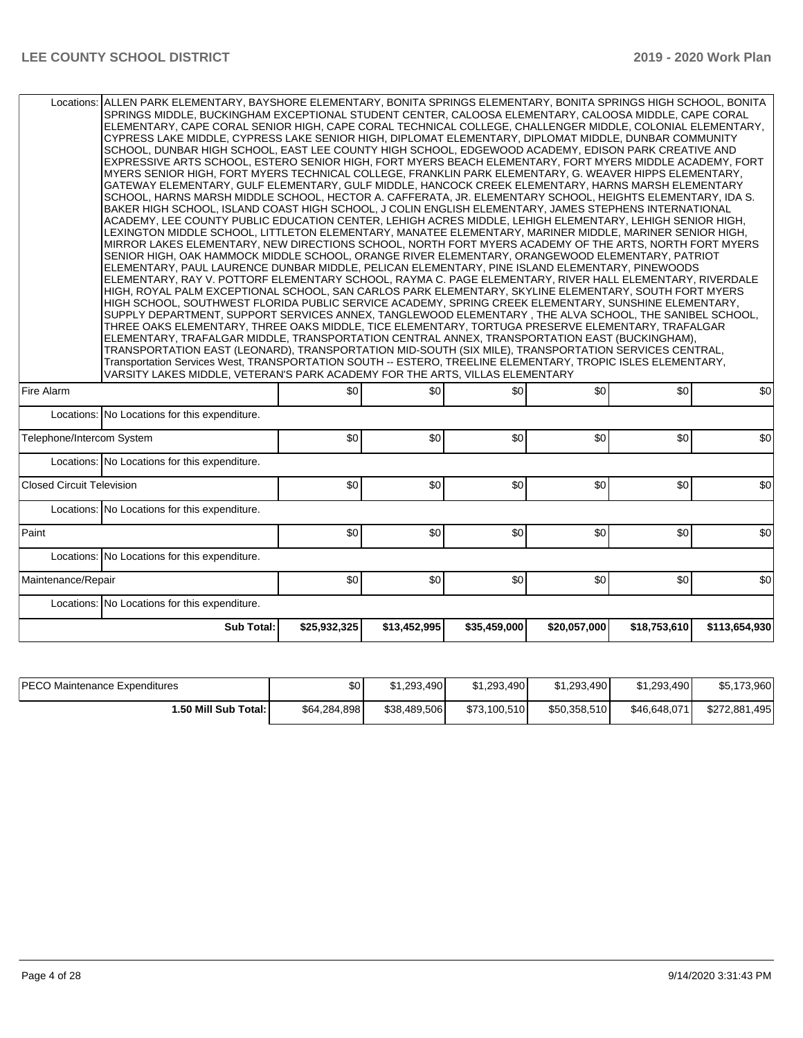| \$0<br>\$0<br>\$0<br>\$0<br>\$0<br>Locations: No Locations for this expenditure.<br>\$0<br>\$0<br>\$0<br>\$0<br>\$0<br>Telephone/Intercom System<br>Locations: No Locations for this expenditure.<br>\$0<br>\$0<br>\$0<br>\$0<br>\$0<br>Locations: No Locations for this expenditure.<br>\$0<br>\$0<br>\$0<br>\$0<br>\$0<br>Locations: No Locations for this expenditure.<br>\$0<br>\$0<br>\$0<br>\$0<br>\$0<br>Locations: No Locations for this expenditure.<br><b>Sub Total:</b><br>\$25,932,325<br>\$13,452,995<br>\$35,459,000<br>\$20,057,000<br>\$18,753,610 | Locations: ALLEN PARK ELEMENTARY, BAYSHORE ELEMENTARY, BONITA SPRINGS ELEMENTARY, BONITA SPRINGS HIGH SCHOOL, BONITA<br>SPRINGS MIDDLE, BUCKINGHAM EXCEPTIONAL STUDENT CENTER, CALOOSA ELEMENTARY, CALOOSA MIDDLE, CAPE CORAL<br>ELEMENTARY, CAPE CORAL SENIOR HIGH, CAPE CORAL TECHNICAL COLLEGE, CHALLENGER MIDDLE, COLONIAL ELEMENTARY,<br>CYPRESS LAKE MIDDLE, CYPRESS LAKE SENIOR HIGH, DIPLOMAT ELEMENTARY, DIPLOMAT MIDDLE, DUNBAR COMMUNITY<br>SCHOOL, DUNBAR HIGH SCHOOL, EAST LEE COUNTY HIGH SCHOOL, EDGEWOOD ACADEMY, EDISON PARK CREATIVE AND<br>EXPRESSIVE ARTS SCHOOL, ESTERO SENIOR HIGH, FORT MYERS BEACH ELEMENTARY, FORT MYERS MIDDLE ACADEMY, FORT<br>MYERS SENIOR HIGH, FORT MYERS TECHNICAL COLLEGE, FRANKLIN PARK ELEMENTARY, G. WEAVER HIPPS ELEMENTARY,<br>GATEWAY ELEMENTARY, GULF ELEMENTARY, GULF MIDDLE, HANCOCK CREEK ELEMENTARY, HARNS MARSH ELEMENTARY<br>SCHOOL, HARNS MARSH MIDDLE SCHOOL, HECTOR A. CAFFERATA, JR. ELEMENTARY SCHOOL, HEIGHTS ELEMENTARY, IDA S.<br>BAKER HIGH SCHOOL, ISLAND COAST HIGH SCHOOL, J COLIN ENGLISH ELEMENTARY, JAMES STEPHENS INTERNATIONAL<br>ACADEMY, LEE COUNTY PUBLIC EDUCATION CENTER, LEHIGH ACRES MIDDLE, LEHIGH ELEMENTARY, LEHIGH SENIOR HIGH,<br>LEXINGTON MIDDLE SCHOOL, LITTLETON ELEMENTARY, MANATEE ELEMENTARY, MARINER MIDDLE, MARINER SENIOR HIGH,<br>MIRROR LAKES ELEMENTARY, NEW DIRECTIONS SCHOOL, NORTH FORT MYERS ACADEMY OF THE ARTS, NORTH FORT MYERS<br>SENIOR HIGH, OAK HAMMOCK MIDDLE SCHOOL, ORANGE RIVER ELEMENTARY, ORANGEWOOD ELEMENTARY, PATRIOT<br>ELEMENTARY, PAUL LAURENCE DUNBAR MIDDLE, PELICAN ELEMENTARY, PINE ISLAND ELEMENTARY, PINEWOODS<br>ELEMENTARY, RAY V. POTTORF ELEMENTARY SCHOOL, RAYMA C. PAGE ELEMENTARY, RIVER HALL ELEMENTARY, RIVERDALE<br>HIGH, ROYAL PALM EXCEPTIONAL SCHOOL, SAN CARLOS PARK ELEMENTARY, SKYLINE ELEMENTARY, SOUTH FORT MYERS<br>HIGH SCHOOL, SOUTHWEST FLORIDA PUBLIC SERVICE ACADEMY, SPRING CREEK ELEMENTARY, SUNSHINE ELEMENTARY,<br>SUPPLY DEPARTMENT, SUPPORT SERVICES ANNEX, TANGLEWOOD ELEMENTARY, THE ALVA SCHOOL, THE SANIBEL SCHOOL,<br>THREE OAKS ELEMENTARY, THREE OAKS MIDDLE, TICE ELEMENTARY, TORTUGA PRESERVE ELEMENTARY, TRAFALGAR<br>ELEMENTARY, TRAFALGAR MIDDLE, TRANSPORTATION CENTRAL ANNEX, TRANSPORTATION EAST (BUCKINGHAM),<br>TRANSPORTATION EAST (LEONARD), TRANSPORTATION MID-SOUTH (SIX MILE), TRANSPORTATION SERVICES CENTRAL,<br>Transportation Services West, TRANSPORTATION SOUTH -- ESTERO, TREELINE ELEMENTARY, TROPIC ISLES ELEMENTARY,<br>VARSITY LAKES MIDDLE, VETERAN'S PARK ACADEMY FOR THE ARTS, VILLAS ELEMENTARY |  |  |  |  |  |     |  |  |  |  |
|--------------------------------------------------------------------------------------------------------------------------------------------------------------------------------------------------------------------------------------------------------------------------------------------------------------------------------------------------------------------------------------------------------------------------------------------------------------------------------------------------------------------------------------------------------------------|--------------------------------------------------------------------------------------------------------------------------------------------------------------------------------------------------------------------------------------------------------------------------------------------------------------------------------------------------------------------------------------------------------------------------------------------------------------------------------------------------------------------------------------------------------------------------------------------------------------------------------------------------------------------------------------------------------------------------------------------------------------------------------------------------------------------------------------------------------------------------------------------------------------------------------------------------------------------------------------------------------------------------------------------------------------------------------------------------------------------------------------------------------------------------------------------------------------------------------------------------------------------------------------------------------------------------------------------------------------------------------------------------------------------------------------------------------------------------------------------------------------------------------------------------------------------------------------------------------------------------------------------------------------------------------------------------------------------------------------------------------------------------------------------------------------------------------------------------------------------------------------------------------------------------------------------------------------------------------------------------------------------------------------------------------------------------------------------------------------------------------------------------------------------------------------------------------------------------------------------------------------------------------------------------------------------------------------------------------------------------------------------------------------------------------------------------------------------------------------------------------------------------------------------------------------------------------------------------------|--|--|--|--|--|-----|--|--|--|--|
| \$0<br>\$0                                                                                                                                                                                                                                                                                                                                                                                                                                                                                                                                                         | Fire Alarm                                                                                                                                                                                                                                                                                                                                                                                                                                                                                                                                                                                                                                                                                                                                                                                                                                                                                                                                                                                                                                                                                                                                                                                                                                                                                                                                                                                                                                                                                                                                                                                                                                                                                                                                                                                                                                                                                                                                                                                                                                                                                                                                                                                                                                                                                                                                                                                                                                                                                                                                                                                             |  |  |  |  |  | \$0 |  |  |  |  |
|                                                                                                                                                                                                                                                                                                                                                                                                                                                                                                                                                                    |                                                                                                                                                                                                                                                                                                                                                                                                                                                                                                                                                                                                                                                                                                                                                                                                                                                                                                                                                                                                                                                                                                                                                                                                                                                                                                                                                                                                                                                                                                                                                                                                                                                                                                                                                                                                                                                                                                                                                                                                                                                                                                                                                                                                                                                                                                                                                                                                                                                                                                                                                                                                        |  |  |  |  |  |     |  |  |  |  |
|                                                                                                                                                                                                                                                                                                                                                                                                                                                                                                                                                                    |                                                                                                                                                                                                                                                                                                                                                                                                                                                                                                                                                                                                                                                                                                                                                                                                                                                                                                                                                                                                                                                                                                                                                                                                                                                                                                                                                                                                                                                                                                                                                                                                                                                                                                                                                                                                                                                                                                                                                                                                                                                                                                                                                                                                                                                                                                                                                                                                                                                                                                                                                                                                        |  |  |  |  |  |     |  |  |  |  |
|                                                                                                                                                                                                                                                                                                                                                                                                                                                                                                                                                                    |                                                                                                                                                                                                                                                                                                                                                                                                                                                                                                                                                                                                                                                                                                                                                                                                                                                                                                                                                                                                                                                                                                                                                                                                                                                                                                                                                                                                                                                                                                                                                                                                                                                                                                                                                                                                                                                                                                                                                                                                                                                                                                                                                                                                                                                                                                                                                                                                                                                                                                                                                                                                        |  |  |  |  |  |     |  |  |  |  |
|                                                                                                                                                                                                                                                                                                                                                                                                                                                                                                                                                                    | <b>Closed Circuit Television</b>                                                                                                                                                                                                                                                                                                                                                                                                                                                                                                                                                                                                                                                                                                                                                                                                                                                                                                                                                                                                                                                                                                                                                                                                                                                                                                                                                                                                                                                                                                                                                                                                                                                                                                                                                                                                                                                                                                                                                                                                                                                                                                                                                                                                                                                                                                                                                                                                                                                                                                                                                                       |  |  |  |  |  |     |  |  |  |  |
|                                                                                                                                                                                                                                                                                                                                                                                                                                                                                                                                                                    |                                                                                                                                                                                                                                                                                                                                                                                                                                                                                                                                                                                                                                                                                                                                                                                                                                                                                                                                                                                                                                                                                                                                                                                                                                                                                                                                                                                                                                                                                                                                                                                                                                                                                                                                                                                                                                                                                                                                                                                                                                                                                                                                                                                                                                                                                                                                                                                                                                                                                                                                                                                                        |  |  |  |  |  |     |  |  |  |  |
| \$0<br>\$113,654,930                                                                                                                                                                                                                                                                                                                                                                                                                                                                                                                                               | Paint                                                                                                                                                                                                                                                                                                                                                                                                                                                                                                                                                                                                                                                                                                                                                                                                                                                                                                                                                                                                                                                                                                                                                                                                                                                                                                                                                                                                                                                                                                                                                                                                                                                                                                                                                                                                                                                                                                                                                                                                                                                                                                                                                                                                                                                                                                                                                                                                                                                                                                                                                                                                  |  |  |  |  |  | \$0 |  |  |  |  |
|                                                                                                                                                                                                                                                                                                                                                                                                                                                                                                                                                                    |                                                                                                                                                                                                                                                                                                                                                                                                                                                                                                                                                                                                                                                                                                                                                                                                                                                                                                                                                                                                                                                                                                                                                                                                                                                                                                                                                                                                                                                                                                                                                                                                                                                                                                                                                                                                                                                                                                                                                                                                                                                                                                                                                                                                                                                                                                                                                                                                                                                                                                                                                                                                        |  |  |  |  |  |     |  |  |  |  |
|                                                                                                                                                                                                                                                                                                                                                                                                                                                                                                                                                                    | Maintenance/Repair                                                                                                                                                                                                                                                                                                                                                                                                                                                                                                                                                                                                                                                                                                                                                                                                                                                                                                                                                                                                                                                                                                                                                                                                                                                                                                                                                                                                                                                                                                                                                                                                                                                                                                                                                                                                                                                                                                                                                                                                                                                                                                                                                                                                                                                                                                                                                                                                                                                                                                                                                                                     |  |  |  |  |  |     |  |  |  |  |
|                                                                                                                                                                                                                                                                                                                                                                                                                                                                                                                                                                    |                                                                                                                                                                                                                                                                                                                                                                                                                                                                                                                                                                                                                                                                                                                                                                                                                                                                                                                                                                                                                                                                                                                                                                                                                                                                                                                                                                                                                                                                                                                                                                                                                                                                                                                                                                                                                                                                                                                                                                                                                                                                                                                                                                                                                                                                                                                                                                                                                                                                                                                                                                                                        |  |  |  |  |  |     |  |  |  |  |
|                                                                                                                                                                                                                                                                                                                                                                                                                                                                                                                                                                    |                                                                                                                                                                                                                                                                                                                                                                                                                                                                                                                                                                                                                                                                                                                                                                                                                                                                                                                                                                                                                                                                                                                                                                                                                                                                                                                                                                                                                                                                                                                                                                                                                                                                                                                                                                                                                                                                                                                                                                                                                                                                                                                                                                                                                                                                                                                                                                                                                                                                                                                                                                                                        |  |  |  |  |  |     |  |  |  |  |

| <b>PECO Maintenance Expenditures</b> | ا 30         | \$1,293,490  | \$1,293,490  | \$1.293.490  | \$1.293.490  | \$5,173,960   |
|--------------------------------------|--------------|--------------|--------------|--------------|--------------|---------------|
| <b>⊥.50 Mill Sub Total: I</b>        | \$64,284,898 | \$38,489,506 | \$73,100,510 | \$50.358,510 | \$46,648,071 | \$272,881,495 |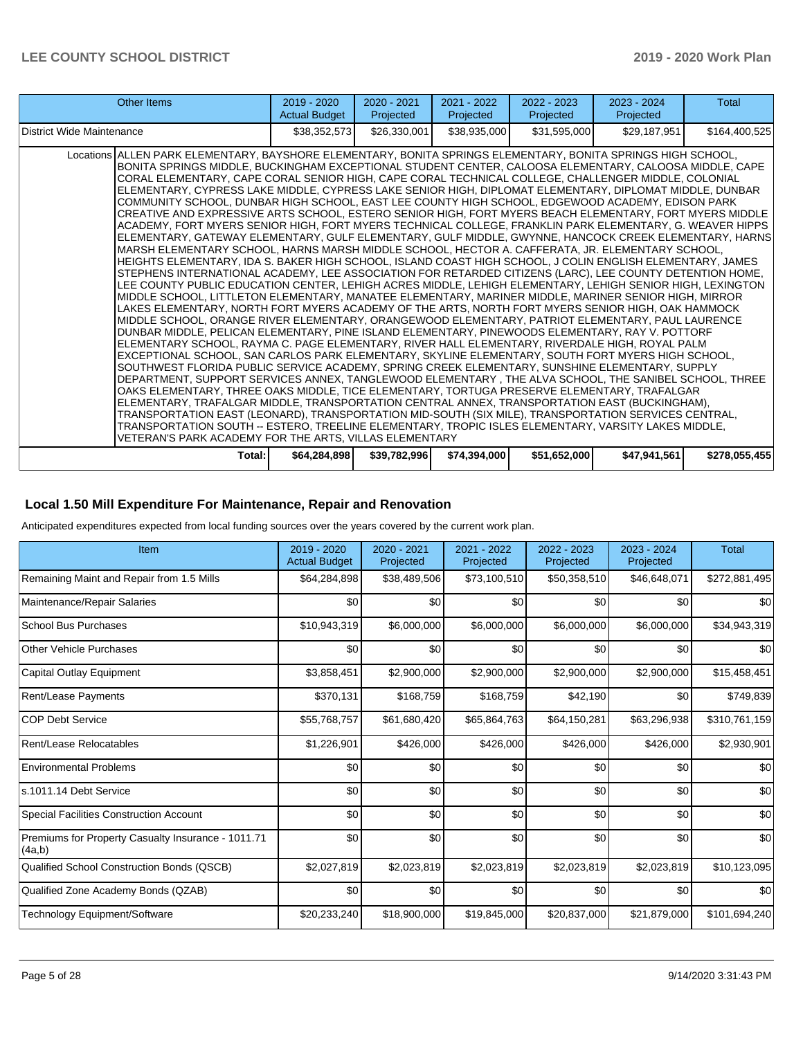| Other Items                                                                                                                                                                                                                                                                                                                                                                                                                                                                                                                                                                                                                                                                                                                                                                                                                                                                                                                                                                                                                                                                                                                                                                                                                                                                                                                                                                                                                                                                                                                                                                                                                                                                                                                                                                                                                                                                                                                                                                                                                                                                                                                                                                                                                                                                                                                                                                                                                                                                                                                                                                                                                           | $2019 - 2020$<br><b>Actual Budget</b> | $2020 - 2021$<br>Projected | $2021 - 2022$<br>Projected | $2022 - 2023$<br>Projected | $2023 - 2024$<br>Projected | <b>Total</b>  |
|---------------------------------------------------------------------------------------------------------------------------------------------------------------------------------------------------------------------------------------------------------------------------------------------------------------------------------------------------------------------------------------------------------------------------------------------------------------------------------------------------------------------------------------------------------------------------------------------------------------------------------------------------------------------------------------------------------------------------------------------------------------------------------------------------------------------------------------------------------------------------------------------------------------------------------------------------------------------------------------------------------------------------------------------------------------------------------------------------------------------------------------------------------------------------------------------------------------------------------------------------------------------------------------------------------------------------------------------------------------------------------------------------------------------------------------------------------------------------------------------------------------------------------------------------------------------------------------------------------------------------------------------------------------------------------------------------------------------------------------------------------------------------------------------------------------------------------------------------------------------------------------------------------------------------------------------------------------------------------------------------------------------------------------------------------------------------------------------------------------------------------------------------------------------------------------------------------------------------------------------------------------------------------------------------------------------------------------------------------------------------------------------------------------------------------------------------------------------------------------------------------------------------------------------------------------------------------------------------------------------------------------|---------------------------------------|----------------------------|----------------------------|----------------------------|----------------------------|---------------|
| District Wide Maintenance                                                                                                                                                                                                                                                                                                                                                                                                                                                                                                                                                                                                                                                                                                                                                                                                                                                                                                                                                                                                                                                                                                                                                                                                                                                                                                                                                                                                                                                                                                                                                                                                                                                                                                                                                                                                                                                                                                                                                                                                                                                                                                                                                                                                                                                                                                                                                                                                                                                                                                                                                                                                             | \$38,352,573                          | \$26,330,001               | \$38,935,000               | \$31,595,000               | \$29,187,951               | \$164,400,525 |
| Locations ALLEN PARK ELEMENTARY, BAYSHORE ELEMENTARY, BONITA SPRINGS ELEMENTARY, BONITA SPRINGS HIGH SCHOOL,<br>BONITA SPRINGS MIDDLE, BUCKINGHAM EXCEPTIONAL STUDENT CENTER, CALOOSA ELEMENTARY, CALOOSA MIDDLE, CAPE<br>CORAL ELEMENTARY, CAPE CORAL SENIOR HIGH, CAPE CORAL TECHNICAL COLLEGE, CHALLENGER MIDDLE, COLONIAL<br>ELEMENTARY, CYPRESS LAKE MIDDLE, CYPRESS LAKE SENIOR HIGH, DIPLOMAT ELEMENTARY, DIPLOMAT MIDDLE, DUNBAR<br>COMMUNITY SCHOOL. DUNBAR HIGH SCHOOL. EAST LEE COUNTY HIGH SCHOOL. EDGEWOOD ACADEMY. EDISON PARK<br>CREATIVE AND EXPRESSIVE ARTS SCHOOL, ESTERO SENIOR HIGH, FORT MYERS BEACH ELEMENTARY, FORT MYERS MIDDLE<br>ACADEMY, FORT MYERS SENIOR HIGH, FORT MYERS TECHNICAL COLLEGE, FRANKLIN PARK ELEMENTARY, G. WEAVER HIPPS<br>ELEMENTARY, GATEWAY ELEMENTARY, GULF ELEMENTARY, GULF MIDDLE, GWYNNE, HANCOCK CREEK ELEMENTARY, HARNS<br>MARSH ELEMENTARY SCHOOL, HARNS MARSH MIDDLE SCHOOL, HECTOR A. CAFFERATA, JR. ELEMENTARY SCHOOL,<br>HEIGHTS ELEMENTARY, IDA S. BAKER HIGH SCHOOL, ISLAND COAST HIGH SCHOOL, J COLIN ENGLISH ELEMENTARY, JAMES<br>STEPHENS INTERNATIONAL ACADEMY, LEE ASSOCIATION FOR RETARDED CITIZENS (LARC), LEE COUNTY DETENTION HOME,<br>LEE COUNTY PUBLIC EDUCATION CENTER, LEHIGH ACRES MIDDLE, LEHIGH ELEMENTARY, LEHIGH SENIOR HIGH, LEXINGTON<br>MIDDLE SCHOOL, LITTLETON ELEMENTARY, MANATEE ELEMENTARY, MARINER MIDDLE, MARINER SENIOR HIGH, MIRROR<br>LAKES ELEMENTARY, NORTH FORT MYERS ACADEMY OF THE ARTS, NORTH FORT MYERS SENIOR HIGH, OAK HAMMOCK<br>MIDDLE SCHOOL, ORANGE RIVER ELEMENTARY, ORANGEWOOD ELEMENTARY, PATRIOT ELEMENTARY, PAUL LAURENCE<br>DUNBAR MIDDLE, PELICAN ELEMENTARY, PINE ISLAND ELEMENTARY, PINEWOODS ELEMENTARY, RAY V. POTTORF<br>ELEMENTARY SCHOOL, RAYMA C. PAGE ELEMENTARY, RIVER HALL ELEMENTARY, RIVERDALE HIGH, ROYAL PALM<br>EXCEPTIONAL SCHOOL, SAN CARLOS PARK ELEMENTARY, SKYLINE ELEMENTARY, SOUTH FORT MYERS HIGH SCHOOL,<br>SOUTHWEST FLORIDA PUBLIC SERVICE ACADEMY, SPRING CREEK ELEMENTARY, SUNSHINE ELEMENTARY, SUPPLY<br>DEPARTMENT, SUPPORT SERVICES ANNEX, TANGLEWOOD ELEMENTARY , THE ALVA SCHOOL, THE SANIBEL SCHOOL, THREE<br>OAKS ELEMENTARY, THREE OAKS MIDDLE, TICE ELEMENTARY, TORTUGA PRESERVE ELEMENTARY, TRAFALGAR<br>ELEMENTARY, TRAFALGAR MIDDLE, TRANSPORTATION CENTRAL ANNEX, TRANSPORTATION EAST (BUCKINGHAM),<br>TRANSPORTATION EAST (LEONARD), TRANSPORTATION MID-SOUTH (SIX MILE), TRANSPORTATION SERVICES CENTRAL,<br>TRANSPORTATION SOUTH -- ESTERO, TREELINE ELEMENTARY, TROPIC ISLES ELEMENTARY, VARSITY LAKES MIDDLE,<br>VETERAN'S PARK ACADEMY FOR THE ARTS, VILLAS ELEMENTARY |                                       |                            |                            |                            |                            |               |
| Total:                                                                                                                                                                                                                                                                                                                                                                                                                                                                                                                                                                                                                                                                                                                                                                                                                                                                                                                                                                                                                                                                                                                                                                                                                                                                                                                                                                                                                                                                                                                                                                                                                                                                                                                                                                                                                                                                                                                                                                                                                                                                                                                                                                                                                                                                                                                                                                                                                                                                                                                                                                                                                                | \$64,284,898                          | \$39,782,996               | \$74,394,000               | \$51,652,000               | \$47,941,561               | \$278,055,455 |

## **Local 1.50 Mill Expenditure For Maintenance, Repair and Renovation**

Anticipated expenditures expected from local funding sources over the years covered by the current work plan.

| Item                                                         | 2019 - 2020<br><b>Actual Budget</b> | 2020 - 2021<br>Projected | 2021 - 2022<br>Projected | 2022 - 2023<br>Projected | 2023 - 2024<br>Projected | <b>Total</b>  |
|--------------------------------------------------------------|-------------------------------------|--------------------------|--------------------------|--------------------------|--------------------------|---------------|
| Remaining Maint and Repair from 1.5 Mills                    | \$64,284,898                        | \$38,489,506             | \$73,100,510             | \$50,358,510             | \$46,648,071             | \$272,881,495 |
| Maintenance/Repair Salaries                                  | \$0                                 | \$0                      | \$0                      | \$0                      | \$0                      | \$0           |
| <b>School Bus Purchases</b>                                  | \$10,943,319                        | \$6,000,000              | \$6,000,000              | \$6,000,000              | \$6,000,000              | \$34,943,319  |
| <b>Other Vehicle Purchases</b>                               | \$0                                 | \$0                      | \$0                      | \$0                      | \$0                      | \$0           |
| Capital Outlay Equipment                                     | \$3,858,451                         | \$2,900,000              | \$2,900,000              | \$2,900,000              | \$2,900,000              | \$15,458,451  |
| Rent/Lease Payments                                          | \$370,131                           | \$168,759                | \$168,759                | \$42,190                 | \$0                      | \$749,839     |
| <b>COP Debt Service</b>                                      | \$55,768,757                        | \$61,680,420             | \$65,864,763             | \$64,150,281             | \$63,296,938             | \$310,761,159 |
| Rent/Lease Relocatables                                      | \$1,226,901                         | \$426,000                | \$426,000                | \$426,000                | \$426,000                | \$2,930,901   |
| <b>Environmental Problems</b>                                | \$0                                 | \$0                      | \$0                      | \$0                      | \$0                      | \$0           |
| ls.1011.14 Debt Service                                      | \$0                                 | \$0                      | \$0                      | \$0                      | \$0                      | \$0           |
| Special Facilities Construction Account                      | \$0                                 | \$0                      | \$0                      | \$0                      | \$0                      | \$0           |
| Premiums for Property Casualty Insurance - 1011.71<br>(4a,b) | \$0                                 | \$0                      | \$0                      | \$0                      | \$0                      | \$0           |
| Qualified School Construction Bonds (QSCB)                   | \$2,027,819                         | \$2,023,819              | \$2,023,819              | \$2,023,819              | \$2,023,819              | \$10,123,095  |
| Qualified Zone Academy Bonds (QZAB)                          | \$0                                 | \$0                      | \$0                      | \$0                      | \$0                      | \$0           |
| Technology Equipment/Software                                | \$20,233,240                        | \$18,900,000             | \$19,845,000             | \$20,837,000             | \$21,879,000             | \$101,694,240 |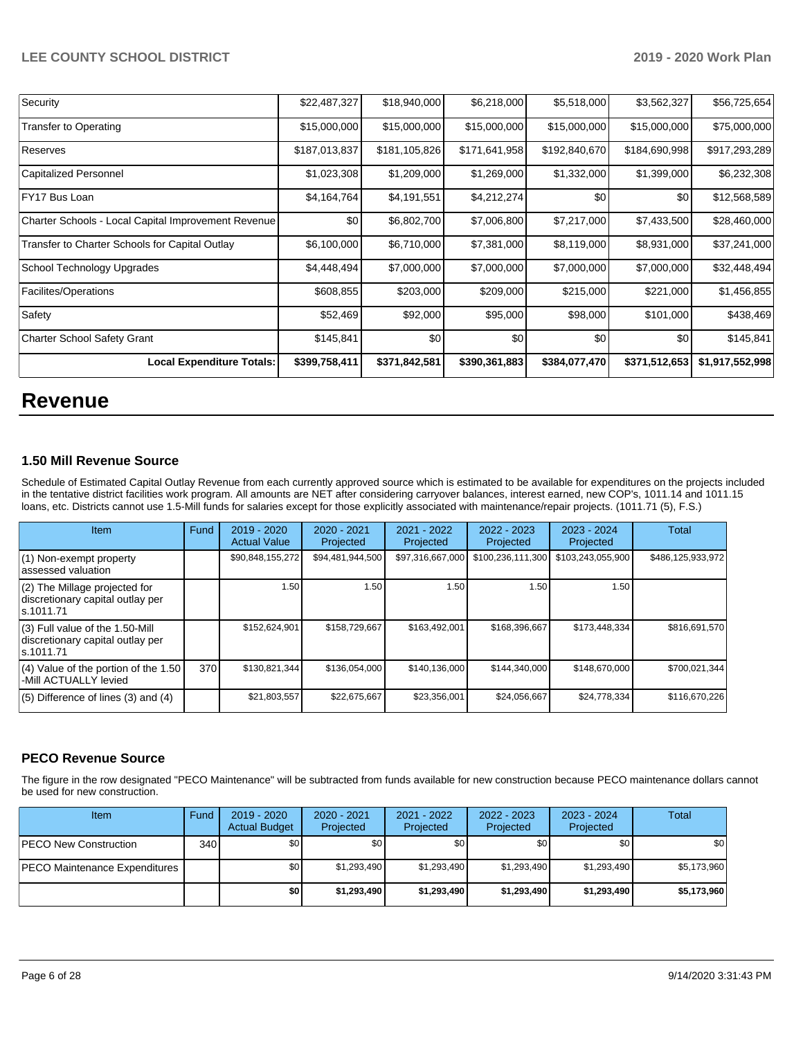| Security                                            | \$22,487,327  | \$18,940,000  | \$6,218,000   | \$5,518,000   | \$3,562,327   | \$56,725,654    |
|-----------------------------------------------------|---------------|---------------|---------------|---------------|---------------|-----------------|
| Transfer to Operating                               | \$15,000,000  | \$15,000,000  | \$15,000,000  | \$15,000,000  | \$15,000,000  | \$75,000,000    |
| Reserves                                            | \$187,013,837 | \$181,105,826 | \$171,641,958 | \$192,840,670 | \$184,690,998 | \$917,293,289   |
| <b>Capitalized Personnel</b>                        | \$1,023,308   | \$1,209,000   | \$1,269,000   | \$1,332,000   | \$1,399,000   | \$6,232,308     |
| FY17 Bus Loan                                       | \$4,164,764   | \$4,191,551   | \$4,212,274   | \$0           | \$0           | \$12,568,589    |
| Charter Schools - Local Capital Improvement Revenue | \$0           | \$6,802,700   | \$7,006,800   | \$7,217,000   | \$7,433,500   | \$28,460,000    |
| Transfer to Charter Schools for Capital Outlay      | \$6,100,000   | \$6,710,000   | \$7,381,000   | \$8,119,000   | \$8,931,000   | \$37,241,000    |
| School Technology Upgrades                          | \$4,448,494   | \$7,000,000   | \$7,000,000   | \$7,000,000   | \$7,000,000   | \$32,448,494    |
| Facilites/Operations                                | \$608,855     | \$203,000     | \$209,000     | \$215,000     | \$221,000     | \$1,456,855     |
| Safety                                              | \$52,469      | \$92,000      | \$95,000      | \$98,000      | \$101,000     | \$438,469       |
| Charter School Safety Grant                         | \$145,841     | \$0           | \$0           | \$0           | \$0           | \$145,841       |
| <b>Local Expenditure Totals:</b>                    | \$399,758,411 | \$371,842,581 | \$390,361,883 | \$384,077,470 | \$371,512,653 | \$1,917,552,998 |

# **Revenue**

## **1.50 Mill Revenue Source**

Schedule of Estimated Capital Outlay Revenue from each currently approved source which is estimated to be available for expenditures on the projects included in the tentative district facilities work program. All amounts are NET after considering carryover balances, interest earned, new COP's, 1011.14 and 1011.15 loans, etc. Districts cannot use 1.5-Mill funds for salaries except for those explicitly associated with maintenance/repair projects. (1011.71 (5), F.S.)

| <b>Item</b>                                                                         | Fund | 2019 - 2020<br><b>Actual Value</b> | $2020 - 2021$<br>Projected | 2021 - 2022<br>Projected | $2022 - 2023$<br>Projected | $2023 - 2024$<br>Projected | Total             |
|-------------------------------------------------------------------------------------|------|------------------------------------|----------------------------|--------------------------|----------------------------|----------------------------|-------------------|
| (1) Non-exempt property<br>lassessed valuation                                      |      | \$90,848,155,272                   | \$94,481,944,500           | \$97,316,667,000         | \$100,236,111,300          | \$103,243,055,900          | \$486,125,933,972 |
| (2) The Millage projected for<br>discretionary capital outlay per<br>ls.1011.71     |      | 1.50                               | 1.50                       | 1.50                     | 1.50                       | 1.50                       |                   |
| $(3)$ Full value of the 1.50-Mill<br>discretionary capital outlay per<br>ls.1011.71 |      | \$152,624,901                      | \$158.729.667              | \$163,492,001            | \$168,396,667              | \$173.448.334              | \$816,691,570     |
| $(4)$ Value of the portion of the 1.50<br>-Mill ACTUALLY levied                     | 370  | \$130,821,344                      | \$136,054,000              | \$140,136,000            | \$144,340,000              | \$148,670,000              | \$700,021,344     |
| $(5)$ Difference of lines $(3)$ and $(4)$                                           |      | \$21,803,557                       | \$22.675.667               | \$23,356,001             | \$24,056,667               | \$24.778.334               | \$116.670.226     |

### **PECO Revenue Source**

The figure in the row designated "PECO Maintenance" will be subtracted from funds available for new construction because PECO maintenance dollars cannot be used for new construction.

| Item                                 | Fund | $2019 - 2020$<br><b>Actual Budget</b> | $2020 - 2021$<br>Projected | 2021 - 2022<br>Projected | 2022 - 2023<br>Projected | $2023 - 2024$<br>Projected | Total       |
|--------------------------------------|------|---------------------------------------|----------------------------|--------------------------|--------------------------|----------------------------|-------------|
| <b>IPECO New Construction</b>        | 340  | \$0                                   | \$0 <sub>1</sub>           | \$0                      | \$0                      | \$0                        | <b>\$01</b> |
| <b>PECO Maintenance Expenditures</b> |      | \$0                                   | \$1,293,490                | \$1,293,490              | \$1,293,490              | \$1,293,490                | \$5,173,960 |
|                                      |      | \$0                                   | \$1,293,490                | \$1,293,490              | \$1,293,490              | \$1,293,490                | \$5,173,960 |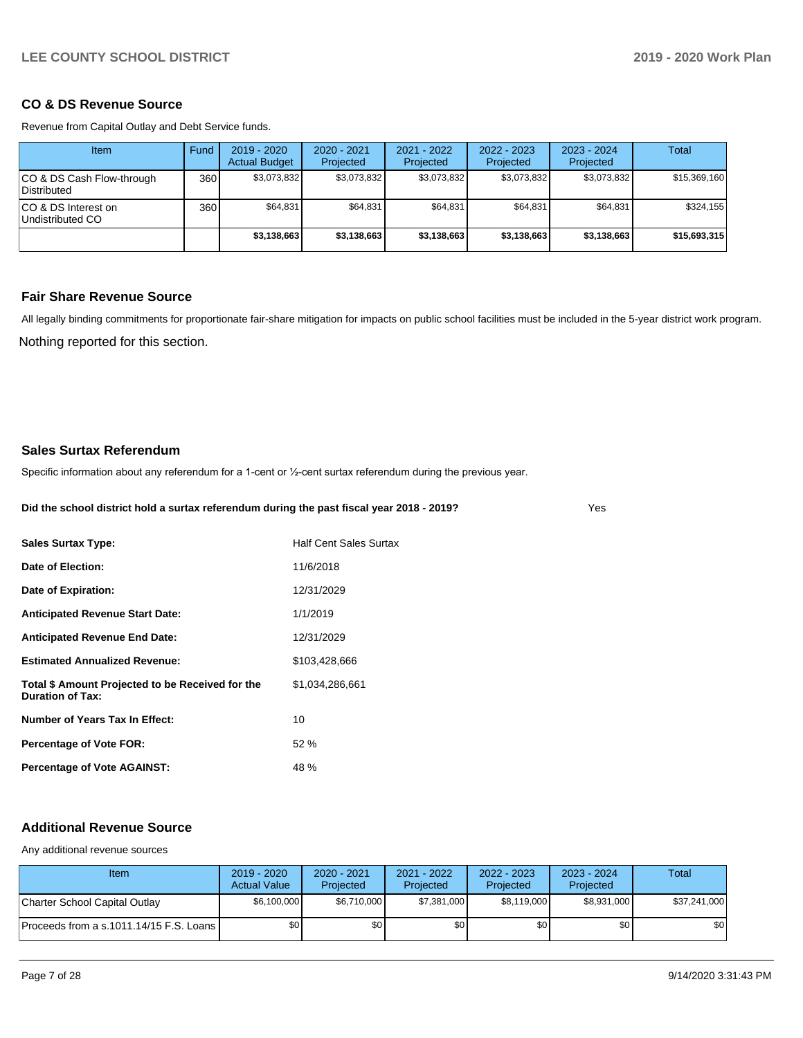## **CO & DS Revenue Source**

Revenue from Capital Outlay and Debt Service funds.

| Item                                      | Fund | 2019 - 2020<br><b>Actual Budget</b> | 2020 - 2021<br>Projected | $2021 - 2022$<br>Projected | 2022 - 2023<br>Projected | $2023 - 2024$<br>Projected | Total        |
|-------------------------------------------|------|-------------------------------------|--------------------------|----------------------------|--------------------------|----------------------------|--------------|
| ICO & DS Cash Flow-through<br>Distributed | 360  | \$3.073.832                         | \$3,073,832              | \$3,073,832                | \$3,073,832              | \$3,073,832                | \$15,369,160 |
| ICO & DS Interest on<br>Undistributed CO  | 360  | \$64.831                            | \$64.831                 | \$64.831                   | \$64,831                 | \$64.831                   | \$324,155    |
|                                           |      | \$3,138,663                         | \$3,138,663              | \$3,138,663                | \$3,138,663              | \$3,138,663                | \$15,693,315 |

## **Fair Share Revenue Source**

Nothing reported for this section. All legally binding commitments for proportionate fair-share mitigation for impacts on public school facilities must be included in the 5-year district work program.

### **Sales Surtax Referendum**

Specific information about any referendum for a 1-cent or 1/2-cent surtax referendum during the previous year.

**Did the school district hold a surtax referendum during the past fiscal year 2018 - 2019?**

Yes

| <b>Sales Surtax Type:</b>                                            | <b>Half Cent Sales Surtax</b> |
|----------------------------------------------------------------------|-------------------------------|
| Date of Election:                                                    | 11/6/2018                     |
| Date of Expiration:                                                  | 12/31/2029                    |
| <b>Anticipated Revenue Start Date:</b>                               | 1/1/2019                      |
| <b>Anticipated Revenue End Date:</b>                                 | 12/31/2029                    |
| <b>Estimated Annualized Revenue:</b>                                 | \$103,428,666                 |
| Total \$ Amount Projected to be Received for the<br>Duration of Tax: | \$1,034,286,661               |
| Number of Years Tax In Effect:                                       | 10                            |
| Percentage of Vote FOR:                                              | 52%                           |
| <b>Percentage of Vote AGAINST:</b>                                   | 48 %                          |

### **Additional Revenue Source**

Any additional revenue sources

| Item                                      | $2019 - 2020$<br><b>Actual Value</b> | $2020 - 2021$<br>Projected | 2021 - 2022<br>Projected | $2022 - 2023$<br>Projected | 2023 - 2024<br>Projected | Total        |
|-------------------------------------------|--------------------------------------|----------------------------|--------------------------|----------------------------|--------------------------|--------------|
| Charter School Capital Outlay             | \$6,100,000                          | \$6.710.000                | \$7,381,000              | \$8,119,000                | \$8,931,000              | \$37,241,000 |
| Proceeds from a s.1011.14/15 F.S. Loans I | \$0                                  | \$0                        | \$0                      | \$0                        | \$0                      | \$0          |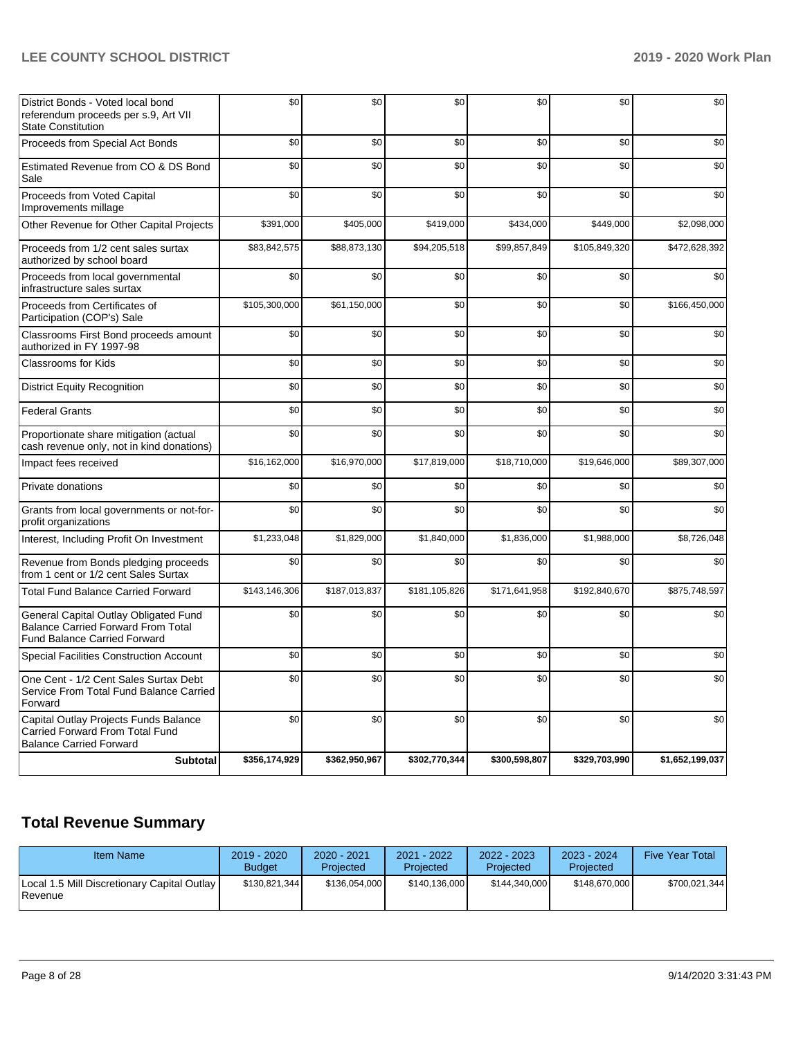| District Bonds - Voted local bond<br>referendum proceeds per s.9, Art VII<br><b>State Constitution</b>                    | \$0           | \$0           | \$0           | \$0           | \$0           | \$0             |
|---------------------------------------------------------------------------------------------------------------------------|---------------|---------------|---------------|---------------|---------------|-----------------|
| Proceeds from Special Act Bonds                                                                                           | \$0           | \$0           | \$0           | \$0           | \$0           | \$0             |
| Estimated Revenue from CO & DS Bond<br>Sale                                                                               | \$0           | \$0           | \$0           | \$0           | \$0           | \$0             |
| Proceeds from Voted Capital<br>Improvements millage                                                                       | \$0           | \$0           | \$0           | \$0           | \$0           | \$0             |
| Other Revenue for Other Capital Projects                                                                                  | \$391,000     | \$405,000     | \$419,000     | \$434,000     | \$449,000     | \$2,098,000     |
| Proceeds from 1/2 cent sales surtax<br>authorized by school board                                                         | \$83,842,575  | \$88,873,130  | \$94,205,518  | \$99,857,849  | \$105,849,320 | \$472,628,392   |
| Proceeds from local governmental<br>infrastructure sales surtax                                                           | \$0           | \$0           | \$0           | \$0           | \$0           | \$0             |
| Proceeds from Certificates of<br>Participation (COP's) Sale                                                               | \$105,300,000 | \$61,150,000  | \$0           | \$0           | \$0           | \$166,450,000   |
| Classrooms First Bond proceeds amount<br>authorized in FY 1997-98                                                         | \$0           | \$0           | \$0           | \$0           | \$0           | \$0             |
| <b>Classrooms for Kids</b>                                                                                                | \$0           | \$0           | \$0           | \$0           | \$0           | \$0             |
| <b>District Equity Recognition</b>                                                                                        | \$0           | \$0           | \$0           | \$0           | \$0           | \$0             |
| <b>Federal Grants</b>                                                                                                     | \$0           | \$0           | \$0           | \$0           | \$0           | \$0             |
| Proportionate share mitigation (actual<br>cash revenue only, not in kind donations)                                       | \$0           | \$0           | \$0           | \$0           | \$0           | \$0             |
| Impact fees received                                                                                                      | \$16,162,000  | \$16,970,000  | \$17,819,000  | \$18,710,000  | \$19,646,000  | \$89,307,000    |
| Private donations                                                                                                         | \$0           | \$0           | \$0           | \$0           | \$0           | \$0             |
| Grants from local governments or not-for-<br>profit organizations                                                         | \$0           | \$0           | \$0           | \$0           | \$0           | \$0             |
| Interest, Including Profit On Investment                                                                                  | \$1,233,048   | \$1,829,000   | \$1,840,000   | \$1,836,000   | \$1,988,000   | \$8,726,048     |
| Revenue from Bonds pledging proceeds<br>from 1 cent or 1/2 cent Sales Surtax                                              | \$0           | \$0           | \$0           | \$0           | \$0           | \$0             |
| <b>Total Fund Balance Carried Forward</b>                                                                                 | \$143,146,306 | \$187,013,837 | \$181,105,826 | \$171,641,958 | \$192,840,670 | \$875,748,597   |
| General Capital Outlay Obligated Fund<br><b>Balance Carried Forward From Total</b><br><b>Fund Balance Carried Forward</b> | \$0           | \$0           | \$0           | \$0           | \$0           | \$0             |
| <b>Special Facilities Construction Account</b>                                                                            | \$0           | \$0           | \$0           | \$0           | \$0           | \$0             |
| One Cent - 1/2 Cent Sales Surtax Debt<br>Service From Total Fund Balance Carried<br>Forward                               | \$0           | \$0           | \$0           | \$0           | \$0           | \$0             |
| Capital Outlay Projects Funds Balance<br>Carried Forward From Total Fund<br><b>Balance Carried Forward</b>                | \$0           | \$0           | \$0           | \$0           | \$0           | \$0             |
| <b>Subtotal</b>                                                                                                           | \$356,174,929 | \$362,950,967 | \$302,770,344 | \$300,598,807 | \$329,703,990 | \$1,652,199,037 |

# **Total Revenue Summary**

| Item Name                                                     | $2019 - 2020$<br><b>Budget</b> | $2020 - 2021$<br>Projected | $2021 - 2022$<br>Projected | $2022 - 2023$<br>Projected | $2023 - 2024$<br>Projected | <b>Five Year Total</b> |
|---------------------------------------------------------------|--------------------------------|----------------------------|----------------------------|----------------------------|----------------------------|------------------------|
| Local 1.5 Mill Discretionary Capital Outlay<br><b>Revenue</b> | \$130.821.344                  | \$136.054.000              | \$140.136.000              | \$144.340.000              | \$148.670.000              | \$700.021.344          |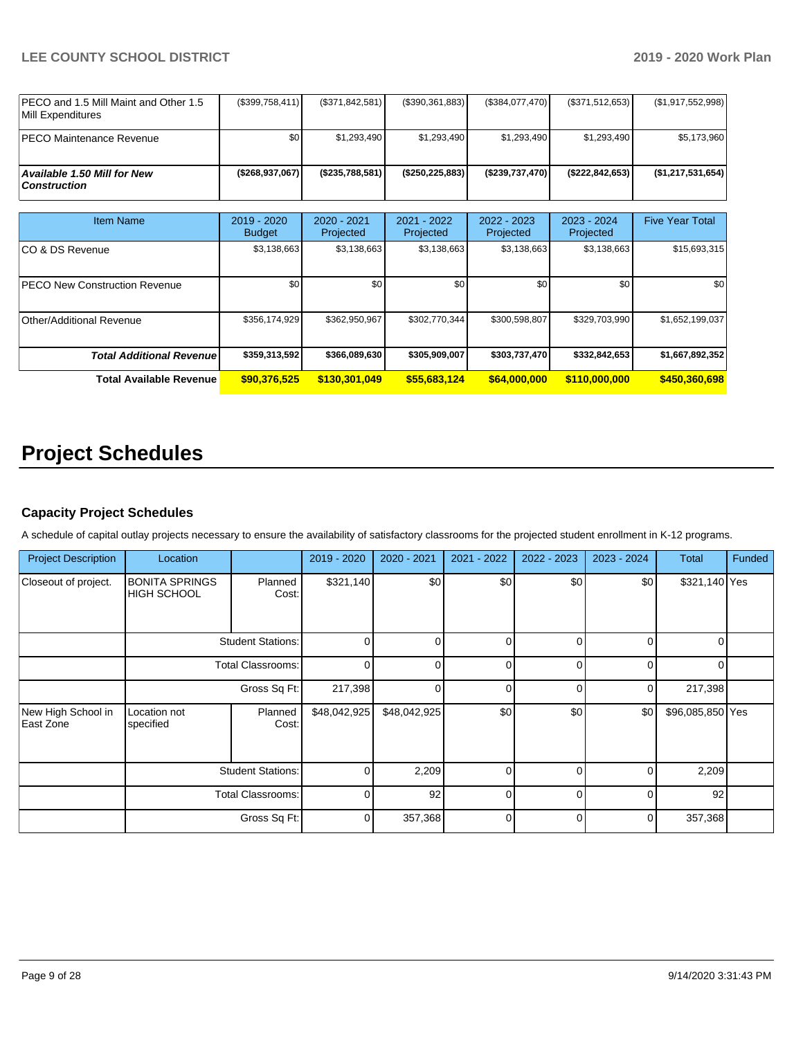| IPECO and 1.5 Mill Maint and Other 1.5<br><b>IMill Expenditures</b> | (\$399,758,411) | (S371.842.581) | (\$390,361,883)   | (\$384,077,470) | (S371.512.653)  | (\$1,917,552,998) |
|---------------------------------------------------------------------|-----------------|----------------|-------------------|-----------------|-----------------|-------------------|
| <b>IPECO Maintenance Revenue</b>                                    | \$0             | \$1,293,490    | \$1.293.490       | \$1.293.490     | \$1,293,490     | \$5,173,960       |
| Available 1.50 Mill for New<br>  Construction                       | (\$268,937,067) | (S235.788.581) | (\$250, 225, 883) | (\$239,737,470) | (\$222.842.653) | (\$1,217,531,654) |

| Item Name                             | $2019 - 2020$<br><b>Budget</b> | $2020 - 2021$<br>Projected | 2021 - 2022<br>Projected | $2022 - 2023$<br>Projected | $2023 - 2024$<br>Projected | <b>Five Year Total</b> |
|---------------------------------------|--------------------------------|----------------------------|--------------------------|----------------------------|----------------------------|------------------------|
| ICO & DS Revenue                      | \$3,138,663                    | \$3,138,663                | \$3,138,663              | \$3,138,663                | \$3,138,663                | \$15,693,315           |
| <b>IPECO New Construction Revenue</b> | \$0                            | \$0                        | \$0                      | \$0                        | \$0                        | \$0                    |
| Other/Additional Revenue              | \$356,174,929                  | \$362.950.967              | \$302,770,344            | \$300,598,807              | \$329,703,990              | \$1,652,199,037        |
| <b>Total Additional Revenue</b>       | \$359,313,592                  | \$366,089,630              | \$305,909,007            | \$303,737,470              | \$332,842,653              | \$1,667,892,352        |
| <b>Total Available Revenue</b>        | \$90,376,525                   | \$130,301,049              | \$55,683,124             | \$64,000,000               | \$110,000,000              | \$450,360,698          |

# **Project Schedules**

## **Capacity Project Schedules**

A schedule of capital outlay projects necessary to ensure the availability of satisfactory classrooms for the projected student enrollment in K-12 programs.

| <b>Project Description</b>      | Location                                    |                          | 2019 - 2020  | $2020 - 2021$ | 2021 - 2022 | 2022 - 2023 | 2023 - 2024 | <b>Total</b>     | Funded |
|---------------------------------|---------------------------------------------|--------------------------|--------------|---------------|-------------|-------------|-------------|------------------|--------|
| Closeout of project.            | <b>BONITA SPRINGS</b><br><b>HIGH SCHOOL</b> | Planned<br>Cost:         | \$321,140    | \$0           | \$0         | \$0         | \$0         | \$321,140 Yes    |        |
|                                 | <b>Student Stations:</b>                    |                          | $\Omega$     | <sup>0</sup>  | $\Omega$    | $\Omega$    | 0           | $\Omega$         |        |
|                                 |                                             | <b>Total Classrooms:</b> |              | $\Omega$      | $\Omega$    | 0           | $\Omega$    | $\Omega$         |        |
|                                 | Gross Sq Ft:                                |                          | 217,398      | $\Omega$      | $\Omega$    | $\Omega$    | 0           | 217,398          |        |
| New High School in<br>East Zone | Location not<br>specified                   | Planned<br>Cost:         | \$48,042,925 | \$48,042,925  | \$0         | \$0         | \$0         | \$96,085,850 Yes |        |
|                                 | <b>Student Stations:</b>                    |                          | $\Omega$     | 2,209         | $\Omega$    | $\Omega$    | $\Omega$    | 2,209            |        |
|                                 | <b>Total Classrooms:</b>                    |                          | $\Omega$     | 92            | $\Omega$    | $\Omega$    | $\Omega$    | 92               |        |
|                                 |                                             | Gross Sq Ft:             | 0            | 357,368       | $\Omega$    | $\Omega$    | 0           | 357,368          |        |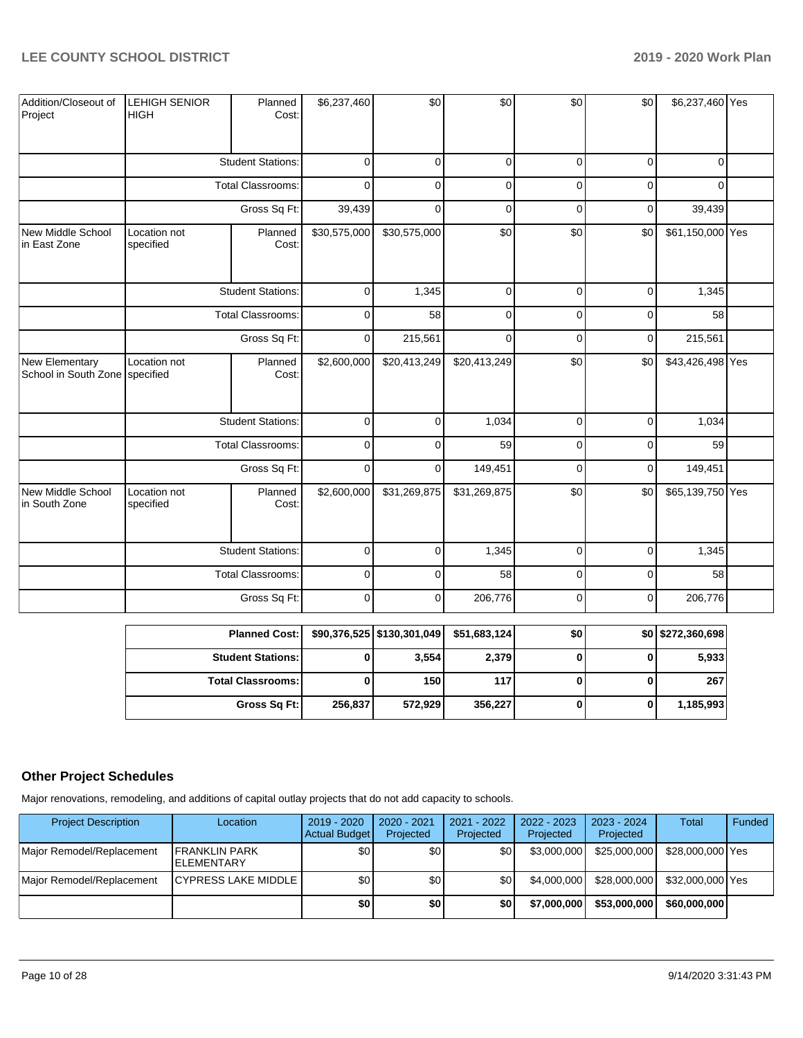| Addition/Closeout of<br>Project                  | <b>LEHIGH SENIOR</b><br><b>HIGH</b>                                  | Planned<br>Cost:         | \$6,237,460  | \$0          | \$0          | \$0         | \$0         | \$6,237,460 Yes  |  |
|--------------------------------------------------|----------------------------------------------------------------------|--------------------------|--------------|--------------|--------------|-------------|-------------|------------------|--|
|                                                  |                                                                      | <b>Student Stations:</b> | $\mathbf 0$  | 0            | $\mathbf 0$  | $\mathbf 0$ | $\mathbf 0$ | $\Omega$         |  |
|                                                  |                                                                      | Total Classrooms:        | $\mathbf 0$  | 0            | 0            | 0           | $\mathbf 0$ | $\mathbf 0$      |  |
|                                                  |                                                                      | Gross Sq Ft:             | 39,439       | 0            | 0            | $\mathbf 0$ | $\mathbf 0$ | 39,439           |  |
| New Middle School<br>in East Zone                | Location not<br>specified                                            | Planned<br>Cost:         | \$30,575,000 | \$30,575,000 | \$0          | \$0         | \$0         | \$61,150,000 Yes |  |
|                                                  | <b>Student Stations:</b><br><b>Total Classrooms:</b><br>Gross Sq Ft: |                          | $\mathbf 0$  | 1,345        | $\mathbf 0$  | $\mathbf 0$ | $\mathbf 0$ | 1,345            |  |
|                                                  |                                                                      |                          | $\mathbf 0$  | 58           | $\mathbf 0$  | $\mathbf 0$ | $\mathbf 0$ | 58               |  |
|                                                  |                                                                      |                          | $\mathbf 0$  | 215,561      | $\mathbf 0$  | $\mathbf 0$ | $\mathbf 0$ | 215,561          |  |
| New Elementary<br>School in South Zone specified | Location not                                                         | Planned<br>Cost:         | \$2,600,000  | \$20,413,249 | \$20,413,249 | \$0         | \$0         | \$43,426,498 Yes |  |
|                                                  |                                                                      | <b>Student Stations:</b> | $\mathbf 0$  | 0            | 1,034        | $\mathbf 0$ | $\mathbf 0$ | 1,034            |  |
|                                                  |                                                                      | Total Classrooms:        | $\mathbf 0$  | 0            | 59           | $\mathbf 0$ | $\mathbf 0$ | 59               |  |
|                                                  |                                                                      | Gross Sq Ft:             | 0            | 0            | 149,451      | $\mathbf 0$ | $\mathbf 0$ | 149,451          |  |
| New Middle School<br>in South Zone               | Location not<br>specified                                            | Planned<br>Cost:         | \$2,600,000  | \$31,269,875 | \$31,269,875 | \$0         | \$0         | \$65,139,750 Yes |  |
|                                                  |                                                                      | <b>Student Stations:</b> | $\mathbf 0$  | 0            | 1,345        | $\mathbf 0$ | $\mathbf 0$ | 1,345            |  |
|                                                  |                                                                      | <b>Total Classrooms:</b> | $\mathbf 0$  | 0            | 58           | $\mathbf 0$ | $\mathbf 0$ | 58               |  |
|                                                  |                                                                      | Gross Sq Ft:             | $\mathbf 0$  | 0            | 206,776      | $\mathbf 0$ | $\mathbf 0$ | 206,776          |  |

| <b>Planned Cost:</b>     |         | \$90,376,525   \$130,301,049 | \$51,683,124 | \$0 | \$0 \$272,360,698 |
|--------------------------|---------|------------------------------|--------------|-----|-------------------|
| <b>Student Stations:</b> |         | 3,554                        | 2,379        |     | 5,933             |
| <b>Total Classrooms:</b> |         | 150                          | 117          |     | 267               |
| Gross Sq Ft:             | 256,837 | 572,929                      | 356,227      |     | 1,185,993         |

## **Other Project Schedules**

Major renovations, remodeling, and additions of capital outlay projects that do not add capacity to schools.

| <b>Project Description</b> | Location                                    | $2019 - 2020$<br><b>Actual Budget</b> | 2020 - 2021<br>Projected | $2021 - 2022$<br>Projected | 2022 - 2023<br>Projected | 2023 - 2024<br>Projected | <b>Total</b>     | Funded |
|----------------------------|---------------------------------------------|---------------------------------------|--------------------------|----------------------------|--------------------------|--------------------------|------------------|--------|
| Major Remodel/Replacement  | <b>IFRANKLIN PARK</b><br><b>IELEMENTARY</b> | \$0                                   | ا 30                     | ا 30                       | \$3,000,000              | \$25,000,000             | \$28,000,000 Yes |        |
| Major Remodel/Replacement  | <b>CYPRESS LAKE MIDDLE</b>                  | \$0                                   | \$0 <sub>1</sub>         | ا 30                       | \$4,000,000              | \$28,000,000             | \$32,000,000 Yes |        |
|                            |                                             | \$0                                   | \$0                      | \$0                        | \$7,000,000              | \$53,000,000             | \$60,000,000     |        |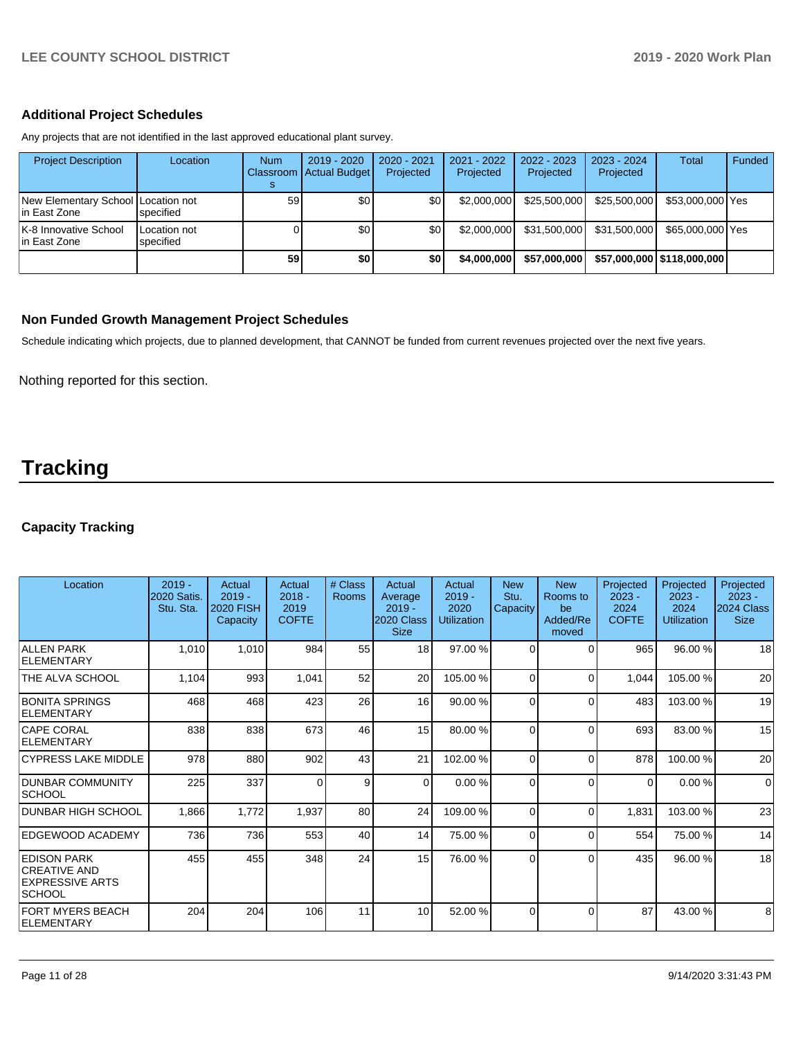## **Additional Project Schedules**

Any projects that are not identified in the last approved educational plant survey.

| <b>Project Description</b>                          | Location                  | <b>Num</b> | $2019 - 2020$<br>Classroom Actual Budget | $2020 - 2021$<br>Projected | 2021 - 2022<br>Projected | $2022 - 2023$<br>Projected | $2023 - 2024$<br>Projected | <b>Total</b>               | Funded |
|-----------------------------------------------------|---------------------------|------------|------------------------------------------|----------------------------|--------------------------|----------------------------|----------------------------|----------------------------|--------|
| New Elementary School Location not<br>lin East Zone | specified                 | 59         | \$0                                      | \$0 <sub>1</sub>           | \$2,000,000              | \$25,500,000               | \$25,500,000               | \$53,000,000 Yes           |        |
| K-8 Innovative School<br>lin East Zone              | Location not<br>specified |            | \$0                                      | \$0                        | \$2,000,000              | \$31,500,000               | \$31.500.000               | \$65,000,000 Yes           |        |
|                                                     |                           | 59         | \$0                                      | \$0                        | \$4,000,000              | \$57,000,000               |                            | \$57,000,000 \$118,000,000 |        |

## **Non Funded Growth Management Project Schedules**

Schedule indicating which projects, due to planned development, that CANNOT be funded from current revenues projected over the next five years.

Nothing reported for this section.

# **Tracking**

## **Capacity Tracking**

| Location                                                                       | $2019 -$<br><b>2020 Satis.</b><br>Stu. Sta. | Actual<br>$2019 -$<br><b>2020 FISH</b><br>Capacity | Actual<br>$2018 -$<br>2019<br><b>COFTE</b> | # Class<br><b>Rooms</b> | Actual<br>Average<br>$2019 -$<br>2020 Class<br><b>Size</b> | Actual<br>$2019 -$<br>2020<br><b>Utilization</b> | <b>New</b><br>Stu.<br>Capacity | <b>New</b><br>Rooms to<br>be<br>Added/Re<br>moved | Projected<br>$2023 -$<br>2024<br><b>COFTE</b> | Projected<br>$2023 -$<br>2024<br><b>Utilization</b> | Projected<br>$2023 -$<br>2024 Class<br><b>Size</b> |
|--------------------------------------------------------------------------------|---------------------------------------------|----------------------------------------------------|--------------------------------------------|-------------------------|------------------------------------------------------------|--------------------------------------------------|--------------------------------|---------------------------------------------------|-----------------------------------------------|-----------------------------------------------------|----------------------------------------------------|
| <b>ALLEN PARK</b><br><b>ELEMENTARY</b>                                         | 1,010                                       | 1,010                                              | 984                                        | 55                      | 18 <sup>1</sup>                                            | 97.00 %                                          | $\Omega$                       | $\Omega$                                          | 965                                           | 96.00 %                                             | 18                                                 |
| THE ALVA SCHOOL                                                                | 1,104                                       | 993                                                | 1,041                                      | 52                      | 20                                                         | 105.00 %                                         | $\Omega$                       | $\Omega$                                          | 1,044                                         | 105.00%                                             | 20                                                 |
| BONITA SPRINGS<br>ELEMENTARY                                                   | 468                                         | 468                                                | 423                                        | 26                      | 16 <sup>1</sup>                                            | 90.00 %                                          | $\Omega$                       | $\Omega$                                          | 483                                           | 103.00 %                                            | 19                                                 |
| <b>CAPE CORAL</b><br>ELEMENTARY                                                | 838                                         | 838                                                | 673                                        | 46                      | 15 <sup>1</sup>                                            | 80.00 %                                          | $\Omega$                       | $\Omega$                                          | 693                                           | 83.00 %                                             | 15                                                 |
| <b>CYPRESS LAKE MIDDLE</b>                                                     | 978                                         | 880                                                | 902                                        | 43                      | 21                                                         | 102.00%                                          | $\Omega$                       | $\Omega$                                          | 878                                           | 100.00%                                             | 20                                                 |
| <b>DUNBAR COMMUNITY</b><br> SCHOOL                                             | 225                                         | 337                                                | 0                                          | 9                       | $\Omega$                                                   | 0.00%                                            | $\Omega$                       | $\Omega$                                          | $\Omega$                                      | 0.00%                                               | $\mathbf 0$                                        |
| <b>IDUNBAR HIGH SCHOOL</b>                                                     | 1,866                                       | 1,772                                              | 1,937                                      | 80                      | 24                                                         | 109.00%                                          | $\Omega$                       | $\Omega$                                          | 1,831                                         | 103.00%                                             | 23                                                 |
| EDGEWOOD ACADEMY                                                               | 736                                         | 736                                                | 553                                        | 40                      | 14                                                         | 75.00 %                                          | 0                              | $\Omega$                                          | 554                                           | 75.00 %                                             | 14                                                 |
| <b>EDISON PARK</b><br><b>CREATIVE AND</b><br><b>EXPRESSIVE ARTS</b><br> SCHOOL | 455                                         | 455                                                | 348                                        | 24                      | 15                                                         | 76.00 %                                          | $\Omega$                       | $\Omega$                                          | 435                                           | 96.00 %                                             | 18                                                 |
| <b>FORT MYERS BEACH</b><br>ELEMENTARY                                          | 204                                         | 204                                                | 106                                        | 11                      | 10                                                         | 52.00 %                                          | $\Omega$                       | $\Omega$                                          | 87                                            | 43.00 %                                             | 8                                                  |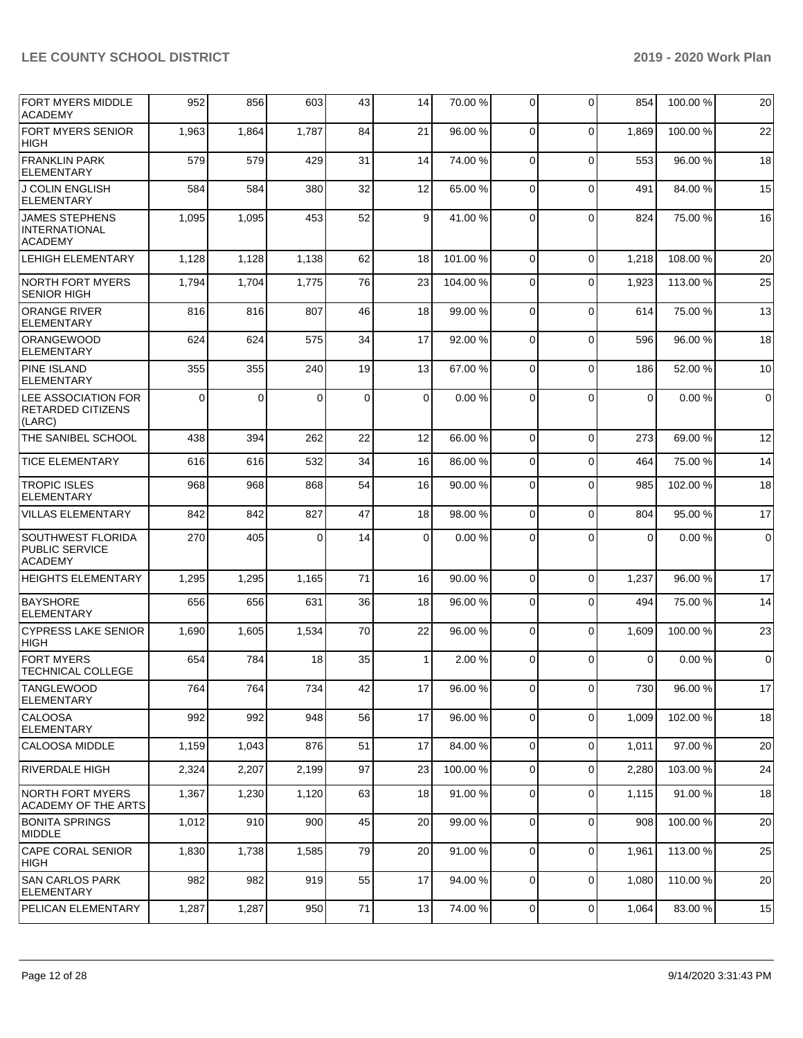| <b>FORT MYERS MIDDLE</b>                                            | 952      | 856      | 603      | 43          | 14             | 70.00 % | $\overline{0}$ | 0            | 854   | 100.00%  | 20             |
|---------------------------------------------------------------------|----------|----------|----------|-------------|----------------|---------|----------------|--------------|-------|----------|----------------|
| <b>ACADEMY</b><br><b>FORT MYERS SENIOR</b>                          | 1,963    | 1,864    | 1,787    | 84          | 21             | 96.00 % | $\Omega$       | $\Omega$     | 1.869 | 100.00%  | 22             |
| <b>HIGH</b>                                                         |          |          |          |             |                |         |                |              |       |          |                |
| <b>FRANKLIN PARK</b><br><b>ELEMENTARY</b>                           | 579      | 579      | 429      | 31          | 14             | 74.00 % | $\Omega$       | $\Omega$     | 553   | 96.00 %  | 18             |
| <b>J COLIN ENGLISH</b><br><b>ELEMENTARY</b>                         | 584      | 584      | 380      | 32          | 12             | 65.00 % | $\Omega$       | $\Omega$     | 491   | 84.00 %  | 15             |
| <b>JAMES STEPHENS</b><br><b>INTERNATIONAL</b><br><b>ACADEMY</b>     | 1,095    | 1,095    | 453      | 52          | $\overline{9}$ | 41.00%  | $\Omega$       | $\mathbf{0}$ | 824   | 75.00 %  | 16             |
| <b>LEHIGH ELEMENTARY</b>                                            | 1,128    | 1,128    | 1,138    | 62          | 18             | 101.00% | $\Omega$       | $\Omega$     | 1,218 | 108.00%  | 20             |
| NORTH FORT MYERS<br><b>SENIOR HIGH</b>                              | 1,794    | 1,704    | 1,775    | 76          | 23             | 104.00% | 0              | $\Omega$     | 1,923 | 113.00 % | 25             |
| <b>ORANGE RIVER</b><br><b>ELEMENTARY</b>                            | 816      | 816      | 807      | 46          | 18             | 99.00 % | $\Omega$       | $\Omega$     | 614   | 75.00 %  | 13             |
| <b>ORANGEWOOD</b><br><b>ELEMENTARY</b>                              | 624      | 624      | 575      | 34          | 17             | 92.00 % | $\Omega$       | $\Omega$     | 596   | 96.00 %  | 18             |
| <b>PINE ISLAND</b><br><b>ELEMENTARY</b>                             | 355      | 355      | 240      | 19          | 13             | 67.00 % | $\Omega$       | 0            | 186   | 52.00 %  | 10             |
| LEE ASSOCIATION FOR<br>RETARDED CITIZENS<br>(LARC)                  | $\Omega$ | $\Omega$ | $\Omega$ | $\mathbf 0$ | $\Omega$       | 0.00%   | $\Omega$       | $\Omega$     | 0     | 0.00%    | $\overline{0}$ |
| <b>THE SANIBEL SCHOOL</b>                                           | 438      | 394      | 262      | 22          | 12             | 66.00 % | $\Omega$       | $\mathbf 0$  | 273   | 69.00 %  | 12             |
| <b>TICE ELEMENTARY</b>                                              | 616      | 616      | 532      | 34          | 16             | 86.00%  | $\Omega$       | $\Omega$     | 464   | 75.00 %  | 14             |
| <b>TROPIC ISLES</b><br><b>ELEMENTARY</b>                            | 968      | 968      | 868      | 54          | 16             | 90.00 % | $\Omega$       | $\Omega$     | 985   | 102.00%  | 18             |
| VILLAS ELEMENTARY                                                   | 842      | 842      | 827      | 47          | 18             | 98.00 % | $\Omega$       | $\Omega$     | 804   | 95.00 %  | 17             |
| <b>SOUTHWEST FLORIDA</b><br><b>PUBLIC SERVICE</b><br><b>ACADEMY</b> | 270      | 405      | $\Omega$ | 14          | $\Omega$       | 0.00%   | 0              | $\Omega$     | 0     | 0.00%    | $\overline{0}$ |
| <b>HEIGHTS ELEMENTARY</b>                                           | 1,295    | 1,295    | 1,165    | 71          | 16             | 90.00 % | $\Omega$       | $\mathbf 0$  | 1,237 | 96.00 %  | 17             |
| <b>BAYSHORE</b><br>ELEMENTARY                                       | 656      | 656      | 631      | 36          | 18             | 96.00 % | $\Omega$       | $\Omega$     | 494   | 75.00 %  | 14             |
| <b>CYPRESS LAKE SENIOR</b><br><b>HIGH</b>                           | 1,690    | 1,605    | 1,534    | 70          | 22             | 96.00 % | $\mathbf 0$    | $\mathbf 0$  | 1,609 | 100.00%  | 23             |
| <b>FORT MYERS</b><br>TECHNICAL COLLEGE                              | 654      | 784      | 18       | 35          | 1              | 2.00 %  | 0              | $\Omega$     | 0     | 0.00%    | $\overline{0}$ |
| <b>TANGLEWOOD</b><br><b>ELEMENTARY</b>                              | 764      | 764      | 734      | 42          | 17             | 96.00 % | $\overline{0}$ | 0            | 730   | 96.00 %  | 17             |
| <b>CALOOSA</b><br><b>ELEMENTARY</b>                                 | 992      | 992      | 948      | 56          | 17             | 96.00 % | $\mathbf 0$    | $\mathbf 0$  | 1,009 | 102.00%  | 18             |
| CALOOSA MIDDLE                                                      | 1,159    | 1,043    | 876      | 51          | 17             | 84.00 % | $\overline{0}$ | 0            | 1,011 | 97.00 %  | 20             |
| RIVERDALE HIGH                                                      | 2,324    | 2,207    | 2,199    | 97          | 23             | 100.00% | 0              | 0            | 2,280 | 103.00 % | 24             |
| NORTH FORT MYERS<br><b>ACADEMY OF THE ARTS</b>                      | 1,367    | 1,230    | 1,120    | 63          | 18             | 91.00 % | 0              | 0            | 1,115 | 91.00 %  | 18             |
| <b>BONITA SPRINGS</b><br>MIDDLE                                     | 1,012    | 910      | 900      | 45          | 20             | 99.00 % | $\Omega$       | 0            | 908   | 100.00%  | 20             |
| CAPE CORAL SENIOR<br>HIGH                                           | 1,830    | 1,738    | 1,585    | 79          | 20             | 91.00%  | $\mathbf{0}$   | $\mathbf 0$  | 1,961 | 113.00 % | 25             |
| <b>SAN CARLOS PARK</b><br><b>ELEMENTARY</b>                         | 982      | 982      | 919      | 55          | 17             | 94.00 % | 0              | 0            | 1,080 | 110.00%  | 20             |
| PELICAN ELEMENTARY                                                  | 1,287    | 1,287    | 950      | 71          | 13             | 74.00 % | $\mathbf 0$    | 0            | 1,064 | 83.00 %  | 15             |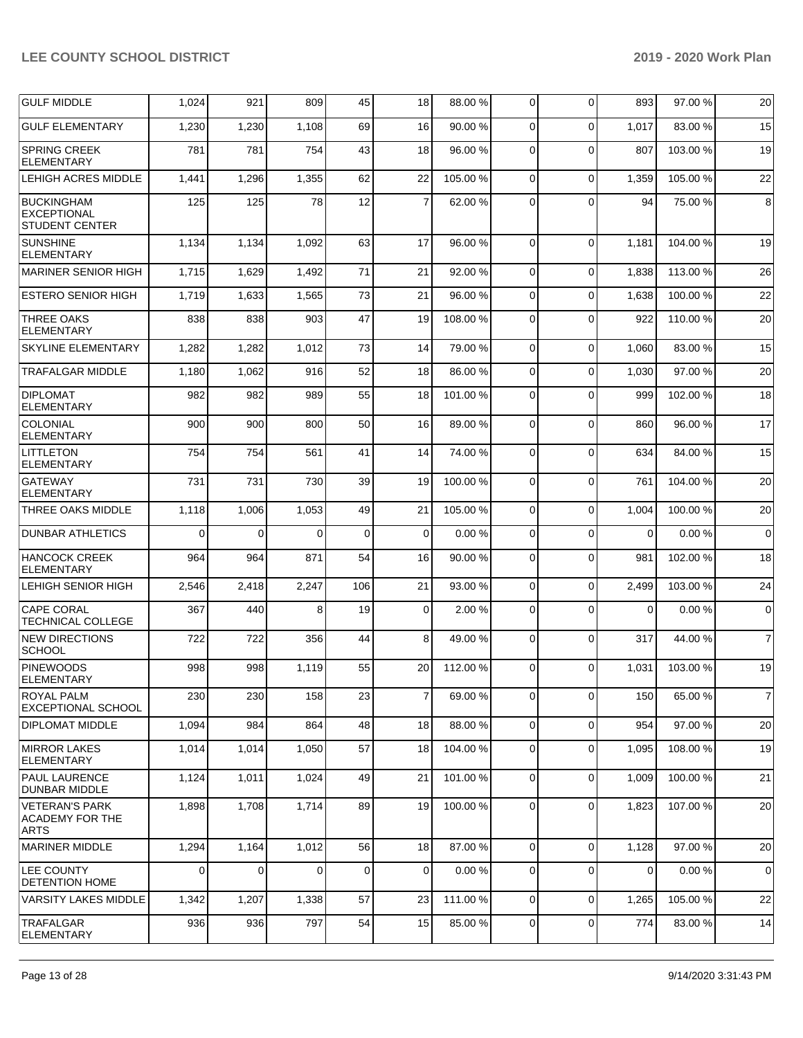| <b>GULF MIDDLE</b>                                               | 1,024    | 921      | 809      | 45           | 18             | 88.00 %  | 0           | $\mathbf 0$ | 893      | 97.00 %  | 20             |
|------------------------------------------------------------------|----------|----------|----------|--------------|----------------|----------|-------------|-------------|----------|----------|----------------|
| <b>GULF ELEMENTARY</b>                                           | 1,230    | 1,230    | 1,108    | 69           | 16             | 90.00 %  | 0           | $\Omega$    | 1,017    | 83.00 %  | 15             |
| <b>SPRING CREEK</b><br><b>ELEMENTARY</b>                         | 781      | 781      | 754      | 43           | 18             | 96.00 %  | 0           | $\Omega$    | 807      | 103.00 % | 19             |
| LEHIGH ACRES MIDDLE                                              | 1,441    | 1,296    | 1,355    | 62           | 22             | 105.00 % | 0           | $\mathbf 0$ | 1,359    | 105.00 % | 22             |
| <b>BUCKINGHAM</b><br><b>EXCEPTIONAL</b><br><b>STUDENT CENTER</b> | 125      | 125      | 78       | 12           | $\overline{7}$ | 62.00 %  | 0           | $\Omega$    | 94       | 75.00 %  | $\bf8$         |
| <b>SUNSHINE</b><br><b>ELEMENTARY</b>                             | 1,134    | 1,134    | 1,092    | 63           | 17             | 96.00 %  | $\Omega$    | $\Omega$    | 1,181    | 104.00%  | 19             |
| MARINER SENIOR HIGH                                              | 1,715    | 1,629    | 1,492    | 71           | 21             | 92.00 %  | 0           | $\Omega$    | 1,838    | 113.00 % | 26             |
| <b>ESTERO SENIOR HIGH</b>                                        | 1,719    | 1,633    | 1,565    | 73           | 21             | 96.00 %  | $\mathbf 0$ | $\mathbf 0$ | 1,638    | 100.00%  | 22             |
| <b>THREE OAKS</b><br><b>ELEMENTARY</b>                           | 838      | 838      | 903      | 47           | 19             | 108.00 % | 0           | $\Omega$    | 922      | 110.00%  | 20             |
| <b>SKYLINE ELEMENTARY</b>                                        | 1,282    | 1,282    | 1,012    | 73           | 14             | 79.00 %  | $\Omega$    | $\Omega$    | 1,060    | 83.00 %  | 15             |
| <b>TRAFALGAR MIDDLE</b>                                          | 1,180    | 1,062    | 916      | 52           | 18             | 86.00 %  | $\Omega$    | $\Omega$    | 1,030    | 97.00 %  | 20             |
| <b>DIPLOMAT</b><br><b>ELEMENTARY</b>                             | 982      | 982      | 989      | 55           | 18             | 101.00%  | 0           | $\Omega$    | 999      | 102.00%  | 18             |
| <b>COLONIAL</b><br><b>ELEMENTARY</b>                             | 900      | 900      | 800      | 50           | 16             | 89.00 %  | $\Omega$    | $\Omega$    | 860      | 96.00 %  | 17             |
| <b>LITTLETON</b><br><b>ELEMENTARY</b>                            | 754      | 754      | 561      | 41           | 14             | 74.00 %  | $\mathbf 0$ | $\Omega$    | 634      | 84.00%   | 15             |
| <b>GATEWAY</b><br><b>ELEMENTARY</b>                              | 731      | 731      | 730      | 39           | 19             | 100.00%  | $\Omega$    | $\Omega$    | 761      | 104.00%  | 20             |
| THREE OAKS MIDDLE                                                | 1,118    | 1,006    | 1,053    | 49           | 21             | 105.00 % | $\Omega$    | $\Omega$    | 1,004    | 100.00%  | 20             |
| <b>DUNBAR ATHLETICS</b>                                          | $\Omega$ | $\Omega$ | $\Omega$ | $\mathbf 0$  | $\Omega$       | 0.00%    | $\Omega$    | $\Omega$    | $\Omega$ | 0.00%    | $\mathbf 0$    |
| <b>HANCOCK CREEK</b><br><b>ELEMENTARY</b>                        | 964      | 964      | 871      | 54           | 16             | 90.00 %  | $\Omega$    | $\Omega$    | 981      | 102.00%  | 18             |
| <b>LEHIGH SENIOR HIGH</b>                                        | 2,546    | 2,418    | 2,247    | 106          | 21             | 93.00 %  | 0           | $\Omega$    | 2,499    | 103.00%  | 24             |
| <b>CAPE CORAL</b><br><b>TECHNICAL COLLEGE</b>                    | 367      | 440      | 8        | 19           | $\mathbf 0$    | 2.00 %   | $\mathbf 0$ | $\Omega$    | 0        | 0.00%    | $\mathbf 0$    |
| <b>NEW DIRECTIONS</b><br><b>SCHOOL</b>                           | 722      | 722      | 356      | 44           | 8              | 49.00 %  | $\Omega$    | $\mathbf 0$ | 317      | 44.00 %  | $\overline{7}$ |
| PINEWOODS<br>ELEMENTARY                                          | 998      | 998      | 1,119    | 55           | 20             | 112.00 % | $\Omega$    | $\Omega$    | 1,031    | 103.00%  | 19             |
| <b>ROYAL PALM</b><br><b>EXCEPTIONAL SCHOOL</b>                   | 230      | 230      | 158      | 23           | $\overline{7}$ | 69.00 %  | $\mathbf 0$ | $\mathbf 0$ | 150      | 65.00 %  | $\overline{7}$ |
| <b>DIPLOMAT MIDDLE</b>                                           | 1,094    | 984      | 864      | 48           | 18             | 88.00 %  | 0           | $\mathbf 0$ | 954      | 97.00 %  | 20             |
| <b>MIRROR LAKES</b><br><b>ELEMENTARY</b>                         | 1,014    | 1,014    | 1,050    | 57           | 18             | 104.00%  | 0           | $\mathbf 0$ | 1,095    | 108.00 % | 19             |
| <b>PAUL LAURENCE</b><br>DUNBAR MIDDLE                            | 1,124    | 1,011    | 1,024    | 49           | 21             | 101.00%  | 0           | $\mathbf 0$ | 1,009    | 100.00%  | 21             |
| <b>VETERAN'S PARK</b><br><b>ACADEMY FOR THE</b><br><b>ARTS</b>   | 1,898    | 1,708    | 1,714    | 89           | 19             | 100.00%  | $\mathbf 0$ | $\mathbf 0$ | 1,823    | 107.00%  | 20             |
| MARINER MIDDLE                                                   | 1,294    | 1,164    | 1,012    | 56           | 18             | 87.00 %  | $\mathbf 0$ | $\mathbf 0$ | 1,128    | 97.00 %  | 20             |
| <b>LEE COUNTY</b><br><b>DETENTION HOME</b>                       | $\Omega$ | 0        | $\Omega$ | $\mathbf{0}$ | $\mathbf 0$    | 0.00%    | 0           | $\Omega$    | 0        | 0.00%    | $\mathbf 0$    |
| <b>VARSITY LAKES MIDDLE</b>                                      | 1,342    | 1,207    | 1,338    | 57           | 23             | 111.00 % | $\mathbf 0$ | $\Omega$    | 1,265    | 105.00 % | 22             |
| <b>TRAFALGAR</b><br><b>ELEMENTARY</b>                            | 936      | 936      | 797      | 54           | 15             | 85.00 %  | 0           | $\mathbf 0$ | 774      | 83.00 %  | 14             |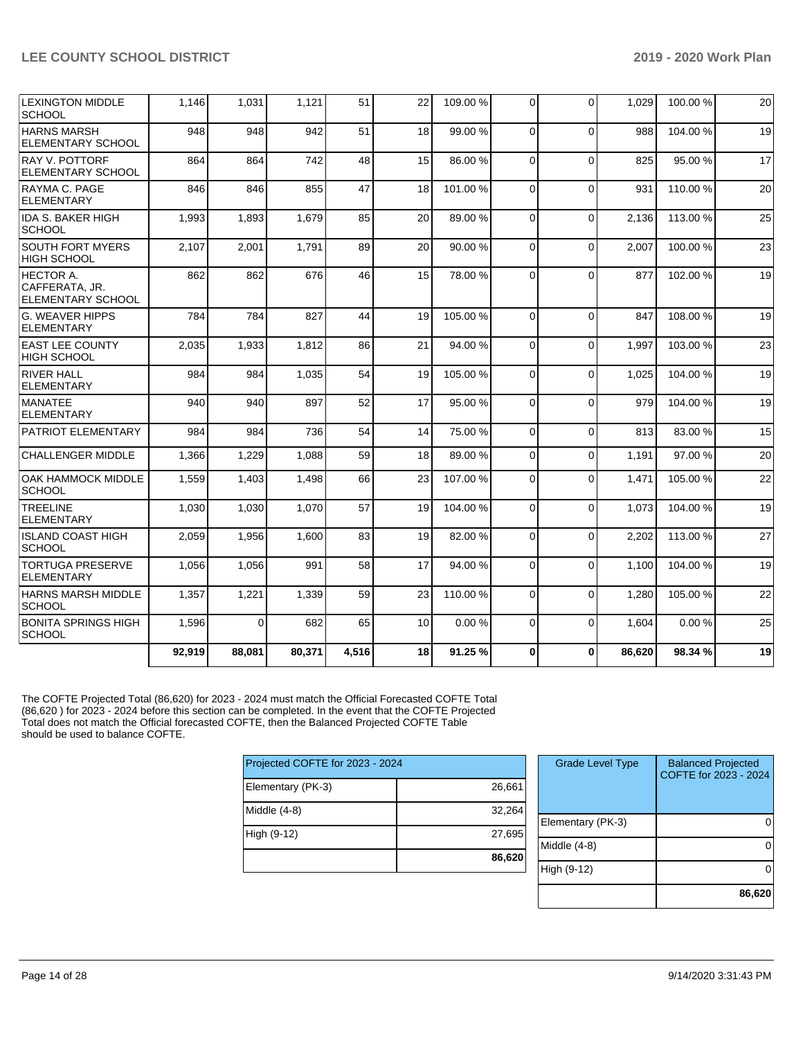|                                                                | 92,919 | 88,081   | 80,371 | 4,516 | 18 | 91.25 %  | 0        | $\Omega$ | 86,620 | 98.34 %  | 19 |
|----------------------------------------------------------------|--------|----------|--------|-------|----|----------|----------|----------|--------|----------|----|
| <b>BONITA SPRINGS HIGH</b><br><b>SCHOOL</b>                    | 1,596  | $\Omega$ | 682    | 65    | 10 | 0.00%    | 0        | $\Omega$ | 1,604  | 0.00%    | 25 |
| HARNS MARSH MIDDLE<br><b>SCHOOL</b>                            | 1,357  | 1,221    | 1.339  | 59    | 23 | 110.00%  | $\Omega$ | $\Omega$ | 1.280  | 105.00%  | 22 |
| <b>TORTUGA PRESERVE</b><br><b>ELEMENTARY</b>                   | 1,056  | 1,056    | 991    | 58    | 17 | 94.00%   | 0        | $\Omega$ | 1,100  | 104.00%  | 19 |
| <b>ISLAND COAST HIGH</b><br><b>SCHOOL</b>                      | 2,059  | 1.956    | 1,600  | 83    | 19 | 82.00%   | 0        | $\Omega$ | 2.202  | 113.00%  | 27 |
| <b>TREELINE</b><br><b>ELEMENTARY</b>                           | 1,030  | 1,030    | 1,070  | 57    | 19 | 104.00%  | 0        | $\Omega$ | 1,073  | 104.00 % | 19 |
| OAK HAMMOCK MIDDLE<br><b>SCHOOL</b>                            | 1,559  | 1,403    | 1,498  | 66    | 23 | 107.00%  | 0        | $\Omega$ | 1,471  | 105.00 % | 22 |
| <b>CHALLENGER MIDDLE</b>                                       | 1,366  | 1,229    | 1,088  | 59    | 18 | 89.00 %  | $\Omega$ | $\Omega$ | 1,191  | 97.00 %  | 20 |
| PATRIOT ELEMENTARY                                             | 984    | 984      | 736    | 54    | 14 | 75.00 %  | $\Omega$ | $\Omega$ | 813    | 83.00 %  | 15 |
| MANATEE<br><b>ELEMENTARY</b>                                   | 940    | 940      | 897    | 52    | 17 | 95.00 %  | 0        | $\Omega$ | 979    | 104.00%  | 19 |
| <b>RIVER HALL</b><br><b>ELEMENTARY</b>                         | 984    | 984      | 1,035  | 54    | 19 | 105.00 % | 0        | $\Omega$ | 1,025  | 104.00%  | 19 |
| <b>EAST LEE COUNTY</b><br>HIGH SCHOOL                          | 2,035  | 1,933    | 1,812  | 86    | 21 | 94.00 %  | $\Omega$ | $\Omega$ | 1.997  | 103.00%  | 23 |
| <b>G. WEAVER HIPPS</b><br><b>ELEMENTARY</b>                    | 784    | 784      | 827    | 44    | 19 | 105.00%  | 0        | $\Omega$ | 847    | 108.00%  | 19 |
| <b>HECTOR A.</b><br>CAFFERATA, JR.<br><b>ELEMENTARY SCHOOL</b> | 862    | 862      | 676    | 46    | 15 | 78.00 %  | $\Omega$ | $\Omega$ | 877    | 102.00%  | 19 |
| <b>SOUTH FORT MYERS</b><br><b>HIGH SCHOOL</b>                  | 2,107  | 2,001    | 1,791  | 89    | 20 | 90.00 %  | 0        | $\Omega$ | 2,007  | 100.00%  | 23 |
| <b>IDA S. BAKER HIGH</b><br><b>SCHOOL</b>                      | 1,993  | 1,893    | 1,679  | 85    | 20 | 89.00 %  | 0        | $\Omega$ | 2,136  | 113.00 % | 25 |
| RAYMA C. PAGE<br><b>ELEMENTARY</b>                             | 846    | 846      | 855    | 47    | 18 | 101.00%  | $\Omega$ | $\Omega$ | 931    | 110.00%  | 20 |
| RAY V. POTTORF<br><b>ELEMENTARY SCHOOL</b>                     | 864    | 864      | 742    | 48    | 15 | 86.00 %  | $\Omega$ | $\Omega$ | 825    | 95.00 %  | 17 |
| <b>HARNS MARSH</b><br><b>ELEMENTARY SCHOOL</b>                 | 948    | 948      | 942    | 51    | 18 | 99.00 %  | 0        | $\Omega$ | 988    | 104.00%  | 19 |
| <b>LEXINGTON MIDDLE</b><br><b>SCHOOL</b>                       | 1,146  | 1,031    | 1,121  | 51    | 22 | 109.00%  | 0        | $\Omega$ | 1,029  | 100.00%  | 20 |

The COFTE Projected Total (86,620) for 2023 - 2024 must match the Official Forecasted COFTE Total (86,620 ) for 2023 - 2024 before this section can be completed. In the event that the COFTE Projected Total does not match the Official forecasted COFTE, then the Balanced Projected COFTE Table should be used to balance COFTE.

| Projected COFTE for 2023 - 2024 |        |  |  |  |  |  |  |  |
|---------------------------------|--------|--|--|--|--|--|--|--|
| Elementary (PK-3)               | 26,661 |  |  |  |  |  |  |  |
| Middle (4-8)                    | 32,264 |  |  |  |  |  |  |  |
| High (9-12)                     | 27,695 |  |  |  |  |  |  |  |
|                                 | 86,620 |  |  |  |  |  |  |  |

| <b>Grade Level Type</b> | <b>Balanced Projected</b><br>COFTE for 2023 - 2024 |
|-------------------------|----------------------------------------------------|
| Elementary (PK-3)       |                                                    |
| Middle (4-8)            |                                                    |
| High (9-12)             |                                                    |
|                         | 86,620                                             |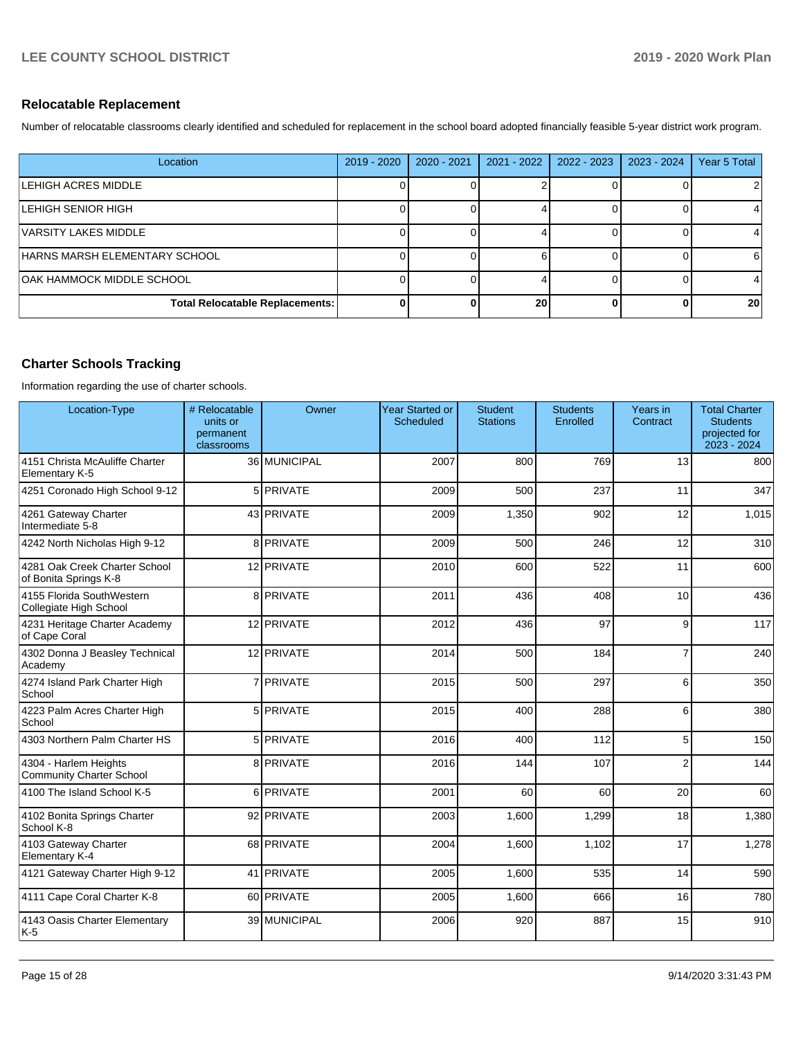## **Relocatable Replacement**

Number of relocatable classrooms clearly identified and scheduled for replacement in the school board adopted financially feasible 5-year district work program.

| Location                         | $2019 - 2020$ | 2020 - 2021 | 2021 - 2022 | $2022 - 2023$ | 2023 - 2024 | Year 5 Total |
|----------------------------------|---------------|-------------|-------------|---------------|-------------|--------------|
| ILEHIGH ACRES MIDDLE             |               |             |             |               |             |              |
| ILEHIGH SENIOR HIGH              |               |             |             |               |             |              |
| VARSITY LAKES MIDDLE             |               |             |             |               |             |              |
| HARNS MARSH ELEMENTARY SCHOOL    |               |             |             |               |             |              |
| <b>OAK HAMMOCK MIDDLE SCHOOL</b> |               |             |             |               |             |              |
| Total Relocatable Replacements:  | 0             |             | 20          |               |             | 20           |

## **Charter Schools Tracking**

Information regarding the use of charter schools.

| Location-Type                                            | # Relocatable<br>units or<br>permanent<br>classrooms | Owner        | <b>Year Started or</b><br><b>Scheduled</b> | <b>Student</b><br><b>Stations</b> | <b>Students</b><br>Enrolled | Years in<br>Contract | <b>Total Charter</b><br><b>Students</b><br>projected for<br>2023 - 2024 |
|----------------------------------------------------------|------------------------------------------------------|--------------|--------------------------------------------|-----------------------------------|-----------------------------|----------------------|-------------------------------------------------------------------------|
| 4151 Christa McAuliffe Charter<br>Elementary K-5         |                                                      | 36 MUNICIPAL | 2007                                       | 800                               | 769                         | 13                   | 800                                                                     |
| 4251 Coronado High School 9-12                           |                                                      | 5 PRIVATE    | 2009                                       | 500                               | 237                         | 11                   | 347                                                                     |
| 4261 Gateway Charter<br>Intermediate 5-8                 |                                                      | 43 PRIVATE   | 2009                                       | 1,350                             | 902                         | 12                   | 1,015                                                                   |
| 4242 North Nicholas High 9-12                            |                                                      | 8 PRIVATE    | 2009                                       | 500                               | 246                         | 12                   | 310                                                                     |
| 4281 Oak Creek Charter School<br>of Bonita Springs K-8   |                                                      | 12 PRIVATE   | 2010                                       | 600                               | 522                         | 11                   | 600                                                                     |
| 4155 Florida SouthWestern<br>Collegiate High School      |                                                      | 8 PRIVATE    | 2011                                       | 436                               | 408                         | 10                   | 436                                                                     |
| 4231 Heritage Charter Academy<br>of Cape Coral           |                                                      | 12 PRIVATE   | 2012                                       | 436                               | 97                          | 9                    | 117                                                                     |
| 4302 Donna J Beasley Technical<br>Academy                |                                                      | 12 PRIVATE   | 2014                                       | 500                               | 184                         | $\overline{7}$       | 240                                                                     |
| 4274 Island Park Charter High<br>School                  |                                                      | 7 PRIVATE    | 2015                                       | 500                               | 297                         | 6                    | 350                                                                     |
| 4223 Palm Acres Charter High<br>School                   |                                                      | 5 PRIVATE    | 2015                                       | 400                               | 288                         | 6                    | 380                                                                     |
| 4303 Northern Palm Charter HS                            |                                                      | 5 PRIVATE    | 2016                                       | 400                               | 112                         | 5                    | 150                                                                     |
| 4304 - Harlem Heights<br><b>Community Charter School</b> |                                                      | 8 PRIVATE    | 2016                                       | 144                               | 107                         | $\overline{2}$       | 144                                                                     |
| 4100 The Island School K-5                               |                                                      | 6 PRIVATE    | 2001                                       | 60                                | 60                          | 20                   | 60                                                                      |
| 4102 Bonita Springs Charter<br>School K-8                |                                                      | 92 PRIVATE   | 2003                                       | 1,600                             | 1,299                       | 18                   | 1,380                                                                   |
| 4103 Gateway Charter<br>Elementary K-4                   |                                                      | 68 PRIVATE   | 2004                                       | 1,600                             | 1,102                       | 17                   | 1,278                                                                   |
| 4121 Gateway Charter High 9-12                           |                                                      | 41 PRIVATE   | 2005                                       | 1,600                             | 535                         | 14                   | 590                                                                     |
| 4111 Cape Coral Charter K-8                              |                                                      | 60 PRIVATE   | 2005                                       | 1,600                             | 666                         | 16                   | 780                                                                     |
| 4143 Oasis Charter Elementary<br>K-5                     |                                                      | 39 MUNICIPAL | 2006                                       | 920                               | 887                         | 15                   | 910                                                                     |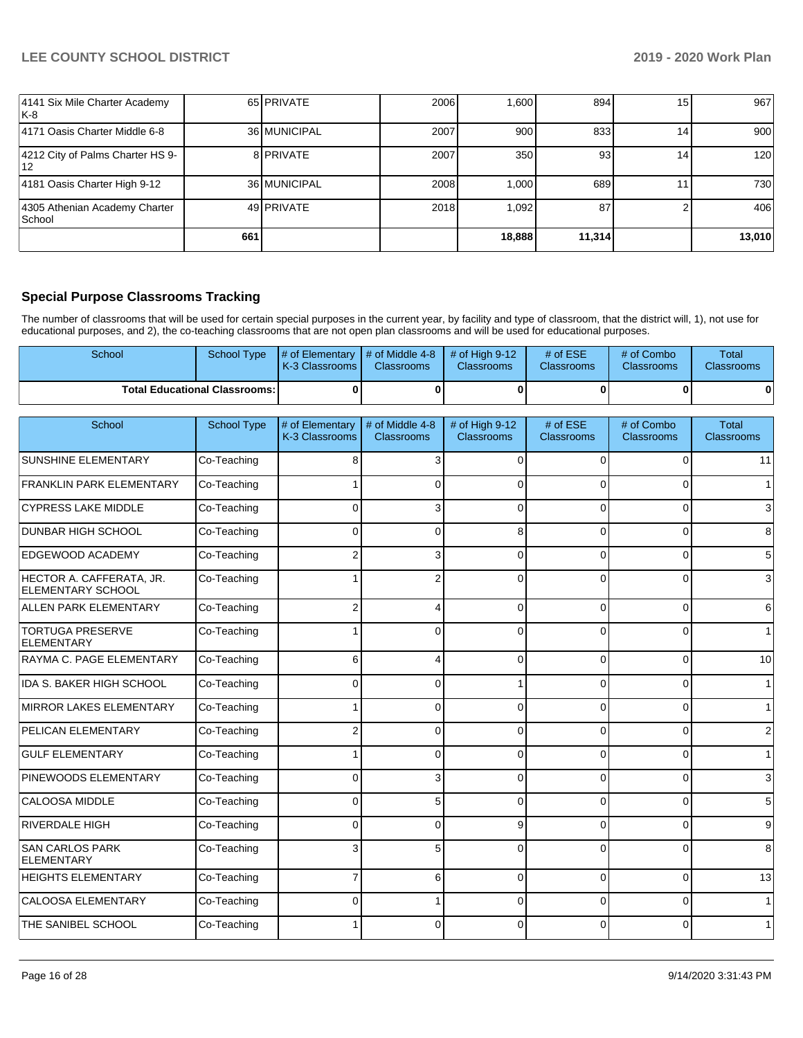| 4141 Six Mile Charter Academy<br> K-8     |     | 65 PRIVATE   | 2006 | .600   | 894    | 15 | 967              |
|-------------------------------------------|-----|--------------|------|--------|--------|----|------------------|
| 4171 Oasis Charter Middle 6-8             |     | 36 MUNICIPAL | 2007 | 900    | 833    | 14 | 900              |
| 4212 City of Palms Charter HS 9-<br>112   |     | 8 PRIVATE    | 2007 | 350    | 93     | 14 | 120 <sub>l</sub> |
| 4181 Oasis Charter High 9-12              |     | 36 MUNICIPAL | 2008 | 1.000  | 689    |    | 730              |
| 4305 Athenian Academy Charter<br>l School |     | 49 PRIVATE   | 2018 | 1,092  | 87     |    | 406              |
|                                           | 661 |              |      | 18,888 | 11,314 |    | 13,010           |

## **Special Purpose Classrooms Tracking**

The number of classrooms that will be used for certain special purposes in the current year, by facility and type of classroom, that the district will, 1), not use for educational purposes, and 2), the co-teaching classrooms that are not open plan classrooms and will be used for educational purposes.

| <b>School</b>                          | School Type | $\parallel$ # of Elementary $\parallel$ # of Middle 4-8 $\parallel$ # of High 9-12<br><b>K-3 Classrooms I</b> | <b>Classrooms</b> | <b>Classrooms</b> | # of $ESE$<br><b>Classrooms</b> | # of Combo<br><b>Classrooms</b> | Total<br><b>Classrooms</b> |
|----------------------------------------|-------------|---------------------------------------------------------------------------------------------------------------|-------------------|-------------------|---------------------------------|---------------------------------|----------------------------|
| <b>Total Educational Classrooms: I</b> |             |                                                                                                               |                   |                   |                                 | 0                               |                            |

| School                                        | School Type | # of Elementary<br>K-3 Classrooms | # of Middle 4-8<br><b>Classrooms</b> | # of High 9-12<br><b>Classrooms</b> | # of ESE<br><b>Classrooms</b> | # of Combo<br><b>Classrooms</b> | <b>Total</b><br>Classrooms |
|-----------------------------------------------|-------------|-----------------------------------|--------------------------------------|-------------------------------------|-------------------------------|---------------------------------|----------------------------|
| <b>SUNSHINE ELEMENTARY</b>                    | Co-Teaching | 8                                 | 3                                    | $\Omega$                            | $\Omega$                      | $\Omega$                        | 11                         |
| <b>FRANKLIN PARK ELEMENTARY</b>               | Co-Teaching |                                   | $\Omega$                             | $\Omega$                            | 0                             | 0                               | 1                          |
| <b>CYPRESS LAKE MIDDLE</b>                    | Co-Teaching | $\Omega$                          | 3                                    | $\Omega$                            | $\Omega$                      | 0                               | $\mathbf{3}$               |
| <b>DUNBAR HIGH SCHOOL</b>                     | Co-Teaching | $\Omega$                          | $\Omega$                             | 8                                   | $\Omega$                      | 0                               | 8                          |
| <b>EDGEWOOD ACADEMY</b>                       | Co-Teaching | 2                                 | 3                                    | $\Omega$                            | $\Omega$                      | $\overline{0}$                  | 5 <sup>1</sup>             |
| HECTOR A. CAFFERATA, JR.<br>ELEMENTARY SCHOOL | Co-Teaching |                                   | $\overline{2}$                       | $\Omega$                            | 0                             | 0                               | $\mathbf{3}$               |
| <b>ALLEN PARK ELEMENTARY</b>                  | Co-Teaching | $\overline{2}$                    | 4                                    | $\Omega$                            | $\Omega$                      | 0                               | $6 \mid$                   |
| <b>TORTUGA PRESERVE</b><br><b>ELEMENTARY</b>  | Co-Teaching |                                   | $\Omega$                             | $\Omega$                            | $\Omega$                      | 0                               | 1 <sup>1</sup>             |
| RAYMA C. PAGE ELEMENTARY                      | Co-Teaching | 6                                 | 4                                    | $\Omega$                            | $\Omega$                      | $\Omega$                        | 10                         |
| IDA S. BAKER HIGH SCHOOL                      | Co-Teaching | 0                                 | $\Omega$                             |                                     | 0                             | $\overline{0}$                  | 1                          |
| MIRROR LAKES ELEMENTARY                       | Co-Teaching |                                   | 0                                    | 0                                   | 0                             | 0                               | 1                          |
| PELICAN ELEMENTARY                            | Co-Teaching |                                   | $\Omega$                             | $\Omega$                            | $\Omega$                      | $\overline{0}$                  | $\overline{2}$             |
| <b>GULF ELEMENTARY</b>                        | Co-Teaching |                                   | $\Omega$                             | $\Omega$                            | 0                             | 0                               | 1                          |
| <b>PINEWOODS ELEMENTARY</b>                   | Co-Teaching | 0                                 | 3                                    | 0                                   | 0                             | $\mathbf 0$                     | $\mathbf{3}$               |
| CALOOSA MIDDLE                                | Co-Teaching | 0                                 | 5                                    | $\Omega$                            | $\Omega$                      | $\overline{0}$                  | $5\overline{)}$            |
| RIVERDALE HIGH                                | Co-Teaching | 0                                 | $\Omega$                             | 9                                   | 0                             | 0                               | 9                          |
| <b>SAN CARLOS PARK</b><br>ELEMENTARY          | Co-Teaching | 3                                 | 5                                    | $\Omega$                            | $\Omega$                      | $\Omega$                        | 8 <sup>1</sup>             |
| <b>HEIGHTS ELEMENTARY</b>                     | Co-Teaching | $\overline{7}$                    | 6                                    | 0                                   | $\Omega$                      | $\mathbf 0$                     | 13                         |
| CALOOSA ELEMENTARY                            | Co-Teaching | U                                 |                                      | $\Omega$                            | $\Omega$                      | 0                               | 1                          |
| <b>THE SANIBEL SCHOOL</b>                     | Co-Teaching |                                   | $\Omega$                             | $\Omega$                            | $\Omega$                      | $\Omega$                        | 1                          |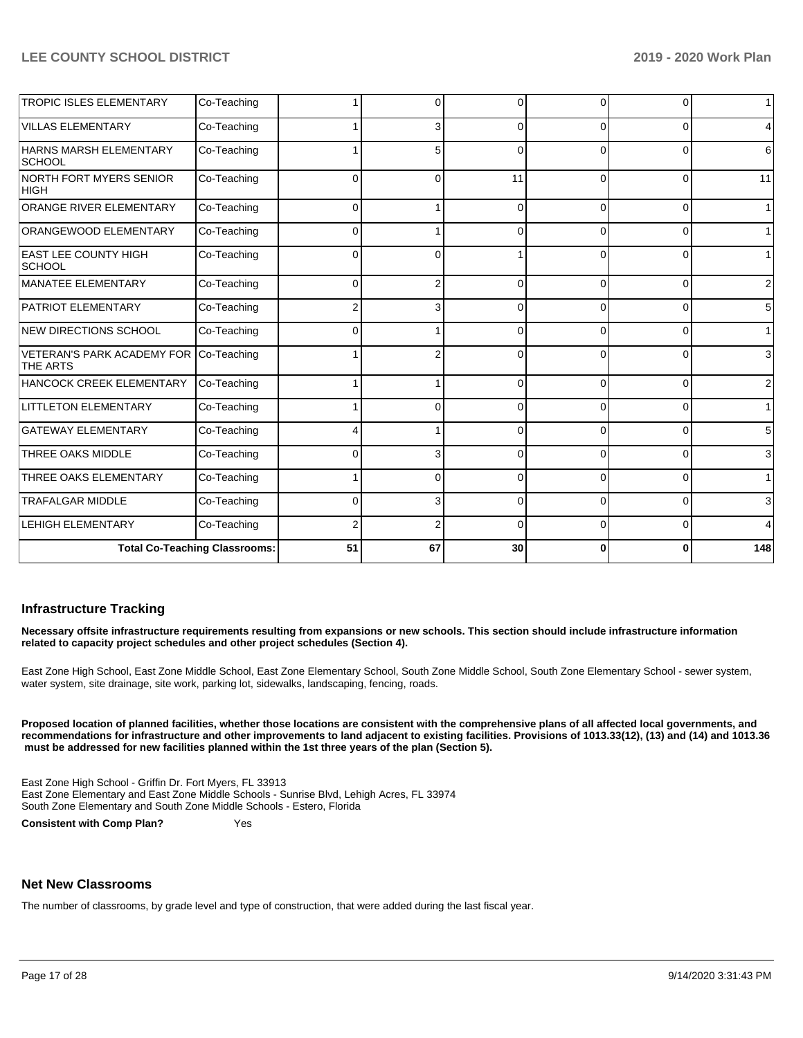| <b>TROPIC ISLES ELEMENTARY</b>                | Co-Teaching                          |          | 0              |          | ∩        | 0        | $\mathbf{1}$    |
|-----------------------------------------------|--------------------------------------|----------|----------------|----------|----------|----------|-----------------|
| <b>VILLAS ELEMENTARY</b>                      | Co-Teaching                          |          | 3              | $\Omega$ | $\Omega$ | $\Omega$ | $\overline{4}$  |
| HARNS MARSH ELEMENTARY<br>SCHOOL              | Co-Teaching                          |          | 5              | $\Omega$ | $\Omega$ | $\Omega$ | $6 \,$          |
| <b>NORTH FORT MYERS SENIOR</b><br><b>HIGH</b> | Co-Teaching                          | 0        | $\Omega$       | 11       | $\Omega$ | $\Omega$ | 11              |
| ORANGE RIVER ELEMENTARY                       | Co-Teaching                          | $\Omega$ | $\mathbf{1}$   | $\Omega$ | $\Omega$ | $\Omega$ | $\mathbf{1}$    |
| ORANGEWOOD ELEMENTARY                         | Co-Teaching                          | 0        |                |          | 0        | $\Omega$ | 1               |
| <b>EAST LEE COUNTY HIGH</b><br><b>SCHOOL</b>  | Co-Teaching                          | 0        | $\Omega$       |          | $\Omega$ | $\Omega$ | $\vert$ 1       |
| <b>MANATEE ELEMENTARY</b>                     | Co-Teaching                          | 0        | $\overline{2}$ | C        | $\Omega$ | $\Omega$ | $\overline{2}$  |
| <b>PATRIOT ELEMENTARY</b>                     | Co-Teaching                          |          | 3              | $\Omega$ | $\Omega$ | $\Omega$ | $5\overline{)}$ |
| <b>NEW DIRECTIONS SCHOOL</b>                  | Co-Teaching                          | 0        | 1              | $\Omega$ | $\Omega$ | $\Omega$ | 1               |
| <b>VETERAN'S PARK ACADEMY FOR</b><br>THE ARTS | Co-Teaching                          |          | 2              | $\Omega$ | $\Omega$ | $\Omega$ | $\mathbf{3}$    |
| HANCOCK CREEK ELEMENTARY                      | Co-Teaching                          |          |                | $\Omega$ | $\Omega$ | $\Omega$ | $\overline{2}$  |
| <b>LITTLETON ELEMENTARY</b>                   | Co-Teaching                          |          | $\Omega$       | $\Omega$ | $\Omega$ | $\Omega$ | 1               |
| <b>GATEWAY ELEMENTARY</b>                     | Co-Teaching                          |          | 1              | $\Omega$ | $\Omega$ | $\Omega$ | $5\overline{)}$ |
| THREE OAKS MIDDLE                             | Co-Teaching                          | 0        | 3              | ſ        | 0        | $\Omega$ | $\mathbf{3}$    |
| THREE OAKS ELEMENTARY                         | Co-Teaching                          |          | $\Omega$       |          |          | $\Omega$ | $\mathbf{1}$    |
| <b>TRAFALGAR MIDDLE</b>                       | Co-Teaching                          | 0        | 3              | r        | $\Omega$ | $\Omega$ | $\mathbf{3}$    |
| <b>LEHIGH ELEMENTARY</b>                      | Co-Teaching                          |          | $\overline{2}$ | $\Omega$ | $\Omega$ | $\Omega$ | $\overline{4}$  |
|                                               | <b>Total Co-Teaching Classrooms:</b> | 51       | 67             | 30       | ŋ        | $\bf{0}$ | 148             |

### **Infrastructure Tracking**

**Necessary offsite infrastructure requirements resulting from expansions or new schools. This section should include infrastructure information related to capacity project schedules and other project schedules (Section 4).** 

East Zone High School, East Zone Middle School, East Zone Elementary School, South Zone Middle School, South Zone Elementary School - sewer system, water system, site drainage, site work, parking lot, sidewalks, landscaping, fencing, roads.

**Proposed location of planned facilities, whether those locations are consistent with the comprehensive plans of all affected local governments, and recommendations for infrastructure and other improvements to land adjacent to existing facilities. Provisions of 1013.33(12), (13) and (14) and 1013.36 must be addressed for new facilities planned within the 1st three years of the plan (Section 5).** 

East Zone High School - Griffin Dr. Fort Myers, FL 33913 East Zone Elementary and East Zone Middle Schools - Sunrise Blvd, Lehigh Acres, FL 33974 South Zone Elementary and South Zone Middle Schools - Estero, Florida

**Consistent with Comp Plan?** Yes

### **Net New Classrooms**

The number of classrooms, by grade level and type of construction, that were added during the last fiscal year.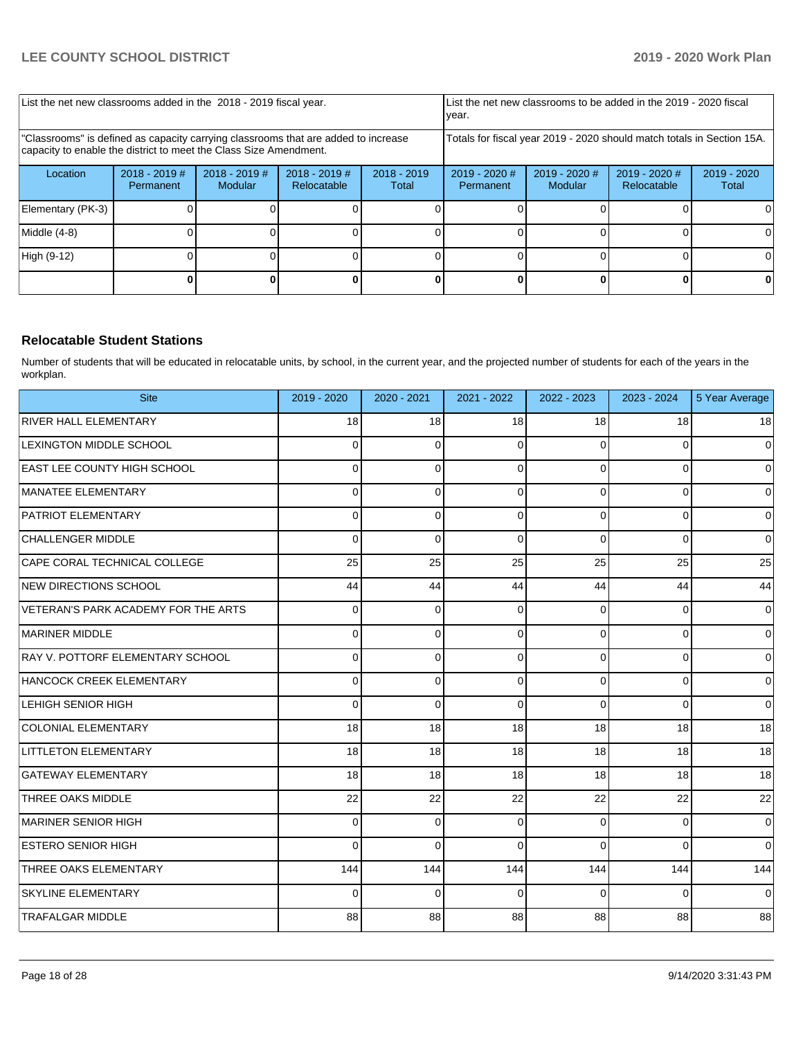| List the net new classrooms added in the 2018 - 2019 fiscal year.                                                                                       |                              |                            | List the net new classrooms to be added in the 2019 - 2020 fiscal<br>year. |                        |                              |                            |                                |                      |
|---------------------------------------------------------------------------------------------------------------------------------------------------------|------------------------------|----------------------------|----------------------------------------------------------------------------|------------------------|------------------------------|----------------------------|--------------------------------|----------------------|
| "Classrooms" is defined as capacity carrying classrooms that are added to increase<br>capacity to enable the district to meet the Class Size Amendment. |                              |                            | Totals for fiscal year 2019 - 2020 should match totals in Section 15A.     |                        |                              |                            |                                |                      |
| Location                                                                                                                                                | $2018 - 2019$ #<br>Permanent | $2018 - 2019$ #<br>Modular | 2018 - 2019 #<br>Relocatable                                               | $2018 - 2019$<br>Total | $2019 - 2020$ #<br>Permanent | $2019 - 2020$ #<br>Modular | $2019 - 2020$ #<br>Relocatable | 2019 - 2020<br>Total |
| Elementary (PK-3)                                                                                                                                       |                              |                            |                                                                            |                        |                              |                            |                                |                      |
| Middle (4-8)                                                                                                                                            |                              |                            |                                                                            |                        |                              |                            |                                |                      |
| High (9-12)                                                                                                                                             |                              |                            |                                                                            |                        |                              |                            |                                | ΩI                   |
|                                                                                                                                                         |                              |                            |                                                                            |                        |                              |                            |                                |                      |

## **Relocatable Student Stations**

Number of students that will be educated in relocatable units, by school, in the current year, and the projected number of students for each of the years in the workplan.

| <b>Site</b>                         | 2019 - 2020 | 2020 - 2021 | 2021 - 2022     | 2022 - 2023 | 2023 - 2024 | 5 Year Average |
|-------------------------------------|-------------|-------------|-----------------|-------------|-------------|----------------|
| <b>RIVER HALL ELEMENTARY</b>        | 18          | 18          | 18 <sup>1</sup> | 18          | 18          | 18             |
| LEXINGTON MIDDLE SCHOOL             | 0           | 0           | $\Omega$        | 0           | 0           | $\mathbf 0$    |
| <b>EAST LEE COUNTY HIGH SCHOOL</b>  | 0           | 0           | $\Omega$        | $\Omega$    | $\Omega$    | $\mathbf 0$    |
| MANATEE ELEMENTARY                  | 0           | 0           | $\Omega$        | 0           | 0           | $\mathbf 0$    |
| <b>PATRIOT ELEMENTARY</b>           | 0           | $\Omega$    | $\Omega$        | $\Omega$    | 0           | $\mathbf 0$    |
| CHALLENGER MIDDLE                   | $\Omega$    | $\Omega$    | $\Omega$        | $\Omega$    | $\Omega$    | $\mathbf 0$    |
| CAPE CORAL TECHNICAL COLLEGE        | 25          | 25          | 25              | 25          | 25          | 25             |
| <b>INEW DIRECTIONS SCHOOL</b>       | 44          | 44          | 44              | 44          | 44          | 44             |
| VETERAN'S PARK ACADEMY FOR THE ARTS | 0           | 0           | $\Omega$        | 0           | 0           | $\pmb{0}$      |
| MARINER MIDDLE                      | $\Omega$    | $\Omega$    | $\Omega$        | 0           | 0           | $\mathbf 0$    |
| RAY V. POTTORF ELEMENTARY SCHOOL    | 0           | 0           | $\Omega$        | $\Omega$    | $\Omega$    | $\mathbf 0$    |
| HANCOCK CREEK ELEMENTARY            | 0           | 0           | $\Omega$        | $\mathbf 0$ | 0           | $\mathbf 0$    |
| LEHIGH SENIOR HIGH                  | 0           | $\Omega$    | $\Omega$        | $\Omega$    | $\Omega$    | $\mathbf 0$    |
| <b>COLONIAL ELEMENTARY</b>          | 18          | 18          | 18              | 18          | 18          | 18             |
| <b>LITTLETON ELEMENTARY</b>         | 18          | 18          | 18              | 18          | 18          | 18             |
| <b>GATEWAY ELEMENTARY</b>           | 18          | 18          | 18              | 18          | 18          | 18             |
| <b>THREE OAKS MIDDLE</b>            | 22          | 22          | 22              | 22          | 22          | 22             |
| MARINER SENIOR HIGH                 | $\Omega$    | $\Omega$    | $\Omega$        | $\Omega$    | 0           | $\mathbf 0$    |
| <b>ESTERO SENIOR HIGH</b>           | 0           | $\Omega$    | $\Omega$        | $\Omega$    | $\Omega$    | $\mathbf 0$    |
| <b>THREE OAKS ELEMENTARY</b>        | 144         | 144         | 144             | 144         | 144         | 144            |
| <b>SKYLINE ELEMENTARY</b>           | 0           | 0           | $\Omega$        | 0           | $\Omega$    | $\Omega$       |
| <b>TRAFALGAR MIDDLE</b>             | 88          | 88          | 88              | 88          | 88          | 88             |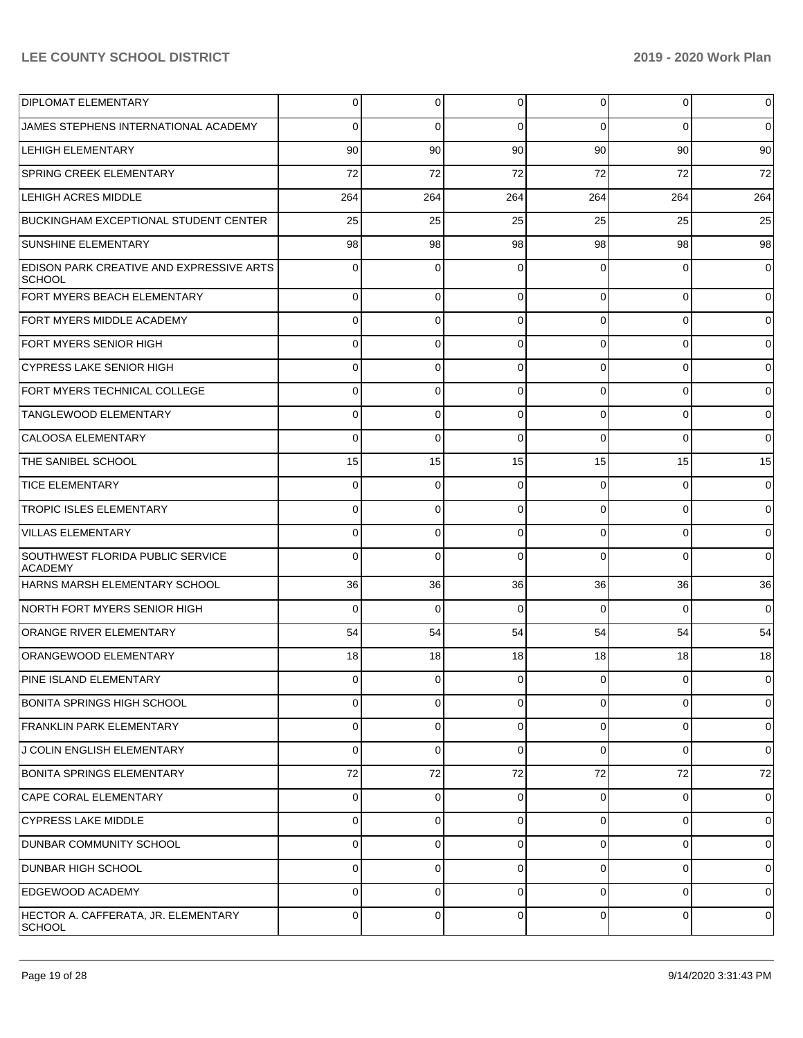| <b>DIPLOMAT ELEMENTARY</b>                                       | 0   | 0        | $\mathbf 0$ | 0           | $\overline{0}$ | $\overline{0}$      |
|------------------------------------------------------------------|-----|----------|-------------|-------------|----------------|---------------------|
| JAMES STEPHENS INTERNATIONAL ACADEMY                             | 0   | 0        | $\Omega$    | $\Omega$    | $\Omega$       | $\overline{0}$      |
| <b>LEHIGH ELEMENTARY</b>                                         | 90  | 90       | 90          | 90          | 90             | 90                  |
| <b>SPRING CREEK ELEMENTARY</b>                                   | 72  | 72       | 72          | 72          | 72             | 72                  |
| <b>LEHIGH ACRES MIDDLE</b>                                       | 264 | 264      | 264         | 264         | 264            | 264                 |
| <b>BUCKINGHAM EXCEPTIONAL STUDENT CENTER</b>                     | 25  | 25       | 25          | 25          | 25             | 25                  |
| <b>SUNSHINE ELEMENTARY</b>                                       | 98  | 98       | 98          | 98          | 98             | 98                  |
| <b>EDISON PARK CREATIVE AND EXPRESSIVE ARTS</b><br><b>SCHOOL</b> | 0   | 0        | $\Omega$    | 0           | $\Omega$       | $\overline{0}$      |
| <b>FORT MYERS BEACH ELEMENTARY</b>                               | 0   | 0        | $\Omega$    | $\Omega$    | $\overline{0}$ | $\overline{0}$      |
| FORT MYERS MIDDLE ACADEMY                                        | 0   | $\Omega$ | $\Omega$    | $\Omega$    | $\overline{0}$ | $\overline{0}$      |
| <b>FORT MYERS SENIOR HIGH</b>                                    | 0   | 0        | $\Omega$    | $\Omega$    | $\overline{0}$ | $\overline{0}$      |
| <b>CYPRESS LAKE SENIOR HIGH</b>                                  | 0   | $\Omega$ | $\Omega$    | $\Omega$    | $\Omega$       | $\overline{0}$      |
| FORT MYERS TECHNICAL COLLEGE                                     | 0   | 0        | $\Omega$    | $\Omega$    | $\overline{0}$ | $\overline{0}$      |
| <b>TANGLEWOOD ELEMENTARY</b>                                     | 0   | $\Omega$ | $\Omega$    | $\Omega$    | $\Omega$       | $\overline{0}$      |
| CALOOSA ELEMENTARY                                               | 0   | 0        | $\Omega$    | $\Omega$    | $\Omega$       | $\overline{0}$      |
| THE SANIBEL SCHOOL                                               | 15  | 15       | 15          | 15          | 15             | 15                  |
| <b>TICE ELEMENTARY</b>                                           | 0   | 0        | $\Omega$    | $\Omega$    | $\overline{0}$ | $\overline{0}$      |
| <b>TROPIC ISLES ELEMENTARY</b>                                   | 0   | $\Omega$ | $\Omega$    | $\Omega$    | $\Omega$       | $\overline{0}$      |
| VILLAS ELEMENTARY                                                | 0   | 0        | $\Omega$    | $\Omega$    | $\overline{0}$ | $\overline{0}$      |
| SOUTHWEST FLORIDA PUBLIC SERVICE<br><b>ACADEMY</b>               | 0   | $\Omega$ | $\Omega$    | $\Omega$    | $\Omega$       | $\overline{0}$      |
| HARNS MARSH ELEMENTARY SCHOOL                                    | 36  | 36       | 36          | 36          | 36             | 36                  |
| NORTH FORT MYERS SENIOR HIGH                                     | 0   | 0        | $\Omega$    | $\Omega$    | $\Omega$       | $\overline{0}$      |
| <b>ORANGE RIVER ELEMENTARY</b>                                   | 54  | 54       | 54          | 54          | 54             | 54                  |
| <b>ORANGEWOOD ELEMENTARY</b>                                     | 18  | 18       | 18          | 18          | 18             | 18                  |
| <b>PINE ISLAND ELEMENTARY</b>                                    | 0   | $\Omega$ | $\Omega$    | $\Omega$    | $\Omega$       | $\overline{0}$      |
| BONITA SPRINGS HIGH SCHOOL                                       | 0   | 0        | $\Omega$    | 0           | 0              | $\mathsf{O}\xspace$ |
| <b>FRANKLIN PARK ELEMENTARY</b>                                  | 0   | 0        | $\Omega$    | 0           | 0              | $\overline{0}$      |
| J COLIN ENGLISH ELEMENTARY                                       | 0   | 0        | $\mathbf 0$ | 0           | 0              | $\overline{0}$      |
| <b>BONITA SPRINGS ELEMENTARY</b>                                 | 72  | 72       | 72          | 72          | 72             | 72                  |
| <b>CAPE CORAL ELEMENTARY</b>                                     | 0   | 0        | 0           | 0           | $\overline{0}$ | $\overline{0}$      |
| <b>CYPRESS LAKE MIDDLE</b>                                       | 0   | 0        | $\Omega$    | $\mathbf 0$ | 0              | $\overline{0}$      |
| DUNBAR COMMUNITY SCHOOL                                          | 0   | 0        | $\Omega$    | 0           | 0              | $\overline{0}$      |
| <b>DUNBAR HIGH SCHOOL</b>                                        | 0   | 0        | $\Omega$    | 0           | 0              | $\overline{0}$      |
| <b>EDGEWOOD ACADEMY</b>                                          | 0   | 0        | $\mathbf 0$ | $\mathbf 0$ | $\overline{0}$ | $\overline{0}$      |
| HECTOR A. CAFFERATA, JR. ELEMENTARY<br><b>SCHOOL</b>             | 0   | 0        | 0           | 0           | $\mathbf 0$    | $\mathbf 0$         |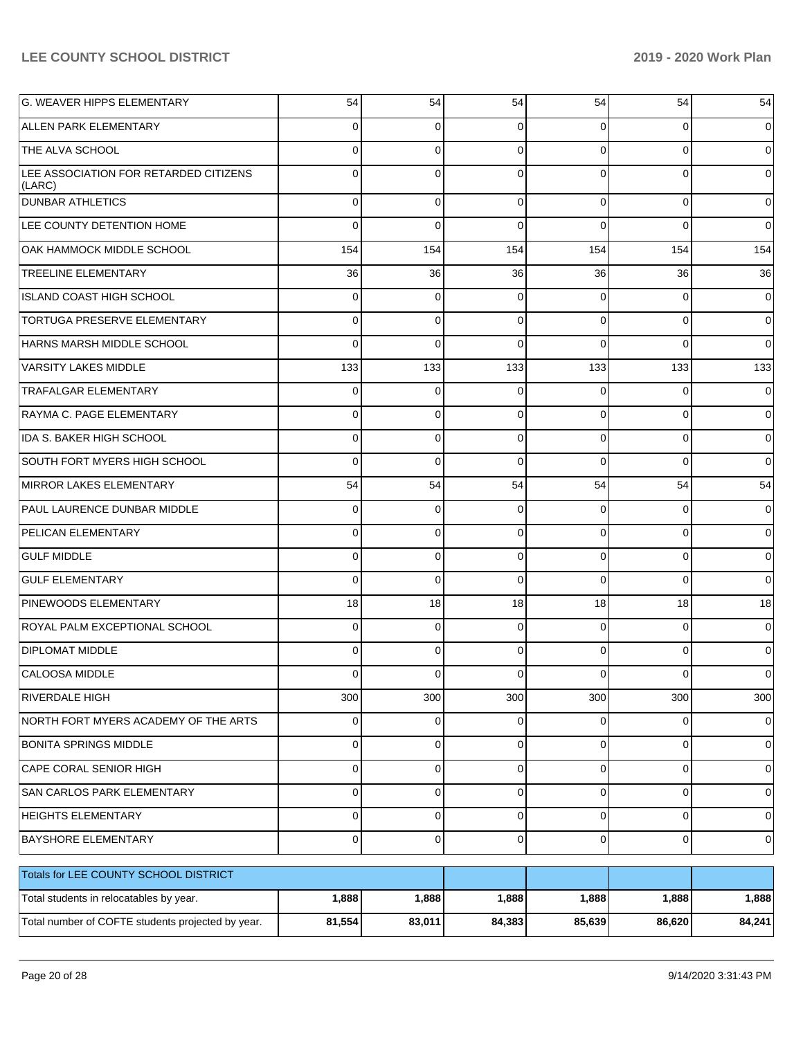| <b>G. WEAVER HIPPS ELEMENTARY</b>                 | 54          | 54          | 54             | 54             | 54          | 54             |
|---------------------------------------------------|-------------|-------------|----------------|----------------|-------------|----------------|
| <b>ALLEN PARK ELEMENTARY</b>                      | 0           | 0           | 0              | 0              | 0           | $\overline{0}$ |
| THE ALVA SCHOOL                                   | 0           | $\mathbf 0$ | $\mathbf 0$    | $\Omega$       | $\Omega$    | $\overline{0}$ |
| LEE ASSOCIATION FOR RETARDED CITIZENS<br>(LARC)   | 0           | $\mathbf 0$ | $\Omega$       | $\Omega$       | $\Omega$    | $\overline{0}$ |
| <b>DUNBAR ATHLETICS</b>                           | $\Omega$    | $\mathbf 0$ | $\Omega$       | $\Omega$       | $\Omega$    | $\overline{0}$ |
| LEE COUNTY DETENTION HOME                         | $\Omega$    | $\Omega$    | $\Omega$       | $\Omega$       | $\Omega$    | $\overline{0}$ |
| OAK HAMMOCK MIDDLE SCHOOL                         | 154         | 154         | 154            | 154            | 154         | 154            |
| TREELINE ELEMENTARY                               | 36          | 36          | 36             | 36             | 36          | 36             |
| ISLAND COAST HIGH SCHOOL                          | $\Omega$    | $\mathbf 0$ | $\Omega$       | $\Omega$       | $\Omega$    | $\overline{0}$ |
| <b>TORTUGA PRESERVE ELEMENTARY</b>                | $\Omega$    | $\mathbf 0$ | $\Omega$       | $\Omega$       | $\Omega$    | $\overline{0}$ |
| HARNS MARSH MIDDLE SCHOOL                         | $\Omega$    | $\Omega$    | $\Omega$       | $\Omega$       | $\Omega$    | $\Omega$       |
| <b>VARSITY LAKES MIDDLE</b>                       | 133         | 133         | 133            | 133            | 133         | 133            |
| <b>TRAFALGAR ELEMENTARY</b>                       | $\Omega$    | $\mathbf 0$ | $\Omega$       | $\Omega$       | $\Omega$    | $\overline{0}$ |
| RAYMA C. PAGE ELEMENTARY                          | $\Omega$    | $\mathbf 0$ | $\Omega$       | $\Omega$       | $\Omega$    | $\overline{0}$ |
| <b>IDA S. BAKER HIGH SCHOOL</b>                   | $\Omega$    | $\mathbf 0$ | $\Omega$       | $\Omega$       | $\Omega$    | $\overline{0}$ |
| SOUTH FORT MYERS HIGH SCHOOL                      | $\Omega$    | $\Omega$    | $\Omega$       | $\Omega$       | $\Omega$    | $\Omega$       |
| <b>MIRROR LAKES ELEMENTARY</b>                    | 54          | 54          | 54             | 54             | 54          | 54             |
| PAUL LAURENCE DUNBAR MIDDLE                       | $\Omega$    | $\mathbf 0$ | $\Omega$       | $\Omega$       | $\Omega$    | $\overline{0}$ |
| PELICAN ELEMENTARY                                | $\Omega$    | $\mathbf 0$ | $\Omega$       | $\Omega$       | $\Omega$    | $\overline{0}$ |
| <b>GULF MIDDLE</b>                                | $\Omega$    | $\mathbf 0$ | $\Omega$       | $\Omega$       | $\Omega$    | $\overline{0}$ |
| <b>GULF ELEMENTARY</b>                            | $\Omega$    | $\mathbf 0$ | $\Omega$       | $\Omega$       | $\Omega$    | $\Omega$       |
| PINEWOODS ELEMENTARY                              | 18          | 18          | 18             | 18             | 18          | 18             |
| ROYAL PALM EXCEPTIONAL SCHOOL                     | $\Omega$    | $\mathbf 0$ | $\Omega$       | $\Omega$       | $\Omega$    | $\overline{0}$ |
| <b>DIPLOMAT MIDDLE</b>                            | $\Omega$    | $\Omega$    | $\Omega$       | $\Omega$       | $\Omega$    | $\Omega$       |
| CALOOSA MIDDLE                                    | 0           | $\mathbf 0$ | $\mathbf 0$    | $\overline{0}$ | 0           | 0              |
| RIVERDALE HIGH                                    | 300         | 300         | 300            | 300            | 300         | 300            |
| NORTH FORT MYERS ACADEMY OF THE ARTS              | 0           | 0           | $\overline{0}$ | $\overline{0}$ | $\mathbf 0$ | $\overline{0}$ |
| <b>BONITA SPRINGS MIDDLE</b>                      | $\mathbf 0$ | $\mathbf 0$ | $\mathbf 0$    | $\Omega$       | $\mathbf 0$ | $\overline{0}$ |
| CAPE CORAL SENIOR HIGH                            | $\mathbf 0$ | $\mathbf 0$ | $\mathbf 0$    | $\Omega$       | $\mathbf 0$ | $\overline{0}$ |
| SAN CARLOS PARK ELEMENTARY                        | $\mathbf 0$ | $\mathbf 0$ | $\mathbf 0$    | $\Omega$       | $\mathbf 0$ | $\overline{0}$ |
| <b>HEIGHTS ELEMENTARY</b>                         | $\mathbf 0$ | 0           | $\mathbf 0$    | $\Omega$       | $\mathbf 0$ | $\overline{0}$ |
| BAYSHORE ELEMENTARY                               | $\mathbf 0$ | $\mathbf 0$ | $\mathbf 0$    | $\overline{0}$ | $\mathbf 0$ | $\overline{0}$ |
| Totals for LEE COUNTY SCHOOL DISTRICT             |             |             |                |                |             |                |
| Total students in relocatables by year.           | 1,888       | 1,888       | 1,888          | 1,888          | 1,888       | 1,888          |
| Total number of COFTE students projected by year. | 81,554      | 83,011      | 84,383         | 85,639         | 86,620      | 84,241         |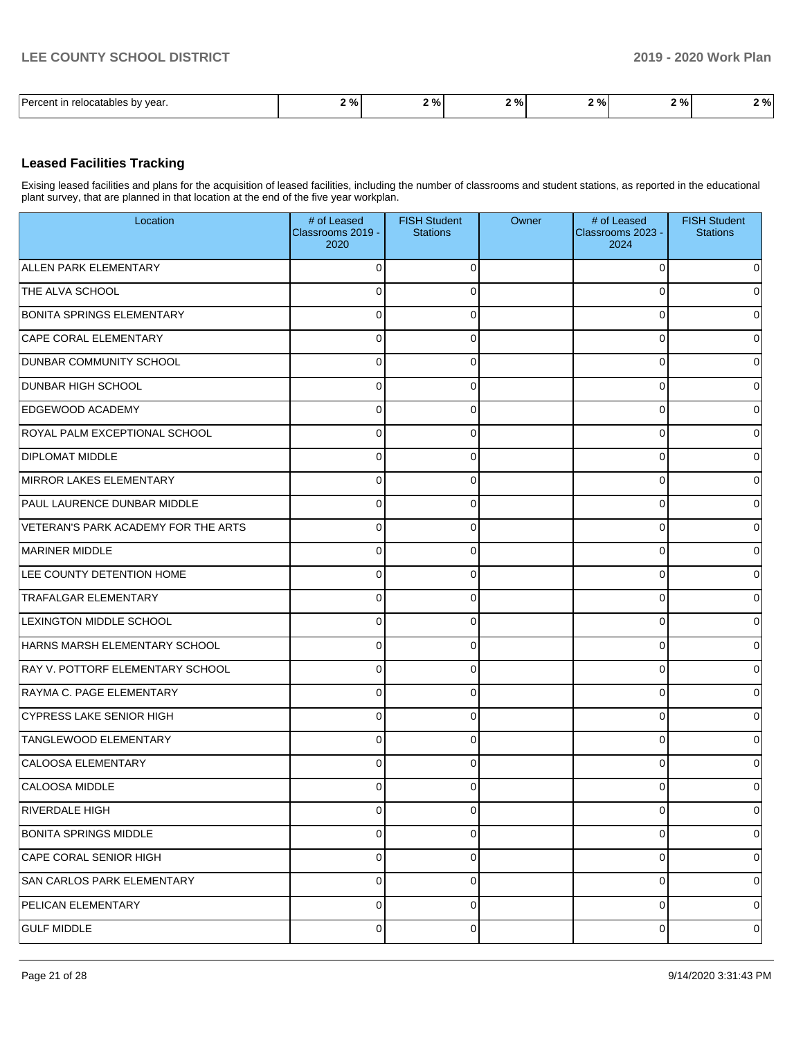## **Leased Facilities Tracking**

Exising leased facilities and plans for the acquisition of leased facilities, including the number of classrooms and student stations, as reported in the educational plant survey, that are planned in that location at the end of the five year workplan.

| Location                            | # of Leased<br>Classrooms 2019 -<br>2020 | <b>FISH Student</b><br><b>Stations</b> | Owner | # of Leased<br>Classrooms 2023 -<br>2024 | <b>FISH Student</b><br><b>Stations</b> |
|-------------------------------------|------------------------------------------|----------------------------------------|-------|------------------------------------------|----------------------------------------|
| ALLEN PARK ELEMENTARY               | $\overline{0}$                           | $\Omega$                               |       | $\Omega$                                 | 0                                      |
| THE ALVA SCHOOL                     | $\overline{0}$                           | $\Omega$                               |       | $\Omega$                                 | 0                                      |
| <b>BONITA SPRINGS ELEMENTARY</b>    | $\overline{0}$                           | $\Omega$                               |       | $\Omega$                                 | 0                                      |
| CAPE CORAL ELEMENTARY               | $\overline{0}$                           | $\Omega$                               |       | $\Omega$                                 | 0                                      |
| <b>DUNBAR COMMUNITY SCHOOL</b>      | $\overline{0}$                           | $\Omega$                               |       | $\Omega$                                 | 0                                      |
| <b>DUNBAR HIGH SCHOOL</b>           | $\overline{0}$                           | $\Omega$                               |       | $\Omega$                                 | 0                                      |
| <b>EDGEWOOD ACADEMY</b>             | $\overline{0}$                           | $\Omega$                               |       | 0                                        | 0                                      |
| ROYAL PALM EXCEPTIONAL SCHOOL       | $\overline{0}$                           | $\Omega$                               |       | $\Omega$                                 | 0                                      |
| <b>DIPLOMAT MIDDLE</b>              | $\overline{0}$                           | $\Omega$                               |       | 0                                        | 0                                      |
| MIRROR LAKES ELEMENTARY             | $\overline{0}$                           | $\Omega$                               |       | $\Omega$                                 | 0                                      |
| PAUL LAURENCE DUNBAR MIDDLE         | $\overline{0}$                           | $\Omega$                               |       | 0                                        | 0                                      |
| VETERAN'S PARK ACADEMY FOR THE ARTS | $\overline{0}$                           | $\Omega$                               |       | $\Omega$                                 | 0                                      |
| <b>MARINER MIDDLE</b>               | $\overline{0}$                           | $\Omega$                               |       | 0                                        | 0                                      |
| LEE COUNTY DETENTION HOME           | $\overline{0}$                           | $\Omega$                               |       | $\Omega$                                 | 0                                      |
| <b>TRAFALGAR ELEMENTARY</b>         | $\overline{0}$                           | $\mathbf 0$                            |       | 0                                        | 0                                      |
| LEXINGTON MIDDLE SCHOOL             | $\overline{0}$                           | $\Omega$                               |       | $\Omega$                                 | 0                                      |
| HARNS MARSH ELEMENTARY SCHOOL       | $\overline{0}$                           | $\Omega$                               |       | 0                                        | 0                                      |
| RAY V. POTTORF ELEMENTARY SCHOOL    | $\overline{0}$                           | $\Omega$                               |       | $\Omega$                                 | 0                                      |
| RAYMA C. PAGE ELEMENTARY            | $\overline{0}$                           | $\Omega$                               |       | 0                                        | 0                                      |
| <b>CYPRESS LAKE SENIOR HIGH</b>     | $\overline{0}$                           | $\Omega$                               |       | $\Omega$                                 | 0                                      |
| <b>TANGLEWOOD ELEMENTARY</b>        | $\overline{0}$                           | $\mathbf 0$                            |       | 0                                        | 0                                      |
| <b>CALOOSA ELEMENTARY</b>           | $\overline{0}$                           | $\Omega$                               |       | $\Omega$                                 | 0                                      |
| CALOOSA MIDDLE                      | $\overline{0}$                           | 0                                      |       | 0                                        | 0                                      |
| <b>RIVERDALE HIGH</b>               | $\overline{0}$                           | $\mathbf 0$                            |       | 0                                        | $\overline{0}$                         |
| <b>BONITA SPRINGS MIDDLE</b>        | $\overline{0}$                           | $\mathbf 0$                            |       | 0                                        | $\overline{0}$                         |
| CAPE CORAL SENIOR HIGH              | $\overline{0}$                           | $\mathbf 0$                            |       | 0                                        | $\overline{0}$                         |
| SAN CARLOS PARK ELEMENTARY          | $\overline{0}$                           | $\mathbf 0$                            |       | 0                                        | $\overline{0}$                         |
| PELICAN ELEMENTARY                  | $\overline{0}$                           | $\mathbf 0$                            |       | 0                                        | $\overline{0}$                         |
| <b>GULF MIDDLE</b>                  | $\overline{0}$                           | 0                                      |       | 0                                        | 0                                      |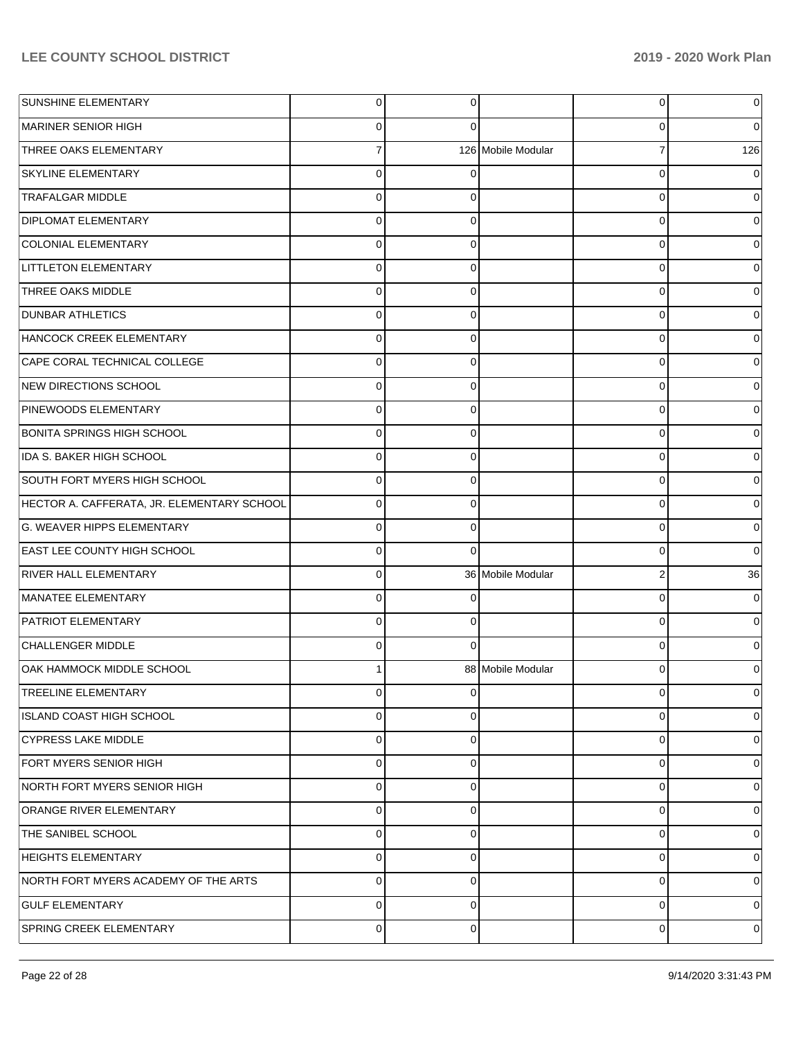| <b>SUNSHINE ELEMENTARY</b>                 | $\overline{0}$ | 0        |                    | 0              | 0        |
|--------------------------------------------|----------------|----------|--------------------|----------------|----------|
| MARINER SENIOR HIGH                        | 0              | 0        |                    | 0              | $\Omega$ |
| THREE OAKS ELEMENTARY                      | $\overline{7}$ |          | 126 Mobile Modular | $\overline{7}$ | 126      |
| <b>SKYLINE ELEMENTARY</b>                  | $\mathbf 0$    | 0        |                    | 0              | 0        |
| <b>TRAFALGAR MIDDLE</b>                    | $\mathbf 0$    | 0        |                    | 0              | 0        |
| <b>DIPLOMAT ELEMENTARY</b>                 | $\mathbf 0$    | 0        |                    | 0              | 0        |
| <b>COLONIAL ELEMENTARY</b>                 | $\mathbf 0$    | 0        |                    | 0              | 0        |
| <b>LITTLETON ELEMENTARY</b>                | $\mathbf 0$    | 0        |                    | 0              | 0        |
| THREE OAKS MIDDLE                          | $\mathbf 0$    | 0        |                    | 0              | 0        |
| <b>DUNBAR ATHLETICS</b>                    | $\mathbf 0$    | 0        |                    | 0              | 0        |
| HANCOCK CREEK ELEMENTARY                   | $\mathbf 0$    | 0        |                    | 0              | 0        |
| CAPE CORAL TECHNICAL COLLEGE               | $\mathbf 0$    | 0        |                    | 0              | 0        |
| NEW DIRECTIONS SCHOOL                      | $\mathbf 0$    | 0        |                    | 0              | 0        |
| PINEWOODS ELEMENTARY                       | $\mathbf 0$    | 0        |                    | 0              | 0        |
| <b>BONITA SPRINGS HIGH SCHOOL</b>          | $\mathbf 0$    | 0        |                    | 0              | 0        |
| IDA S. BAKER HIGH SCHOOL                   | $\mathbf 0$    | 0        |                    | 0              | 0        |
| SOUTH FORT MYERS HIGH SCHOOL               | $\mathbf 0$    | 0        |                    | 0              | 0        |
| HECTOR A. CAFFERATA, JR. ELEMENTARY SCHOOL | $\overline{0}$ | 0        |                    | 0              | 0        |
| G. WEAVER HIPPS ELEMENTARY                 | $\mathbf 0$    | 0        |                    | 0              | 0        |
| <b>EAST LEE COUNTY HIGH SCHOOL</b>         | $\mathbf 0$    | $\Omega$ |                    | 0              | 0        |
| <b>RIVER HALL ELEMENTARY</b>               | $\overline{0}$ |          | 36 Mobile Modular  | $\overline{2}$ | 36       |
| MANATEE ELEMENTARY                         | $\overline{0}$ | 0        |                    | 0              | 0        |
| PATRIOT ELEMENTARY                         | $\mathbf 0$    | 0        |                    | 0              | 0        |
| <b>CHALLENGER MIDDLE</b>                   | $\mathbf 0$    | 0        |                    | 0              | 0        |
| OAK HAMMOCK MIDDLE SCHOOL                  |                |          | 88 Mobile Modular  | 0              | 0        |
| <b>TREELINE ELEMENTARY</b>                 | $\overline{0}$ | 0        |                    | 0              | 0        |
| ISLAND COAST HIGH SCHOOL                   | $\mathbf 0$    | 0        |                    | 0              | 0        |
| <b>CYPRESS LAKE MIDDLE</b>                 | $\mathbf 0$    | 0        |                    | 0              | 0        |
| FORT MYERS SENIOR HIGH                     | $\mathbf 0$    | 0        |                    | 0              | 0        |
| NORTH FORT MYERS SENIOR HIGH               | $\mathbf 0$    | 0        |                    | 0              | 0        |
| <b>ORANGE RIVER ELEMENTARY</b>             | $\mathbf 0$    | 0        |                    | 0              | 0        |
| THE SANIBEL SCHOOL                         | $\mathbf 0$    | 0        |                    | 0              | 0        |
| <b>HEIGHTS ELEMENTARY</b>                  | $\mathbf 0$    | 0        |                    | 0              | 0        |
| NORTH FORT MYERS ACADEMY OF THE ARTS       | $\mathbf 0$    | 0        |                    | 0              | 0        |
| <b>GULF ELEMENTARY</b>                     | $\mathbf 0$    | 0        |                    | 0              | 0        |
| <b>SPRING CREEK ELEMENTARY</b>             | $\overline{0}$ | 0        |                    | 0              | 0        |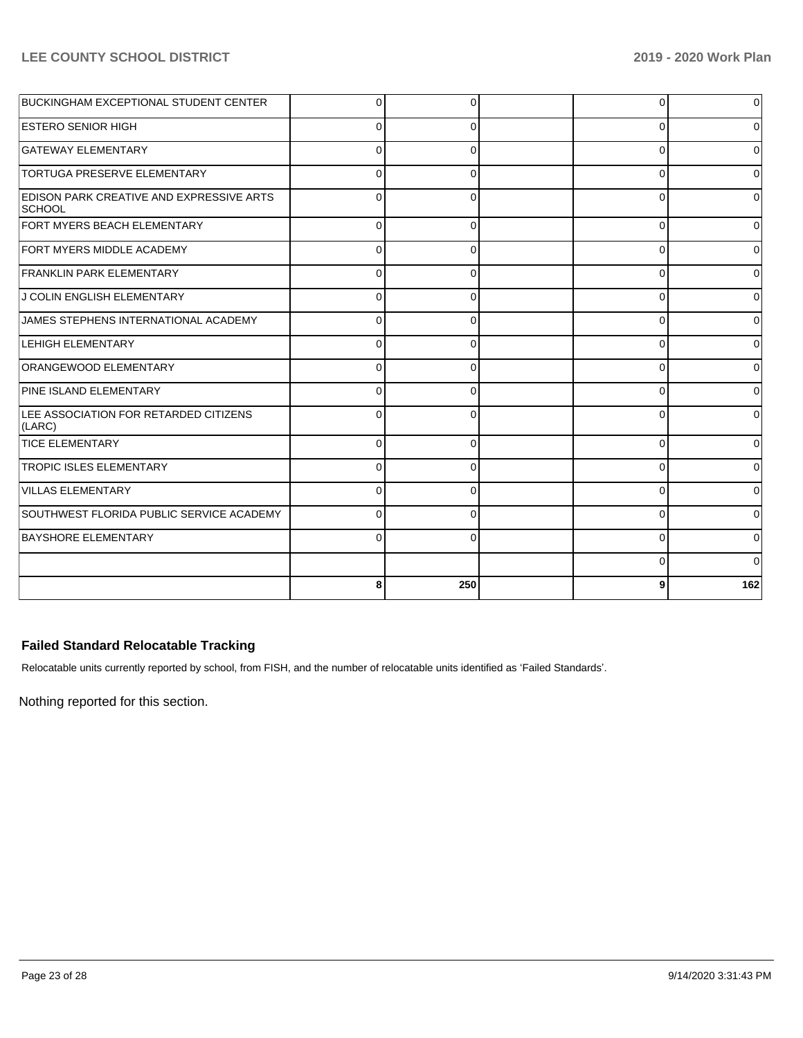| BUCKINGHAM EXCEPTIONAL STUDENT CENTER                            | $\Omega$ | $\Omega$ | $\Omega$ |              |
|------------------------------------------------------------------|----------|----------|----------|--------------|
| <b>ESTERO SENIOR HIGH</b>                                        | $\Omega$ | 0        | 0        |              |
| <b>GATEWAY ELEMENTARY</b>                                        | ∩        | 0        | 0        | 0            |
| <b>TORTUGA PRESERVE ELEMENTARY</b>                               | $\Omega$ | $\Omega$ | $\Omega$ |              |
| <b>EDISON PARK CREATIVE AND EXPRESSIVE ARTS</b><br><b>SCHOOL</b> | $\Omega$ |          | $\Omega$ |              |
| FORT MYERS BEACH ELEMENTARY                                      | $\Omega$ | 0        | $\Omega$ | U            |
| <b>FORT MYERS MIDDLE ACADEMY</b>                                 | $\Omega$ | 0        | $\Omega$ |              |
| <b>FRANKLIN PARK ELEMENTARY</b>                                  | 0        | 0        | 0        |              |
| <b>J COLIN ENGLISH ELEMENTARY</b>                                |          | 0        | 0        |              |
| JAMES STEPHENS INTERNATIONAL ACADEMY                             |          |          | $\Omega$ |              |
| <b>LEHIGH ELEMENTARY</b>                                         | $\Omega$ | O        | $\Omega$ |              |
| ORANGEWOOD ELEMENTARY                                            | $\Omega$ | $\Omega$ | 0        |              |
| PINE ISLAND ELEMENTARY                                           | C        | $\Omega$ | 0        |              |
| LEE ASSOCIATION FOR RETARDED CITIZENS<br>(LARC)                  |          |          | 0        |              |
| <b>TICE ELEMENTARY</b>                                           | $\Omega$ | $\Omega$ | $\Omega$ | <sup>0</sup> |
| <b>TROPIC ISLES ELEMENTARY</b>                                   | $\Omega$ | O        | $\Omega$ |              |
| <b>VILLAS ELEMENTARY</b>                                         | $\Omega$ | $\Omega$ | $\Omega$ | <sup>0</sup> |
| SOUTHWEST FLORIDA PUBLIC SERVICE ACADEMY                         | $\Omega$ | $\Omega$ | 0        | 0            |
| <b>BAYSHORE ELEMENTARY</b>                                       | $\Omega$ | 0        | $\Omega$ | $\Omega$     |
|                                                                  |          |          | $\Omega$ |              |
|                                                                  | 8        | 250      | 9        | 162          |

## **Failed Standard Relocatable Tracking**

Relocatable units currently reported by school, from FISH, and the number of relocatable units identified as 'Failed Standards'.

Nothing reported for this section.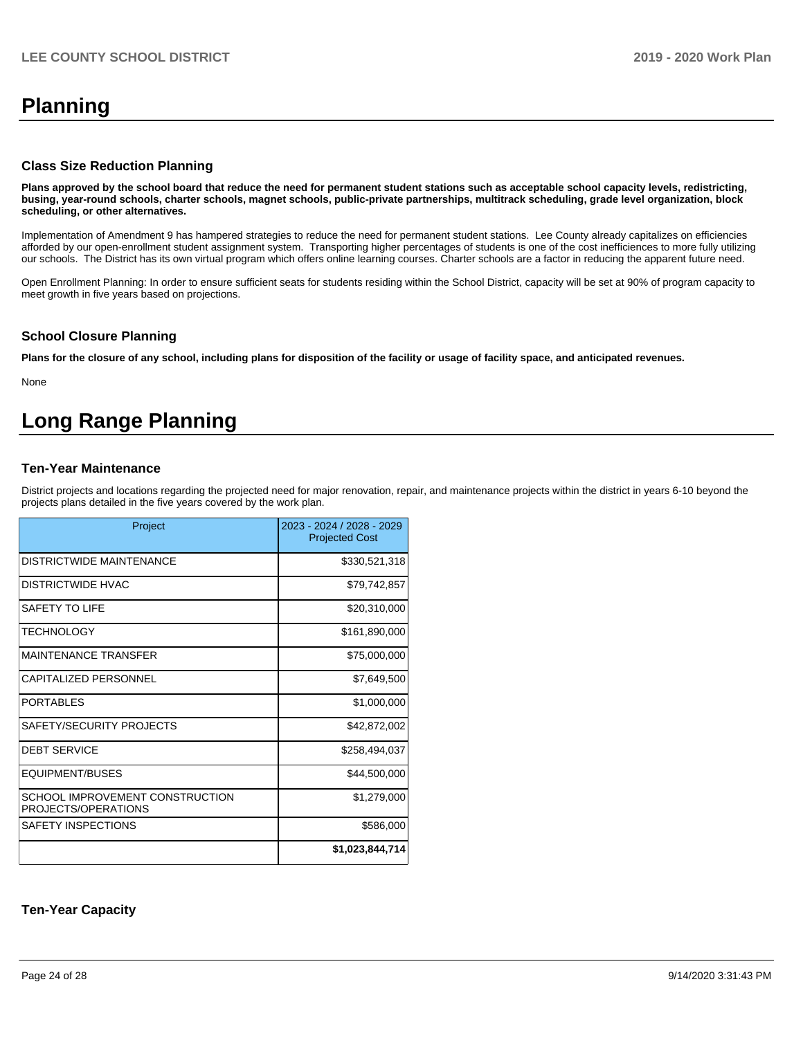# **Planning**

#### **Class Size Reduction Planning**

**Plans approved by the school board that reduce the need for permanent student stations such as acceptable school capacity levels, redistricting, busing, year-round schools, charter schools, magnet schools, public-private partnerships, multitrack scheduling, grade level organization, block scheduling, or other alternatives.**

Implementation of Amendment 9 has hampered strategies to reduce the need for permanent student stations. Lee County already capitalizes on efficiencies afforded by our open-enrollment student assignment system. Transporting higher percentages of students is one of the cost inefficiences to more fully utilizing our schools. The District has its own virtual program which offers online learning courses. Charter schools are a factor in reducing the apparent future need.

Open Enrollment Planning: In order to ensure sufficient seats for students residing within the School District, capacity will be set at 90% of program capacity to meet growth in five years based on projections.

### **School Closure Planning**

**Plans for the closure of any school, including plans for disposition of the facility or usage of facility space, and anticipated revenues.** 

None

# **Long Range Planning**

## **Ten-Year Maintenance**

District projects and locations regarding the projected need for major renovation, repair, and maintenance projects within the district in years 6-10 beyond the projects plans detailed in the five years covered by the work plan.

| Project                                                | 2023 - 2024 / 2028 - 2029<br><b>Projected Cost</b> |
|--------------------------------------------------------|----------------------------------------------------|
| DISTRICTWIDE MAINTENANCE                               | \$330,521,318                                      |
| DISTRICTWIDE HVAC                                      | \$79,742,857                                       |
| SAFFTY TO LIFF                                         | \$20,310,000                                       |
| <b>TECHNOLOGY</b>                                      | \$161,890,000                                      |
| MAINTENANCE TRANSFER                                   | \$75,000,000                                       |
| <b>CAPITALIZED PERSONNEL</b>                           | \$7,649,500                                        |
| PORTABLES                                              | \$1,000,000                                        |
| SAFETY/SECURITY PROJECTS                               | \$42,872,002                                       |
| <b>DEBT SERVICE</b>                                    | \$258,494,037                                      |
| EQUIPMENT/BUSES                                        | \$44,500,000                                       |
| SCHOOL IMPROVEMENT CONSTRUCTION<br>PROJECTS/OPERATIONS | \$1,279,000                                        |
| SAFETY INSPECTIONS                                     | \$586,000                                          |
|                                                        | \$1,023,844,714                                    |

### **Ten-Year Capacity**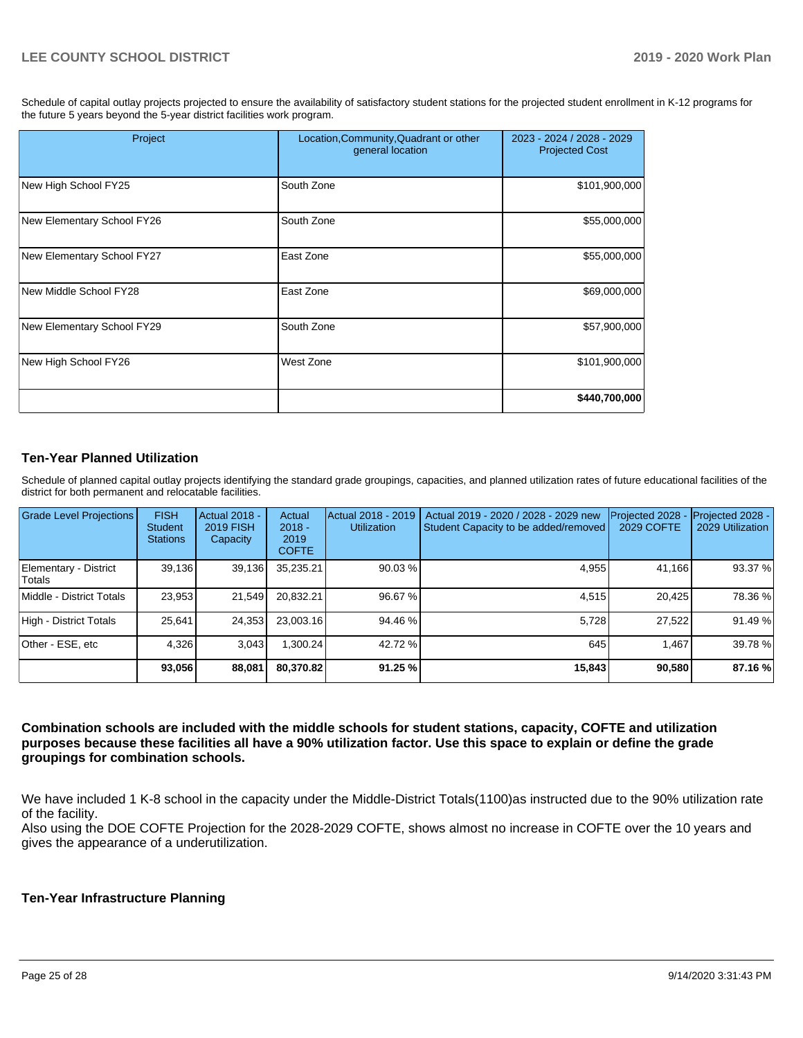Schedule of capital outlay projects projected to ensure the availability of satisfactory student stations for the projected student enrollment in K-12 programs for the future 5 years beyond the 5-year district facilities work program.

| Project                    | Location, Community, Quadrant or other<br>general location | 2023 - 2024 / 2028 - 2029<br><b>Projected Cost</b> |
|----------------------------|------------------------------------------------------------|----------------------------------------------------|
| New High School FY25       | South Zone                                                 | \$101,900,000                                      |
| New Elementary School FY26 | South Zone                                                 | \$55,000,000                                       |
| New Elementary School FY27 | East Zone                                                  | \$55,000,000                                       |
| New Middle School FY28     | East Zone                                                  | \$69,000,000                                       |
| New Elementary School FY29 | South Zone                                                 | \$57,900,000                                       |
| New High School FY26       | West Zone                                                  | \$101,900,000                                      |
|                            |                                                            | \$440,700,000                                      |

## **Ten-Year Planned Utilization**

Schedule of planned capital outlay projects identifying the standard grade groupings, capacities, and planned utilization rates of future educational facilities of the district for both permanent and relocatable facilities.

| Grade Level Projections         | <b>FISH</b><br><b>Student</b><br><b>Stations</b> | <b>Actual 2018 -</b><br><b>2019 FISH</b><br>Capacity | Actual<br>$2018 -$<br>2019<br><b>COFTE</b> | Actual 2018 - 2019<br><b>Utilization</b> | Actual 2019 - 2020 / 2028 - 2029 new<br>Student Capacity to be added/removed | Projected 2028<br>2029 COFTE | Projected 2028 -<br>2029 Utilization |
|---------------------------------|--------------------------------------------------|------------------------------------------------------|--------------------------------------------|------------------------------------------|------------------------------------------------------------------------------|------------------------------|--------------------------------------|
| Elementary - District<br>Totals | 39,136                                           | 39,136                                               | 35,235.21                                  | 90.03 %                                  | 4,955                                                                        | 41,166                       | 93.37 %                              |
| Middle - District Totals        | 23,953                                           | 21,549                                               | 20.832.21                                  | 96.67 %                                  | 4.515                                                                        | 20.425                       | 78.36 %                              |
| High - District Totals          | 25,641                                           | 24,353                                               | 23,003.16                                  | 94.46 %                                  | 5,728                                                                        | 27,522                       | 91.49 %                              |
| Other - ESE, etc                | 4,326                                            | 3,043                                                | 1,300.24                                   | 42.72 %                                  | 645                                                                          | 1.467                        | 39.78 %                              |
|                                 | 93,056                                           | 88,081                                               | 80.370.82                                  | 91.25%                                   | 15,843                                                                       | 90,580                       | 87.16 %                              |

**Combination schools are included with the middle schools for student stations, capacity, COFTE and utilization purposes because these facilities all have a 90% utilization factor. Use this space to explain or define the grade groupings for combination schools.** 

We have included 1 K-8 school in the capacity under the Middle-District Totals(1100)as instructed due to the 90% utilization rate of the facility.

Also using the DOE COFTE Projection for the 2028-2029 COFTE, shows almost no increase in COFTE over the 10 years and gives the appearance of a underutilization.

### **Ten-Year Infrastructure Planning**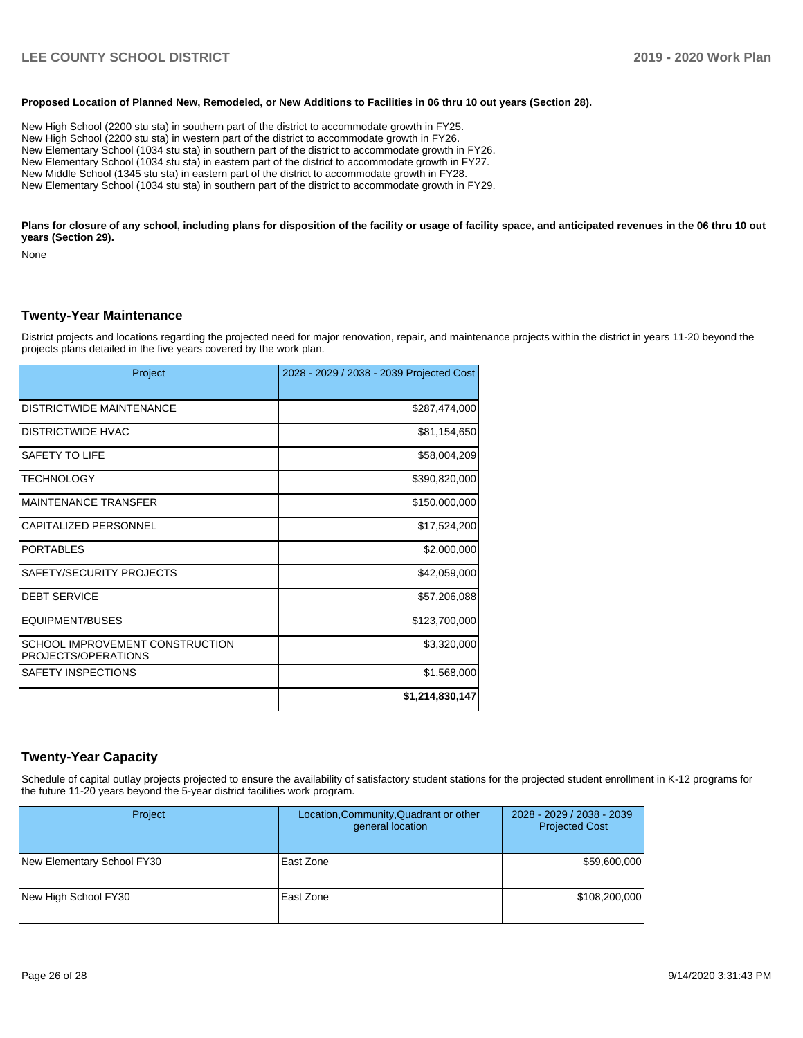#### **Proposed Location of Planned New, Remodeled, or New Additions to Facilities in 06 thru 10 out years (Section 28).**

New High School (2200 stu sta) in southern part of the district to accommodate growth in FY25. New High School (2200 stu sta) in western part of the district to accommodate growth in FY26. New Elementary School (1034 stu sta) in southern part of the district to accommodate growth in FY26. New Elementary School (1034 stu sta) in eastern part of the district to accommodate growth in FY27. New Middle School (1345 stu sta) in eastern part of the district to accommodate growth in FY28. New Elementary School (1034 stu sta) in southern part of the district to accommodate growth in FY29.

Plans for closure of any school, including plans for disposition of the facility or usage of facility space, and anticipated revenues in the 06 thru 10 out **years (Section 29).**

None

#### **Twenty-Year Maintenance**

District projects and locations regarding the projected need for major renovation, repair, and maintenance projects within the district in years 11-20 beyond the projects plans detailed in the five years covered by the work plan.

| Project                                                | 2028 - 2029 / 2038 - 2039 Projected Cost |
|--------------------------------------------------------|------------------------------------------|
| <b>DISTRICTWIDE MAINTENANCE</b>                        | \$287,474,000                            |
| <b>DISTRICTWIDE HVAC</b>                               | \$81,154,650                             |
| SAFETY TO LIFE                                         | \$58,004,209                             |
| <b>TECHNOLOGY</b>                                      | \$390,820,000                            |
| <b>MAINTENANCE TRANSFER</b>                            | \$150,000,000                            |
| <b>CAPITALIZED PERSONNEL</b>                           | \$17,524,200                             |
| <b>PORTABLES</b>                                       | \$2,000,000                              |
| SAFETY/SECURITY PROJECTS                               | \$42,059,000                             |
| <b>DEBT SERVICE</b>                                    | \$57,206,088                             |
| EQUIPMENT/BUSES                                        | \$123,700,000                            |
| SCHOOL IMPROVEMENT CONSTRUCTION<br>PROJECTS/OPERATIONS | \$3,320,000                              |
| <b>SAFETY INSPECTIONS</b>                              | \$1,568,000                              |
|                                                        | \$1,214,830,147                          |

#### **Twenty-Year Capacity**

Schedule of capital outlay projects projected to ensure the availability of satisfactory student stations for the projected student enrollment in K-12 programs for the future 11-20 years beyond the 5-year district facilities work program.

| Project                    | Location, Community, Quadrant or other<br>general location | 2028 - 2029 / 2038 - 2039<br><b>Projected Cost</b> |
|----------------------------|------------------------------------------------------------|----------------------------------------------------|
| New Elementary School FY30 | East Zone                                                  | \$59,600,000                                       |
| New High School FY30       | East Zone                                                  | \$108,200,000                                      |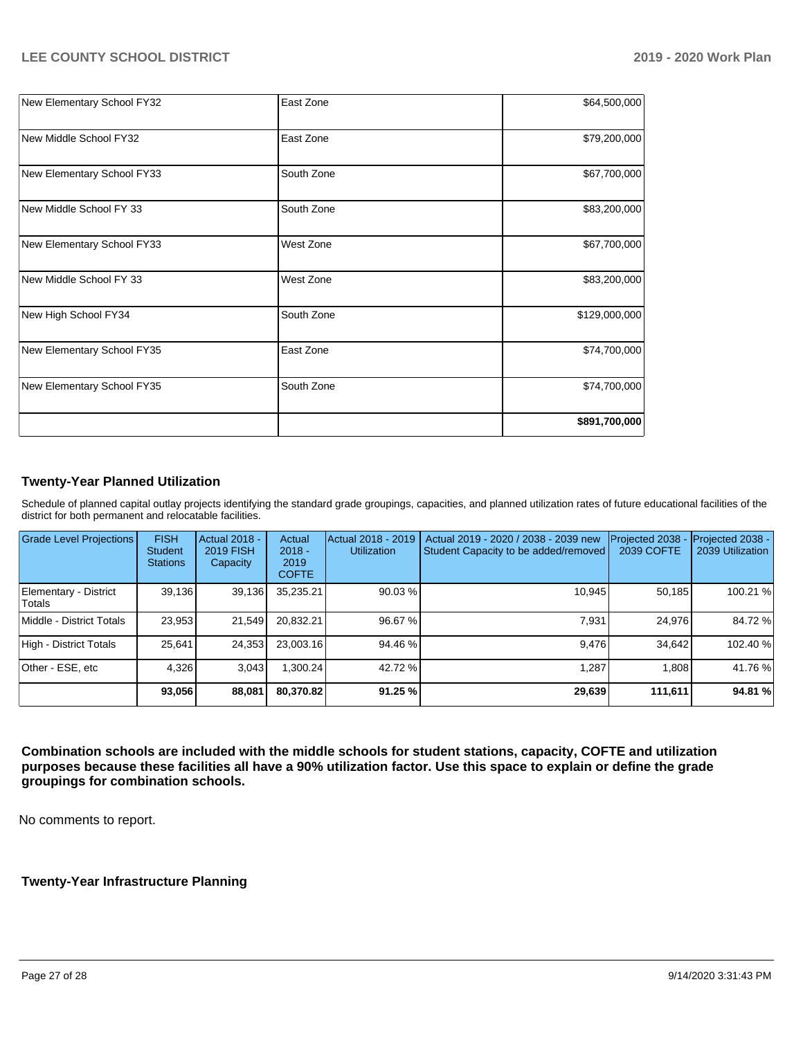|                            |            | \$891,700,000 |
|----------------------------|------------|---------------|
| New Elementary School FY35 | South Zone | \$74,700,000  |
| New Elementary School FY35 | East Zone  | \$74,700,000  |
| New High School FY34       | South Zone | \$129,000,000 |
| New Middle School FY 33    | West Zone  | \$83,200,000  |
| New Elementary School FY33 | West Zone  | \$67,700,000  |
| New Middle School FY 33    | South Zone | \$83,200,000  |
| New Elementary School FY33 | South Zone | \$67,700,000  |
| New Middle School FY32     | East Zone  | \$79,200,000  |
| New Elementary School FY32 | East Zone  | \$64,500,000  |

## **Twenty-Year Planned Utilization**

Schedule of planned capital outlay projects identifying the standard grade groupings, capacities, and planned utilization rates of future educational facilities of the district for both permanent and relocatable facilities.

| <b>Grade Level Projections</b>  | <b>FISH</b><br><b>Student</b><br><b>Stations</b> | Actual 2018 -<br><b>2019 FISH</b><br>Capacity | Actual<br>$2018 -$<br>2019<br><b>COFTE</b> | Actual 2018 - 2019<br><b>Utilization</b> | Actual 2019 - 2020 / 2038 - 2039 new<br>Student Capacity to be added/removed | Projected 2038<br>2039 COFTE | Projected 2038 -<br>2039 Utilization |
|---------------------------------|--------------------------------------------------|-----------------------------------------------|--------------------------------------------|------------------------------------------|------------------------------------------------------------------------------|------------------------------|--------------------------------------|
| Elementary - District<br>Totals | 39,136                                           | 39,136                                        | 35,235.21                                  | 90.03 %                                  | 10.945                                                                       | 50.185                       | 100.21 %                             |
| Middle - District Totals        | 23.953                                           | 21,549                                        | 20.832.21                                  | 96.67 %                                  | 7.931                                                                        | 24,976                       | 84.72 %                              |
| High - District Totals          | 25,641                                           | 24,353                                        | 23,003.16                                  | 94.46 %                                  | 9.476                                                                        | 34.642                       | 102.40 %                             |
| Other - ESE, etc                | 4.326                                            | 3.043                                         | .300.24                                    | 42.72 %                                  | 1.287                                                                        | 1.808                        | 41.76 %                              |
|                                 | 93,056                                           | 88,081                                        | 80,370.82                                  | 91.25 %                                  | 29,639                                                                       | 111,611                      | 94.81%                               |

**Combination schools are included with the middle schools for student stations, capacity, COFTE and utilization purposes because these facilities all have a 90% utilization factor. Use this space to explain or define the grade groupings for combination schools.** 

No comments to report.

## **Twenty-Year Infrastructure Planning**